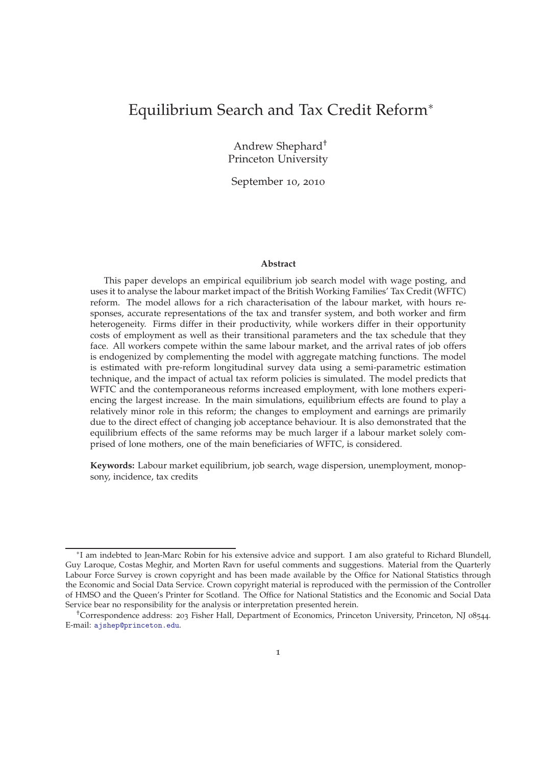# Equilibrium Search and Tax Credit Reform<sup>∗</sup>

Andrew Shephard† Princeton University

September 10, 2010

#### **Abstract**

This paper develops an empirical equilibrium job search model with wage posting, and uses it to analyse the labour market impact of the British Working Families' Tax Credit (WFTC) reform. The model allows for a rich characterisation of the labour market, with hours responses, accurate representations of the tax and transfer system, and both worker and firm heterogeneity. Firms differ in their productivity, while workers differ in their opportunity costs of employment as well as their transitional parameters and the tax schedule that they face. All workers compete within the same labour market, and the arrival rates of job offers is endogenized by complementing the model with aggregate matching functions. The model is estimated with pre-reform longitudinal survey data using a semi-parametric estimation technique, and the impact of actual tax reform policies is simulated. The model predicts that WFTC and the contemporaneous reforms increased employment, with lone mothers experiencing the largest increase. In the main simulations, equilibrium effects are found to play a relatively minor role in this reform; the changes to employment and earnings are primarily due to the direct effect of changing job acceptance behaviour. It is also demonstrated that the equilibrium effects of the same reforms may be much larger if a labour market solely comprised of lone mothers, one of the main beneficiaries of WFTC, is considered.

**Keywords:** Labour market equilibrium, job search, wage dispersion, unemployment, monopsony, incidence, tax credits

<sup>∗</sup> I am indebted to Jean-Marc Robin for his extensive advice and support. I am also grateful to Richard Blundell, Guy Laroque, Costas Meghir, and Morten Ravn for useful comments and suggestions. Material from the Quarterly Labour Force Survey is crown copyright and has been made available by the Office for National Statistics through the Economic and Social Data Service. Crown copyright material is reproduced with the permission of the Controller of HMSO and the Queen's Printer for Scotland. The Office for National Statistics and the Economic and Social Data Service bear no responsibility for the analysis or interpretation presented herein.

<sup>†</sup>Correspondence address: 203 Fisher Hall, Department of Economics, Princeton University, Princeton, NJ 08544. E-mail: [ajshep@princeton.edu](mailto:ajshep@princeton.edu).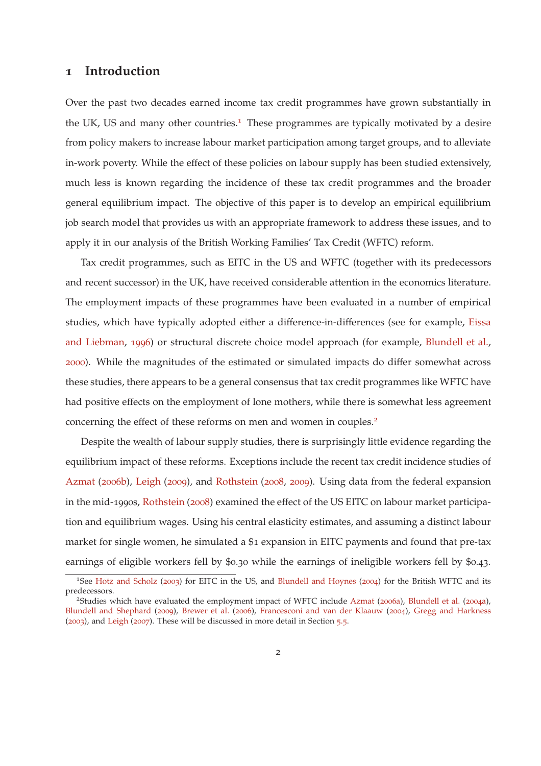## <span id="page-1-0"></span>**1 Introduction**

Over the past two decades earned income tax credit programmes have grown substantially in the UK, US and many other countries.<sup>1</sup> These programmes are typically motivated by a desire from policy makers to increase labour market participation among target groups, and to alleviate in-work poverty. While the effect of these policies on labour supply has been studied extensively, much less is known regarding the incidence of these tax credit programmes and the broader general equilibrium impact. The objective of this paper is to develop an empirical equilibrium job search model that provides us with an appropriate framework to address these issues, and to apply it in our analysis of the British Working Families' Tax Credit (WFTC) reform.

Tax credit programmes, such as EITC in the US and WFTC (together with its predecessors and recent successor) in the UK, have received considerable attention in the economics literature. The employment impacts of these programmes have been evaluated in a number of empirical studies, whic[h have typically adopted either a difference-in-differences \(see for example,](#page-59-0) Eissa and Liebman, [1996](#page-59-0)) or structural discrete choice model approach (for example, [Blundell et al.](#page-57-0), [2000](#page-57-0)). While the magnitudes of the estimated or simulated impacts do differ somewhat across these studies, there appears to be a general consensus that tax credit programmes like WFTC have had positive effects on the employment of lone mothers, while there is somewhat less agreement concerning the effect of these reforms on men and women in couples.<sup>2</sup>

Despite the wealth of labour supply studies, there is surprisingly little evidence regarding the equilibrium impact of these reforms. Exceptions include the recent tax credit incidence studies of [Azmat](#page-57-1) ([2006](#page-57-1)b), [Leigh](#page-60-0) ([2009](#page-60-0)), and [Rothstein](#page-61-0) ([2008](#page-61-0), [2009](#page-61-1)). Using data from the federal expansion in the mid-1990s, [Rothstein](#page-61-0) ([2008](#page-61-0)) examined the effect of the US EITC on labour market participation and equilibrium wages. Using his central elasticity estimates, and assuming a distinct labour market for single women, he simulated a \$1 expansion in EITC payments and found that pre-tax earnings of eligible workers fell by \$0.30 while the earnings of ineligible workers fell by \$0.43.

<sup>&</sup>lt;sup>1</sup>See [Hotz and Scholz](#page-59-1) ([2003](#page-59-1)) for EITC in the US, and [Blundell and Hoynes](#page-58-0) ([2004](#page-58-0)) for the British WFTC and its predecessors.

<sup>&</sup>lt;sup>2</sup>Studies which have evaluated the employment impact of WFTC include [Azmat](#page-57-2) ([2006](#page-57-2)a), [Blundell et al.](#page-57-3) ([2004](#page-57-3)a), [Blundell and Shephard](#page-58-1) ([2009](#page-58-1)), [Brewer et al.](#page-58-2) ([2006](#page-58-2)), [Francesconi and van der Klaauw](#page-59-2) ([2004](#page-59-2)), [Gregg and Harkness](#page-59-3)  $(2003)$  $(2003)$  $(2003)$ , and [Leigh](#page-59-4)  $(2007)$  $(2007)$  $(2007)$ . These will be discussed in more detail in Section [5](#page-52-0).5.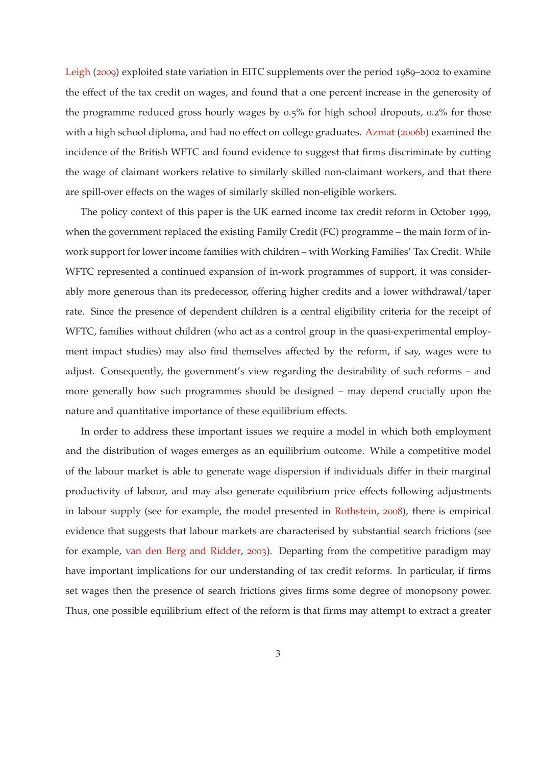<span id="page-2-0"></span>[Leigh](#page-60-0) ([2009](#page-60-0)) exploited state variation in EITC supplements over the period 1989–2002 to examine the effect of the tax credit on wages, and found that a one percent increase in the generosity of the programme reduced gross hourly wages by 0.5% for high school dropouts, 0.2% for those with a high school diploma, and had no effect on college graduates. [Azmat](#page-57-1) ([2006](#page-57-1)b) examined the incidence of the British WFTC and found evidence to suggest that firms discriminate by cutting the wage of claimant workers relative to similarly skilled non-claimant workers, and that there are spill-over effects on the wages of similarly skilled non-eligible workers.

The policy context of this paper is the UK earned income tax credit reform in October 1999, when the government replaced the existing Family Credit (FC) programme – the main form of inwork support for lower income families with children – with Working Families' Tax Credit. While WFTC represented a continued expansion of in-work programmes of support, it was considerably more generous than its predecessor, offering higher credits and a lower withdrawal/taper rate. Since the presence of dependent children is a central eligibility criteria for the receipt of WFTC, families without children (who act as a control group in the quasi-experimental employment impact studies) may also find themselves affected by the reform, if say, wages were to adjust. Consequently, the government's view regarding the desirability of such reforms – and more generally how such programmes should be designed – may depend crucially upon the nature and quantitative importance of these equilibrium effects.

In order to address these important issues we require a model in which both employment and the distribution of wages emerges as an equilibrium outcome. While a competitive model of the labour market is able to generate wage dispersion if individuals differ in their marginal productivity of labour, and may also generate equilibrium price effects following adjustments in labour supply (see for example, the model presented in [Rothstein](#page-61-0), [2008](#page-61-0)), there is empirical evidence that suggests that labour markets are characterised by substantial search frictions (see for example, [van den Berg and Ridder,](#page-61-2) [2003](#page-61-2)). Departing from the competitive paradigm may have important implications for our understanding of tax credit reforms. In particular, if firms set wages then the presence of search frictions gives firms some degree of monopsony power. Thus, one possible equilibrium effect of the reform is that firms may attempt to extract a greater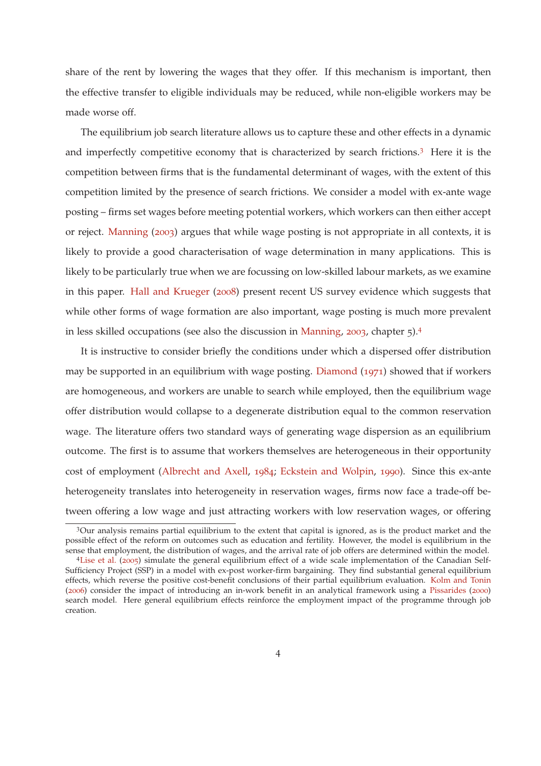<span id="page-3-0"></span>share of the rent by lowering the wages that they offer. If this mechanism is important, then the effective transfer to eligible individuals may be reduced, while non-eligible workers may be made worse off.

The equilibrium job search literature allows us to capture these and other effects in a dynamic and imperfectly competitive economy that is characterized by search frictions.<sup>3</sup> Here it is the competition between firms that is the fundamental determinant of wages, with the extent of this competition limited by the presence of search frictions. We consider a model with ex-ante wage posting – firms set wages before meeting potential workers, which workers can then either accept or reject. [Manning](#page-60-1) ([2003](#page-60-1)) argues that while wage posting is not appropriate in all contexts, it is likely to provide a good characterisation of wage determination in many applications. This is likely to be particularly true when we are focussing on low-skilled labour markets, as we examine in this paper. [Hall and Krueger](#page-59-5) ([2008](#page-59-5)) present recent US survey evidence which suggests that while other forms of wage formation are also important, wage posting is much more prevalent in less skilled occupations (see also the discussion in [Manning](#page-60-1), [2003](#page-60-1), chapter 5).<sup>4</sup>

It is instructive to consider briefly the conditions under which a dispersed offer distribution may be supported in an equilibrium with wage posting. [Diamond](#page-58-3) ([1971](#page-58-3)) showed that if workers are homogeneous, and workers are unable to search while employed, then the equilibrium wage offer distribution would collapse to a degenerate distribution equal to the common reservation wage. The literature offers two standard ways of generating wage dispersion as an equilibrium outcome. The first is to assume that workers themselves are heterogeneous in their opportunity cost of employment [\(Albrecht and Axell,](#page-57-4) [1984](#page-57-4); [Eckstein and Wolpin](#page-58-4), [1990](#page-58-4)). Since this ex-ante heterogeneity translates into heterogeneity in reservation wages, firms now face a trade-off between offering a low wage and just attracting workers with low reservation wages, or offering

<sup>3</sup>Our analysis remains partial equilibrium to the extent that capital is ignored, as is the product market and the possible effect of the reform on outcomes such as education and fertility. However, the model is equilibrium in the sense that employment, the distribution of wages, and the arrival rate of job offers are determined within the model.

<sup>4</sup>[Lise et al.](#page-60-2) ([2005](#page-60-2)) simulate the general equilibrium effect of a wide scale implementation of the Canadian Self-Sufficiency Project (SSP) in a model with ex-post worker-firm bargaining. They find substantial general equilibrium effects, which reverse the positive cost-benefit conclusions of their partial equilibrium evaluation. [Kolm and Tonin](#page-59-6) ([2006](#page-59-6)) consider the impact of introducing an in-work benefit in an analytical framework using a [Pissarides](#page-61-3) ([2000](#page-61-3)) search model. Here general equilibrium effects reinforce the employment impact of the programme through job creation.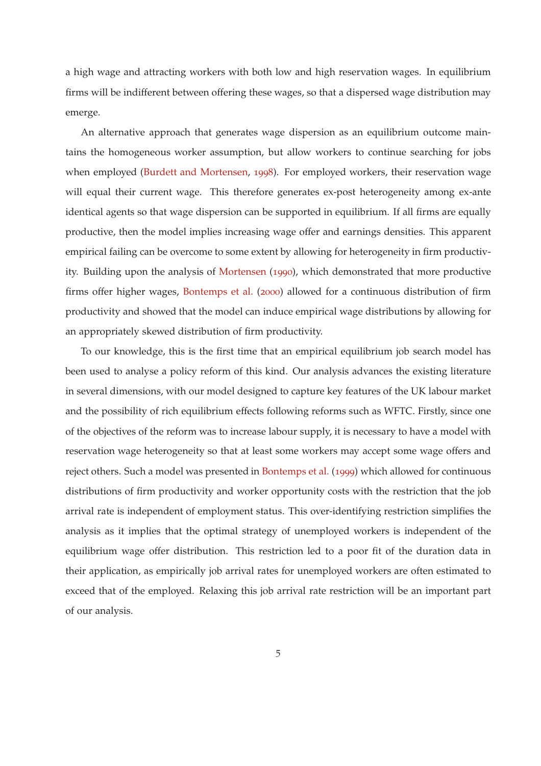<span id="page-4-0"></span>a high wage and attracting workers with both low and high reservation wages. In equilibrium firms will be indifferent between offering these wages, so that a dispersed wage distribution may emerge.

An alternative approach that generates wage dispersion as an equilibrium outcome maintains the homogeneous worker assumption, but allow workers to continue searching for jobs when employed [\(Burdett and Mortensen,](#page-58-5) [1998](#page-58-5)). For employed workers, their reservation wage will equal their current wage. This therefore generates ex-post heterogeneity among ex-ante identical agents so that wage dispersion can be supported in equilibrium. If all firms are equally productive, then the model implies increasing wage offer and earnings densities. This apparent empirical failing can be overcome to some extent by allowing for heterogeneity in firm productivity. Building upon the analysis of [Mortensen](#page-60-3) ([1990](#page-60-3)), which demonstrated that more productive firms offer higher wages, [Bontemps et al.](#page-58-6) ([2000](#page-58-6)) allowed for a continuous distribution of firm productivity and showed that the model can induce empirical wage distributions by allowing for an appropriately skewed distribution of firm productivity.

To our knowledge, this is the first time that an empirical equilibrium job search model has been used to analyse a policy reform of this kind. Our analysis advances the existing literature in several dimensions, with our model designed to capture key features of the UK labour market and the possibility of rich equilibrium effects following reforms such as WFTC. Firstly, since one of the objectives of the reform was to increase labour supply, it is necessary to have a model with reservation wage heterogeneity so that at least some workers may accept some wage offers and reject others. Such a model was presented in [Bontemps et al.](#page-58-7) ([1999](#page-58-7)) which allowed for continuous distributions of firm productivity and worker opportunity costs with the restriction that the job arrival rate is independent of employment status. This over-identifying restriction simplifies the analysis as it implies that the optimal strategy of unemployed workers is independent of the equilibrium wage offer distribution. This restriction led to a poor fit of the duration data in their application, as empirically job arrival rates for unemployed workers are often estimated to exceed that of the employed. Relaxing this job arrival rate restriction will be an important part of our analysis.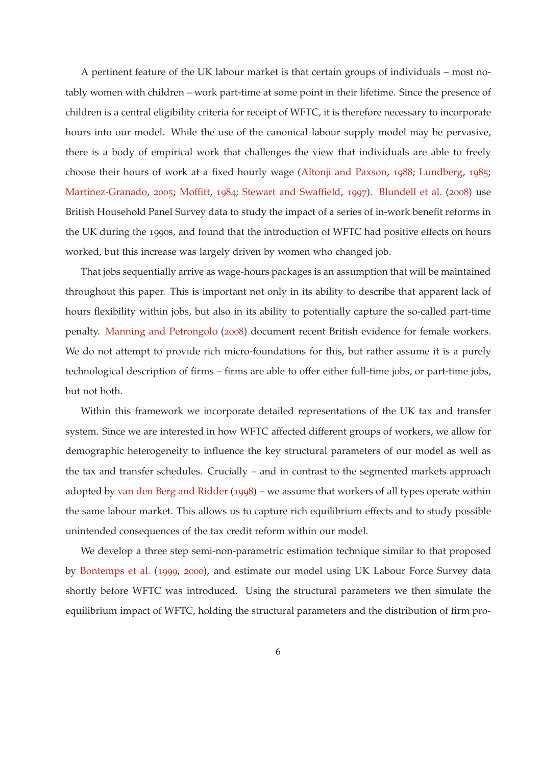<span id="page-5-0"></span>A pertinent feature of the UK labour market is that certain groups of individuals – most notably women with children – work part-time at some point in their lifetime. Since the presence of children is a central eligibility criteria for receipt of WFTC, it is therefore necessary to incorporate hours into our model. While the use of the canonical labour supply model may be pervasive, there is a body of empirical work that challenges the view that individuals are able to freely choose their hours of work at a fixed hourly wage [\(Altonji and Paxson,](#page-57-5) [1988](#page-57-5); [Lundberg,](#page-60-4) [1985](#page-60-4); [Martinez-Granado,](#page-60-5) [2005](#page-60-5); [Moffitt](#page-60-6), [1984](#page-60-6); [Stewart and Swaffield,](#page-61-4) [1997](#page-61-4)). [Blundell et al.](#page-57-6) ([2008](#page-57-6)) use British Household Panel Survey data to study the impact of a series of in-work benefit reforms in the UK during the 1990s, and found that the introduction of WFTC had positive effects on hours worked, but this increase was largely driven by women who changed job.

That jobs sequentially arrive as wage-hours packages is an assumption that will be maintained throughout this paper. This is important not only in its ability to describe that apparent lack of hours flexibility within jobs, but also in its ability to potentially capture the so-called part-time penalty. [Manning and Petrongolo](#page-60-7) ([2008](#page-60-7)) document recent British evidence for female workers. We do not attempt to provide rich micro-foundations for this, but rather assume it is a purely technological description of firms – firms are able to offer either full-time jobs, or part-time jobs, but not both.

Within this framework we incorporate detailed representations of the UK tax and transfer system. Since we are interested in how WFTC affected different groups of workers, we allow for demographic heterogeneity to influence the key structural parameters of our model as well as the tax and transfer schedules. Crucially – and in contrast to the segmented markets approach adopted by [van den Berg and Ridder](#page-61-5) ([1998](#page-61-5)) – we assume that workers of all types operate within the same labour market. This allows us to capture rich equilibrium effects and to study possible unintended consequences of the tax credit reform within our model.

We develop a three step semi-non-parametric estimation technique similar to that proposed by [Bontemps et al.](#page-58-7) ([1999](#page-58-7), [2000](#page-58-6)), and estimate our model using UK Labour Force Survey data shortly before WFTC was introduced. Using the structural parameters we then simulate the equilibrium impact of WFTC, holding the structural parameters and the distribution of firm pro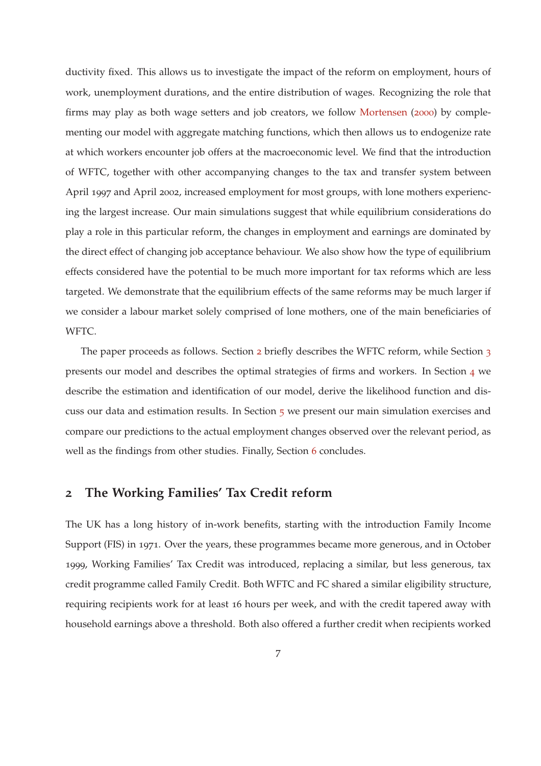<span id="page-6-1"></span>ductivity fixed. This allows us to investigate the impact of the reform on employment, hours of work, unemployment durations, and the entire distribution of wages. Recognizing the role that firms may play as both wage setters and job creators, we follow [Mortensen](#page-60-8) ([2000](#page-60-8)) by complementing our model with aggregate matching functions, which then allows us to endogenize rate at which workers encounter job offers at the macroeconomic level. We find that the introduction of WFTC, together with other accompanying changes to the tax and transfer system between April 1997 and April 2002, increased employment for most groups, with lone mothers experiencing the largest increase. Our main simulations suggest that while equilibrium considerations do play a role in this particular reform, the changes in employment and earnings are dominated by the direct effect of changing job acceptance behaviour. We also show how the type of equilibrium effects considered have the potential to be much more important for tax reforms which are less targeted. We demonstrate that the equilibrium effects of the same reforms may be much larger if we consider a labour market solely comprised of lone mothers, one of the main beneficiaries of WFTC.

The paper proceeds as follows. Section [2](#page-6-0) briefly describes the WFTC reform, while Section [3](#page-9-0) presents our model and describes the optimal strategies of firms and workers. In Section [4](#page-20-0) we describe the estimation and identification of our model, derive the likelihood function and discuss our data and estimation results. In Section [5](#page-37-0) we present our main simulation exercises and compare our predictions to the actual employment changes observed over the relevant period, as well as the findings from other studies. Finally, Section [6](#page-55-0) concludes.

## <span id="page-6-0"></span>**2 The Working Families' Tax Credit reform**

The UK has a long history of in-work benefits, starting with the introduction Family Income Support (FIS) in 1971. Over the years, these programmes became more generous, and in October 1999, Working Families' Tax Credit was introduced, replacing a similar, but less generous, tax credit programme called Family Credit. Both WFTC and FC shared a similar eligibility structure, requiring recipients work for at least 16 hours per week, and with the credit tapered away with household earnings above a threshold. Both also offered a further credit when recipients worked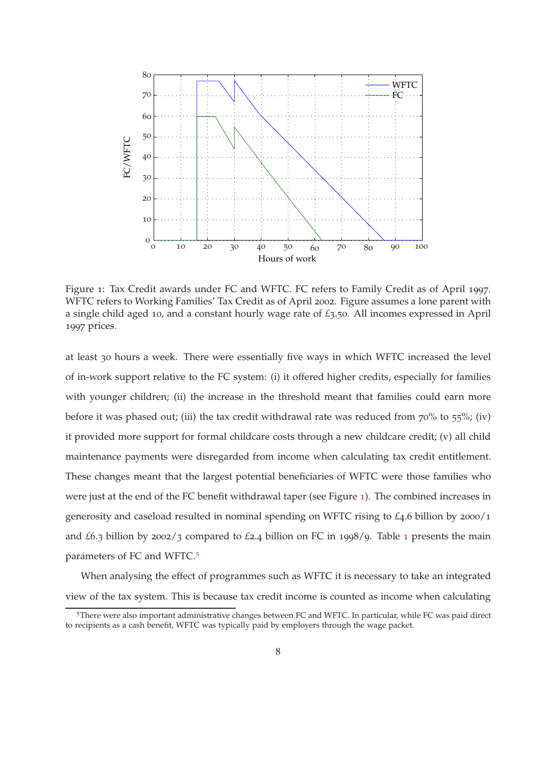<span id="page-7-0"></span>

Figure 1: Tax Credit awards under FC and WFTC. FC refers to Family Credit as of April 1997. WFTC refers to Working Families' Tax Credit as of April 2002. Figure assumes a lone parent with a single child aged 10, and a constant hourly wage rate of *£*3.50. All incomes expressed in April 1997 prices.

at least 30 hours a week. There were essentially five ways in which WFTC increased the level of in-work support relative to the FC system: (i) it offered higher credits, especially for families with younger children; (ii) the increase in the threshold meant that families could earn more before it was phased out; (iii) the tax credit withdrawal rate was reduced from 70% to 55%; (iv) it provided more support for formal childcare costs through a new childcare credit; (v) all child maintenance payments were disregarded from income when calculating tax credit entitlement. These changes meant that the largest potential beneficiaries of WFTC were those families who were just at the end of the FC benefit withdrawal taper (see Figure [1](#page-7-0)). The combined increases in generosity and caseload resulted in nominal spending on WFTC rising to *£*4.6 billion by 2000/1 and *£*6.3 billion by 2002/3 compared to *£*2.4 billion on FC in 1998/9. Table [1](#page-8-0) presents the main parameters of FC and WFTC.<sup>5</sup>

When analysing the effect of programmes such as WFTC it is necessary to take an integrated view of the tax system. This is because tax credit income is counted as income when calculating

<sup>5</sup>There were also important administrative changes between FC and WFTC. In particular, while FC was paid direct to recipients as a cash benefit, WFTC was typically paid by employers through the wage packet.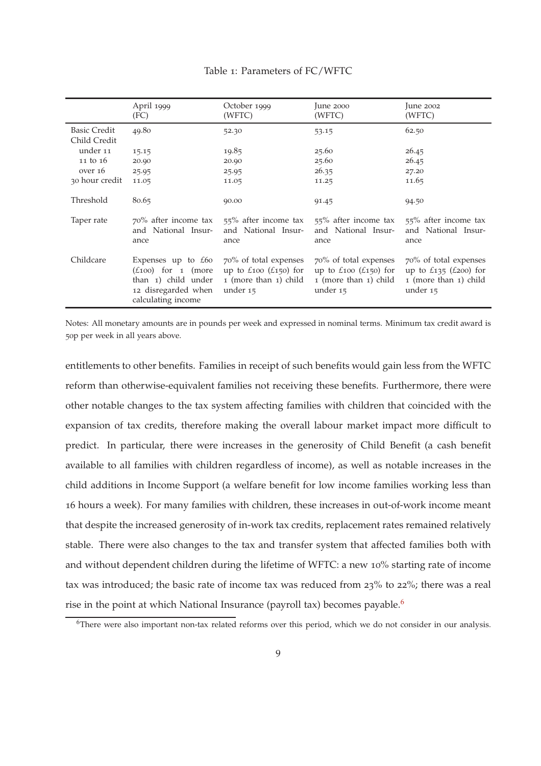#### Table 1: Parameters of FC/WFTC

<span id="page-8-0"></span>

|                                     | April 1999<br>(FC)                                                                                                            | October 1999<br>(WFTC)                                                                                                           | June 2000<br>(WFTC)                                                                                                              | June $2002$<br>(WFTC)                                                                     |
|-------------------------------------|-------------------------------------------------------------------------------------------------------------------------------|----------------------------------------------------------------------------------------------------------------------------------|----------------------------------------------------------------------------------------------------------------------------------|-------------------------------------------------------------------------------------------|
| <b>Basic Credit</b><br>Child Credit | 49.80                                                                                                                         | 52.30                                                                                                                            | 53.15                                                                                                                            | 62.50                                                                                     |
| under 11                            | 15.15                                                                                                                         | 19.85                                                                                                                            | 25.60                                                                                                                            | 26.45                                                                                     |
| 11 to 16                            | 20.90                                                                                                                         | 20.90                                                                                                                            | 25.60                                                                                                                            | 26.45                                                                                     |
| over 16                             | 25.95                                                                                                                         | 25.95                                                                                                                            | 26.35                                                                                                                            | 27.20                                                                                     |
| 30 hour credit                      | 11.05                                                                                                                         | 11.05                                                                                                                            | 11.25                                                                                                                            | 11.65                                                                                     |
| Threshold                           | 80.65                                                                                                                         | 90.00                                                                                                                            | 91.45                                                                                                                            | 94.50                                                                                     |
| Taper rate                          | 70% after income tax<br>and National Insur-<br>ance                                                                           | 55% after income tax<br>and National Insur-<br>ance                                                                              | 55% after income tax<br>and National Insur-<br>ance                                                                              | 55% after income tax<br>and National Insur-<br>ance                                       |
| Childcare                           | Expenses up to $£60$<br>$(\text{\pounds}100)$ for 1 (more<br>than 1) child under<br>12 disregarded when<br>calculating income | 70% of total expenses<br>up to $\text{\textsterling}100}$ ( $\text{\textsterling}150$ ) for<br>1 (more than 1) child<br>under 15 | 70% of total expenses<br>up to $\text{\textsterling}100}$ ( $\text{\textsterling}150$ ) for<br>1 (more than 1) child<br>under 15 | 70% of total expenses<br>up to $£135$ ( $£200$ ) for<br>1 (more than 1) child<br>under 15 |

Notes: All monetary amounts are in pounds per week and expressed in nominal terms. Minimum tax credit award is 50p per week in all years above.

entitlements to other benefits. Families in receipt of such benefits would gain less from the WFTC reform than otherwise-equivalent families not receiving these benefits. Furthermore, there were other notable changes to the tax system affecting families with children that coincided with the expansion of tax credits, therefore making the overall labour market impact more difficult to predict. In particular, there were increases in the generosity of Child Benefit (a cash benefit available to all families with children regardless of income), as well as notable increases in the child additions in Income Support (a welfare benefit for low income families working less than 16 hours a week). For many families with children, these increases in out-of-work income meant that despite the increased generosity of in-work tax credits, replacement rates remained relatively stable. There were also changes to the tax and transfer system that affected families both with and without dependent children during the lifetime of WFTC: a new 10% starting rate of income tax was introduced; the basic rate of income tax was reduced from 23% to 22%; there was a real rise in the point at which National Insurance (payroll tax) becomes payable.<sup>6</sup>

<sup>&</sup>lt;sup>6</sup>There were also important non-tax related reforms over this period, which we do not consider in our analysis.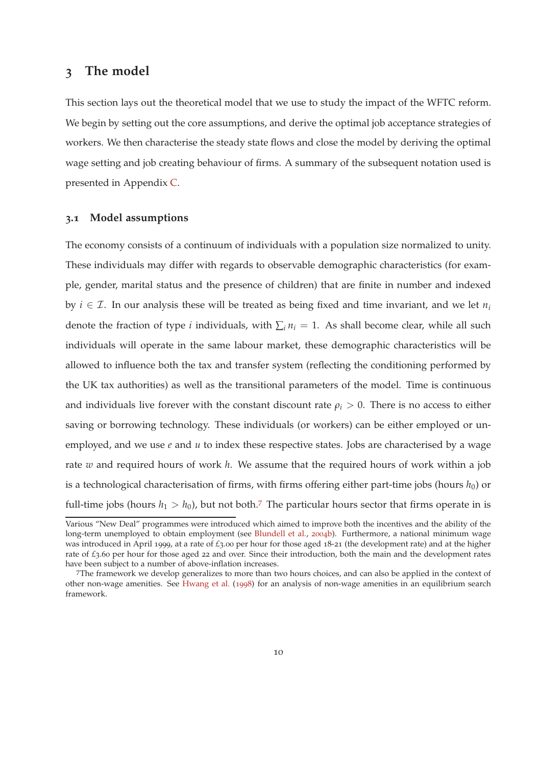### <span id="page-9-1"></span><span id="page-9-0"></span>**3 The model**

This section lays out the theoretical model that we use to study the impact of the WFTC reform. We begin by setting out the core assumptions, and derive the optimal job acceptance strategies of workers. We then characterise the steady state flows and close the model by deriving the optimal wage setting and job creating behaviour of firms. A summary of the subsequent notation used is presented in Appendix [C.](#page-66-0)

#### **3.1 Model assumptions**

The economy consists of a continuum of individuals with a population size normalized to unity. These individuals may differ with regards to observable demographic characteristics (for example, gender, marital status and the presence of children) that are finite in number and indexed by *i*  $\in \mathcal{I}$ . In our analysis these will be treated as being fixed and time invariant, and we let  $n_i$ denote the fraction of type *i* individuals, with  $\sum_i n_i = 1$ . As shall become clear, while all such individuals will operate in the same labour market, these demographic characteristics will be allowed to influence both the tax and transfer system (reflecting the conditioning performed by the UK tax authorities) as well as the transitional parameters of the model. Time is continuous and individuals live forever with the constant discount rate  $\rho_i > 0$ . There is no access to either saving or borrowing technology. These individuals (or workers) can be either employed or unemployed, and we use  $e$  and  $u$  to index these respective states. Jobs are characterised by a wage rate *w* and required hours of work *h*. We assume that the required hours of work within a job is a technological characterisation of firms, with firms offering either part-time jobs (hours  $h_0$ ) or full-time jobs (hours  $h_1 > h_0$ ), but not both.<sup>7</sup> The particular hours sector that firms operate in is

Various "New Deal" programmes were introduced which aimed to improve both the incentives and the ability of the long-term unemployed to obtain employment (see [Blundell et al.,](#page-57-7) [2004](#page-57-7)b). Furthermore, a national minimum wage was introduced in April 1999, at a rate of *£*3.00 per hour for those aged 18-21 (the development rate) and at the higher rate of *£*3.60 per hour for those aged 22 and over. Since their introduction, both the main and the development rates have been subject to a number of above-inflation increases.

<sup>7</sup>The framework we develop generalizes to more than two hours choices, and can also be applied in the context of other non-wage amenities. See [Hwang et al.](#page-59-7) ([1998](#page-59-7)) for an analysis of non-wage amenities in an equilibrium search framework.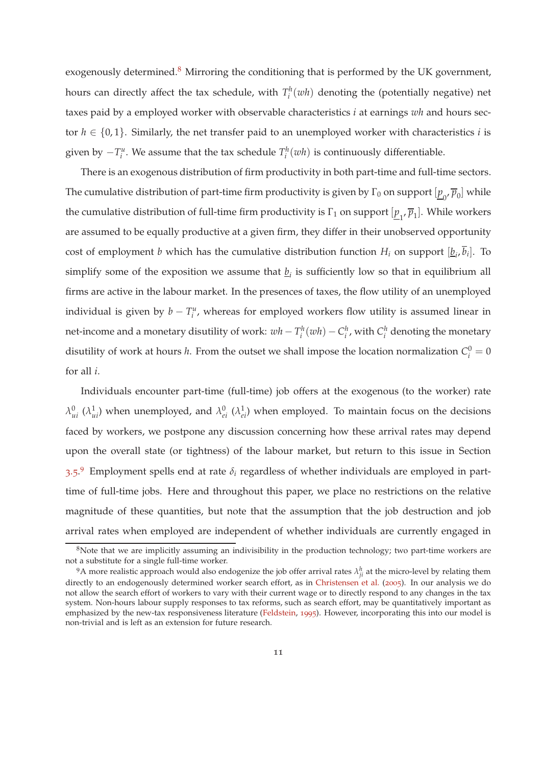<span id="page-10-0"></span>exogenously determined. $8$  Mirroring the conditioning that is performed by the UK government, hours can directly affect the tax schedule, with  $T_i^h(wh)$  denoting the (potentially negative) net taxes paid by a employed worker with observable characteristics *i* at earnings *wh* and hours sector  $h \in \{0,1\}$ . Similarly, the net transfer paid to an unemployed worker with characteristics *i* is given by  $-T_i^u$ . We assume that the tax schedule  $T_i^h(wh)$  is continuously differentiable.

There is an exogenous distribution of firm productivity in both part-time and full-time sectors. The cumulative distribution of part-time firm productivity is given by  $\Gamma_0$  on support  $[\underline{p}_0,\overline{p}_0]$  while the cumulative distribution of full-time firm productivity is Γ<sub>1</sub> on support  $[\underline{p}_1, \overline{p}_1]$ . While workers are assumed to be equally productive at a given firm, they differ in their unobserved opportunity cost of employment *b* which has the cumulative distribution function  $H_i$  on support  $[\underline{b}_i, b_i]$ . To simplify some of the exposition we assume that  $\underline{b}_i$  is sufficiently low so that in equilibrium all firms are active in the labour market. In the presences of taxes, the flow utility of an unemployed individual is given by  $b - T_i^u$ , whereas for employed workers flow utility is assumed linear in net-income and a monetary disutility of work:  $wh - T_i^h(wh) - C_i^h$ , with  $C_i^h$  denoting the monetary disutility of work at hours *h*. From the outset we shall impose the location normalization  $C_i^0 = 0$ for all *i*.

Individuals encounter part-time (full-time) job offers at the exogenous (to the worker) rate  $λ_{ui}^0$  ( $λ_{ui}^1$ ) when unemployed, and  $λ_{ei}^0$  ( $λ_{ei}^1$ ) when employed. To maintain focus on the decisions faced by workers, we postpone any discussion concerning how these arrival rates may depend upon the overall state (or tightness) of the labour market, but return to this issue in Section [3](#page-18-0).5. <sup>9</sup> Employment spells end at rate *δ<sup>i</sup>* regardless of whether individuals are employed in parttime of full-time jobs. Here and throughout this paper, we place no restrictions on the relative magnitude of these quantities, but note that the assumption that the job destruction and job arrival rates when employed are independent of whether individuals are currently engaged in

<sup>&</sup>lt;sup>8</sup>Note that we are implicitly assuming an indivisibility in the production technology; two part-time workers are not a substitute for a single full-time worker.

<sup>&</sup>lt;sup>9</sup>A more realistic approach would also endogenize the job offer arrival rates  $\lambda_{ji}^h$  at the micro-level by relating them directly to an endogenously determined worker search effort, as in [Christensen et al.](#page-58-8) ([2005](#page-58-8)). In our analysis we do not allow the search effort of workers to vary with their current wage or to directly respond to any changes in the tax system. Non-hours labour supply responses to tax reforms, such as search effort, may be quantitatively important as emphasized by the new-tax responsiveness literature [\(Feldstein](#page-59-8), [1995](#page-59-8)). However, incorporating this into our model is non-trivial and is left as an extension for future research.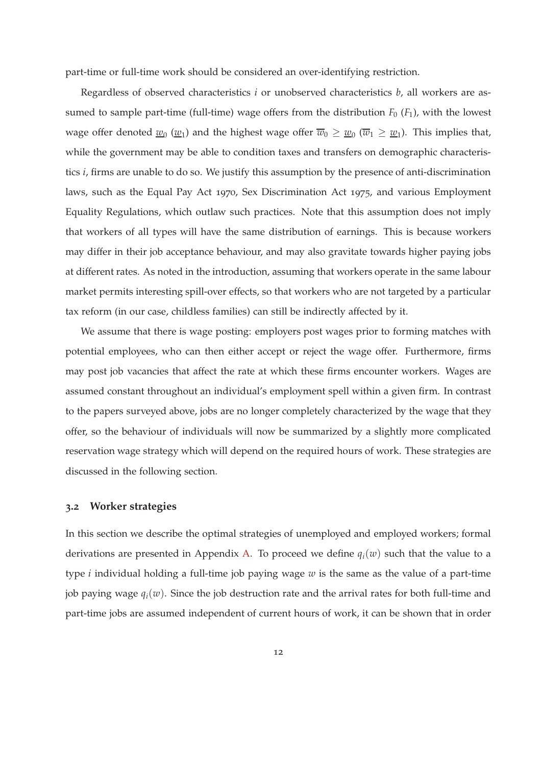part-time or full-time work should be considered an over-identifying restriction.

Regardless of observed characteristics *i* or unobserved characteristics *b*, all workers are assumed to sample part-time (full-time) wage offers from the distribution  $F_0$  ( $F_1$ ), with the lowest wage offer denoted  $\underline{w}_0$  ( $\underline{w}_1$ ) and the highest wage offer  $\overline{w}_0\geq \underline{w}_0$  ( $\overline{w}_1\geq \underline{w}_1$ ). This implies that, while the government may be able to condition taxes and transfers on demographic characteristics *i*, firms are unable to do so. We justify this assumption by the presence of anti-discrimination laws, such as the Equal Pay Act 1970, Sex Discrimination Act 1975, and various Employment Equality Regulations, which outlaw such practices. Note that this assumption does not imply that workers of all types will have the same distribution of earnings. This is because workers may differ in their job acceptance behaviour, and may also gravitate towards higher paying jobs at different rates. As noted in the introduction, assuming that workers operate in the same labour market permits interesting spill-over effects, so that workers who are not targeted by a particular tax reform (in our case, childless families) can still be indirectly affected by it.

We assume that there is wage posting: employers post wages prior to forming matches with potential employees, who can then either accept or reject the wage offer. Furthermore, firms may post job vacancies that affect the rate at which these firms encounter workers. Wages are assumed constant throughout an individual's employment spell within a given firm. In contrast to the papers surveyed above, jobs are no longer completely characterized by the wage that they offer, so the behaviour of individuals will now be summarized by a slightly more complicated reservation wage strategy which will depend on the required hours of work. These strategies are discussed in the following section.

#### <span id="page-11-0"></span>**3.2 Worker strategies**

In this section we describe the optimal strategies of unemployed and employed workers; formal derivations are presented in Appendix [A.](#page-62-0) To proceed we define  $q_i(w)$  such that the value to a type *i* individual holding a full-time job paying wage *w* is the same as the value of a part-time job paying wage  $q_i(w)$ . Since the job destruction rate and the arrival rates for both full-time and part-time jobs are assumed independent of current hours of work, it can be shown that in order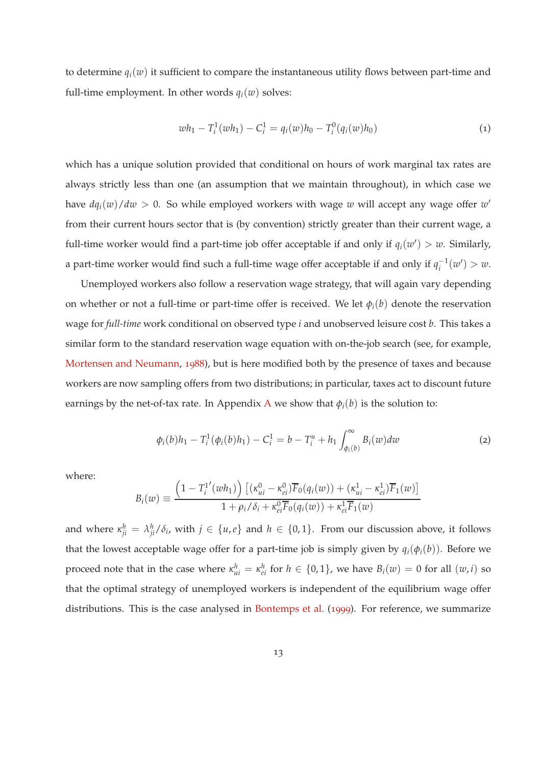<span id="page-12-2"></span>to determine  $q_i(w)$  it sufficient to compare the instantaneous utility flows between part-time and full-time employment. In other words  $q_i(w)$  solves:

<span id="page-12-0"></span>
$$
wh_1 - T_i^1(wh_1) - C_i^1 = q_i(w)h_0 - T_i^0(q_i(w)h_0)
$$
\n(1)

which has a unique solution provided that conditional on hours of work marginal tax rates are always strictly less than one (an assumption that we maintain throughout), in which case we have  $dq_i(w)/dw > 0$ . So while employed workers with wage w will accept any wage offer w' from their current hours sector that is (by convention) strictly greater than their current wage, a full-time worker would find a part-time job offer acceptable if and only if  $q_i(w') > w$ . Similarly, a part-time worker would find such a full-time wage offer acceptable if and only if  $q_i^{-1}$  $i^{-1}(w') > w.$ 

Unemployed workers also follow a reservation wage strategy, that will again vary depending on whether or not a full-time or part-time offer is received. We let *φi*(*b*) denote the reservation wage for *full-time* work conditional on observed type *i* and unobserved leisure cost *b*. This takes a similar form to the standard reservation wage equation with on-the-job search (see, for example, [Mortensen and Neumann](#page-60-9), [1988](#page-60-9)), but is here modified both by the presence of taxes and because workers are now sampling offers from two distributions; in particular, taxes act to discount future earnings by the net-of-tax rate. In [A](#page-62-0)ppendix A we show that  $\phi_i(b)$  is the solution to:

<span id="page-12-1"></span>
$$
\phi_i(b)h_1 - T_i^1(\phi_i(b)h_1) - C_i^1 = b - T_i^u + h_1 \int_{\phi_i(b)}^{\infty} B_i(w)dw
$$
\n(2)

where:

$$
B_i(w) \equiv \frac{\left(1 - T_i^{1'}(wh_1)\right) \left[ (\kappa_{ui}^0 - \kappa_{ei}^0) \overline{F}_0(q_i(w)) + (\kappa_{ui}^1 - \kappa_{ei}^1) \overline{F}_1(w) \right]}{1 + \rho_i / \delta_i + \kappa_{ei}^0 \overline{F}_0(q_i(w)) + \kappa_{ei}^1 \overline{F}_1(w)}
$$

and where  $\kappa_{ji}^h = \lambda_{ji}^h/\delta_i$ , with  $j \in \{u,e\}$  and  $h \in \{0,1\}$ . From our discussion above, it follows that the lowest acceptable wage offer for a part-time job is simply given by  $q_i(\phi_i(b))$ . Before we proceed note that in the case where  $\kappa_{ui}^h = \kappa_{ei}^h$  for  $h \in \{0,1\}$ , we have  $B_i(w) = 0$  for all  $(w, i)$  so that the optimal strategy of unemployed workers is independent of the equilibrium wage offer distributions. This is the case analysed in [Bontemps et al.](#page-58-7) ([1999](#page-58-7)). For reference, we summarize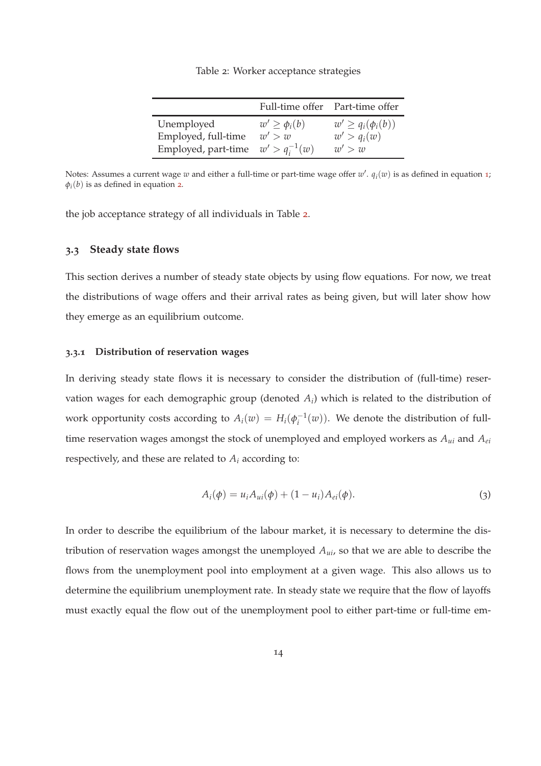Table 2: Worker acceptance strategies

<span id="page-13-0"></span>

|                                        |                     | Full-time offer Part-time offer |
|----------------------------------------|---------------------|---------------------------------|
| Unemployed                             | $w' \geq \phi_i(b)$ | $w' \geq q_i(\phi_i(b))$        |
| Employed, full-time                    | w' > w              | $w' > q_i(w)$                   |
| Employed, part-time $w' > q_i^{-1}(w)$ |                     | w' > w                          |

Notes: Assumes a current wage  $w$  and either a full-time or part-time wage offer  $w'$ .  $q_i(w)$  is as defined in equation [1](#page-12-0);  $\varphi_i(b)$  is as defined in equation [2](#page-12-1).

the job acceptance strategy of all individuals in Table [2](#page-13-0).

#### **3.3 Steady state flows**

This section derives a number of steady state objects by using flow equations. For now, we treat the distributions of wage offers and their arrival rates as being given, but will later show how they emerge as an equilibrium outcome.

#### <span id="page-13-2"></span>**3.3.1 Distribution of reservation wages**

In deriving steady state flows it is necessary to consider the distribution of (full-time) reservation wages for each demographic group (denoted *A<sup>i</sup>* ) which is related to the distribution of work opportunity costs according to  $A_i(w) = H_i(\phi_i^{-1})$  $i_{i}^{-1}(w)$ ). We denote the distribution of fulltime reservation wages amongst the stock of unemployed and employed workers as *Aui* and *Aei* respectively, and these are related to  $A_i$  according to:

<span id="page-13-1"></span>
$$
A_i(\phi) = u_i A_{ui}(\phi) + (1 - u_i) A_{ei}(\phi).
$$
 (3)

In order to describe the equilibrium of the labour market, it is necessary to determine the distribution of reservation wages amongst the unemployed *Aui*, so that we are able to describe the flows from the unemployment pool into employment at a given wage. This also allows us to determine the equilibrium unemployment rate. In steady state we require that the flow of layoffs must exactly equal the flow out of the unemployment pool to either part-time or full-time em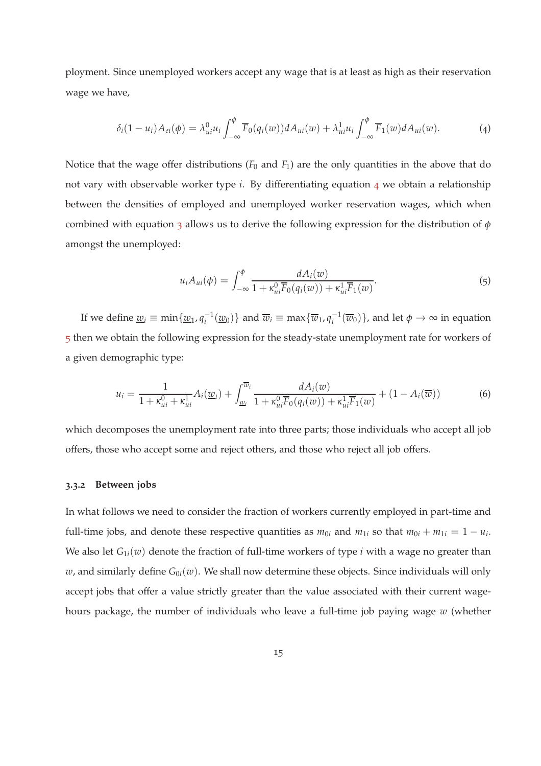ployment. Since unemployed workers accept any wage that is at least as high as their reservation wage we have,

<span id="page-14-0"></span>
$$
\delta_i(1-u_i)A_{ei}(\phi) = \lambda_{ui}^0 u_i \int_{-\infty}^{\phi} \overline{F}_0(q_i(w)) dA_{ui}(w) + \lambda_{ui}^1 u_i \int_{-\infty}^{\phi} \overline{F}_1(w) dA_{ui}(w).
$$
 (4)

Notice that the wage offer distributions  $(F_0$  and  $F_1$ ) are the only quantities in the above that do not vary with observable worker type *i*. By differentiating equation [4](#page-14-0) we obtain a relationship between the densities of employed and unemployed worker reservation wages, which when combined with equation [3](#page-13-1) allows us to derive the following expression for the distribution of *φ* amongst the unemployed:

<span id="page-14-1"></span>
$$
u_i A_{ui}(\phi) = \int_{-\infty}^{\phi} \frac{dA_i(w)}{1 + \kappa_{ui}^0 \overline{F}_0(q_i(w)) + \kappa_{ui}^1 \overline{F}_1(w)}.
$$
\n(5)

If we define  $\underline{w}_i \equiv \min\{\underline{w}_1, q_i^{-1}(\underline{w}_0)\}\$  and  $\overline{w}_i \equiv \max\{\overline{w}_1, q_i^{-1}(\overline{w}_0)\}\$ , and let  $\phi \to \infty$  in equation [5](#page-14-1) then we obtain the following expression for the steady-state unemployment rate for workers of a given demographic type:

$$
u_i = \frac{1}{1 + \kappa_{ui}^0 + \kappa_{ui}^1} A_i(\underline{w}_i) + \int_{\underline{w}_i}^{\overline{w}_i} \frac{dA_i(w)}{1 + \kappa_{ui}^0 \overline{F}_0(q_i(w)) + \kappa_{ui}^1 \overline{F}_1(w)} + (1 - A_i(\overline{w})))
$$
(6)

which decomposes the unemployment rate into three parts; those individuals who accept all job offers, those who accept some and reject others, and those who reject all job offers.

#### **3.3.2 Between jobs**

In what follows we need to consider the fraction of workers currently employed in part-time and full-time jobs, and denote these respective quantities as  $m_{0i}$  and  $m_{1i}$  so that  $m_{0i} + m_{1i} = 1 - u_i$ . We also let  $G_{1i}(w)$  denote the fraction of full-time workers of type *i* with a wage no greater than *w*, and similarly define  $G_{0i}(w)$ . We shall now determine these objects. Since individuals will only accept jobs that offer a value strictly greater than the value associated with their current wagehours package, the number of individuals who leave a full-time job paying wage *w* (whether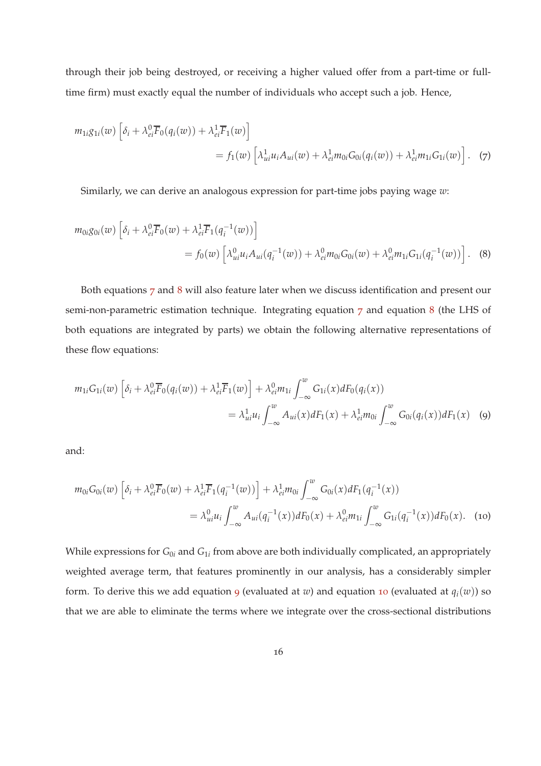through their job being destroyed, or receiving a higher valued offer from a part-time or fulltime firm) must exactly equal the number of individuals who accept such a job. Hence,

$$
m_{1i}g_{1i}(w)\left[\delta_i + \lambda_{ei}^0\overline{F}_0(q_i(w)) + \lambda_{ei}^1\overline{F}_1(w)\right]
$$
  
=  $f_1(w)\left[\lambda_{ui}^1u_iA_{ui}(w) + \lambda_{ei}^1m_{0i}G_{0i}(q_i(w)) + \lambda_{ei}^1m_{1i}G_{1i}(w)\right].$  (7)

<span id="page-15-1"></span><span id="page-15-0"></span>Similarly, we can derive an analogous expression for part-time jobs paying wage *w*:

$$
m_{0i}g_{0i}(w)\left[\delta_i + \lambda_{ei}^0\overline{F}_0(w) + \lambda_{ei}^1\overline{F}_1(q_i^{-1}(w))\right]
$$
  
=  $f_0(w)\left[\lambda_{ui}^0u_iA_{ui}(q_i^{-1}(w)) + \lambda_{ei}^0m_{0i}G_{0i}(w) + \lambda_{ei}^0m_{1i}G_{1i}(q_i^{-1}(w))\right].$  (8)

Both equations [7](#page-15-0) and [8](#page-15-1) will also feature later when we discuss identification and present our semi-non-parametric estimation technique. Integrating equation [7](#page-15-0) and equation [8](#page-15-1) (the LHS of both equations are integrated by parts) we obtain the following alternative representations of these flow equations:

<span id="page-15-2"></span>
$$
m_{1i}G_{1i}(w)\left[\delta_i + \lambda_{ei}^0 \overline{F}_0(q_i(w)) + \lambda_{ei}^1 \overline{F}_1(w)\right] + \lambda_{ei}^0 m_{1i} \int_{-\infty}^w G_{1i}(x) dF_0(q_i(x))
$$
  
=  $\lambda_{ui}^1 u_i \int_{-\infty}^w A_{ui}(x) dF_1(x) + \lambda_{ei}^1 m_{0i} \int_{-\infty}^w G_{0i}(q_i(x)) dF_1(x)$  (9)

and:

<span id="page-15-3"></span>
$$
m_{0i}G_{0i}(w)\left[\delta_i + \lambda_{ei}^0 \overline{F}_0(w) + \lambda_{ei}^1 \overline{F}_1(q_i^{-1}(w))\right] + \lambda_{ei}^1 m_{0i} \int_{-\infty}^w G_{0i}(x) dF_1(q_i^{-1}(x))
$$
  
=  $\lambda_{ui}^0 u_i \int_{-\infty}^w A_{ui}(q_i^{-1}(x)) dF_0(x) + \lambda_{ei}^0 m_{1i} \int_{-\infty}^w G_{1i}(q_i^{-1}(x)) dF_0(x).$  (10)

While expressions for  $G_{0i}$  and  $G_{1i}$  from above are both individually complicated, an appropriately weighted average term, that features prominently in our analysis, has a considerably simpler form. To derive this we add equation [9](#page-15-2) (evaluated at *w*) and equation [10](#page-15-3) (evaluated at  $q_i(w)$ ) so that we are able to eliminate the terms where we integrate over the cross-sectional distributions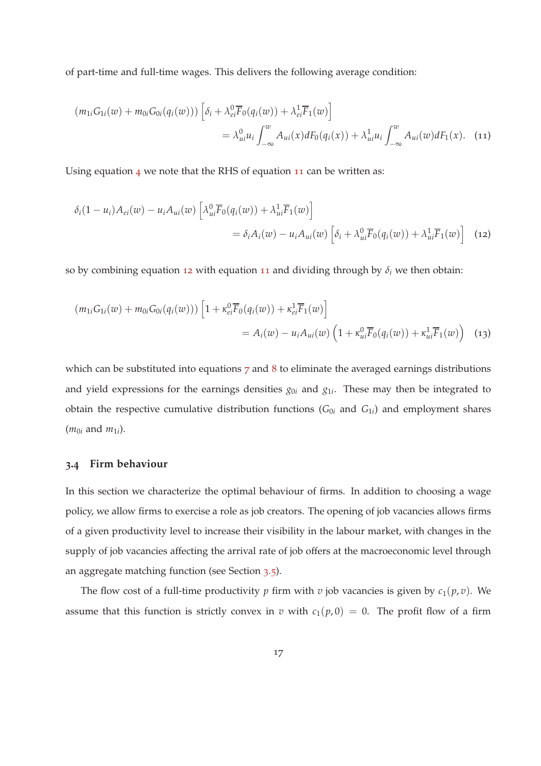of part-time and full-time wages. This delivers the following average condition:

<span id="page-16-0"></span>
$$
(m_{1i}G_{1i}(w) + m_{0i}G_{0i}(q_i(w)))\left[\delta_i + \lambda_{ei}^0 \overline{F}_0(q_i(w)) + \lambda_{ei}^1 \overline{F}_1(w)\right]
$$
  

$$
= \lambda_{ui}^0 u_i \int_{-\infty}^w A_{ui}(x) dF_0(q_i(x)) + \lambda_{ui}^1 u_i \int_{-\infty}^w A_{ui}(w) dF_1(x). \quad (11)
$$

Using equation  $4$  we note that the RHS of equation  $11$  can be written as:

<span id="page-16-1"></span>
$$
\delta_i(1 - u_i) A_{ei}(w) - u_i A_{ui}(w) \left[ \lambda_{ui}^0 \overline{F}_0(q_i(w)) + \lambda_{ui}^1 \overline{F}_1(w) \right]
$$
  
=  $\delta_i A_i(w) - u_i A_{ui}(w) \left[ \delta_i + \lambda_{ui}^0 \overline{F}_0(q_i(w)) + \lambda_{ui}^1 \overline{F}_1(w) \right]$  (12)

so by combining equation [12](#page-16-1) with equation [11](#page-16-0) and dividing through by  $\delta_i$  we then obtain:

<span id="page-16-2"></span>
$$
(m_{1i}G_{1i}(w) + m_{0i}G_{0i}(q_i(w)))\left[1 + \kappa_{ei}^0 \overline{F}_0(q_i(w)) + \kappa_{ei}^1 \overline{F}_1(w)\right]
$$
  
=  $A_i(w) - u_i A_{ui}(w) \left(1 + \kappa_{ui}^0 \overline{F}_0(q_i(w)) + \kappa_{ui}^1 \overline{F}_1(w)\right)$  (13)

which can be substituted into equations  $7$  and  $8$  to eliminate the averaged earnings distributions and yield expressions for the earnings densities  $g_{0i}$  and  $g_{1i}$ . These may then be integrated to obtain the respective cumulative distribution functions ( $G_{0i}$  and  $G_{1i}$ ) and employment shares  $(m_{0i}$  and  $m_{1i}$ ).

#### **3.4 Firm behaviour**

In this section we characterize the optimal behaviour of firms. In addition to choosing a wage policy, we allow firms to exercise a role as job creators. The opening of job vacancies allows firms of a given productivity level to increase their visibility in the labour market, with changes in the supply of job vacancies affecting the arrival rate of job offers at the macroeconomic level through an aggregate matching function (see Section [3](#page-18-0).5).

The flow cost of a full-time productivity  $p$  firm with  $v$  job vacancies is given by  $c_1(p, v)$ . We assume that this function is strictly convex in *v* with  $c_1(p, 0) = 0$ . The profit flow of a firm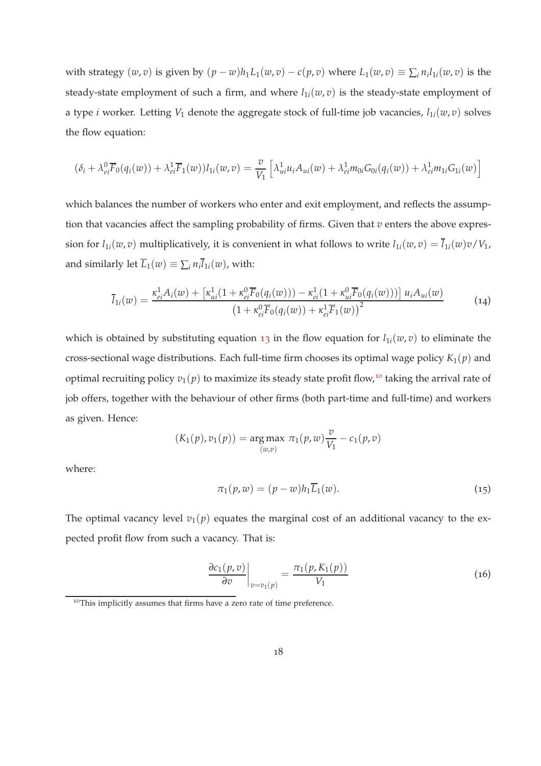with strategy  $(w, v)$  is given by  $(p - w)h_1L_1(w, v) - c(p, v)$  where  $L_1(w, v) \equiv \sum_i n_i l_{1i}(w, v)$  is the steady-state employment of such a firm, and where  $l_{1i}(w, v)$  is the steady-state employment of a type *i* worker. Letting *V*<sup>1</sup> denote the aggregate stock of full-time job vacancies, *l*1*i*(*w*, *v*) solves the flow equation:

$$
(\delta_i + \lambda_{ei}^0 \overline{F}_0(q_i(w)) + \lambda_{ei}^1 \overline{F}_1(w))l_{1i}(w,v) = \frac{v}{V_1} \left[ \lambda_{ui}^1 u_i A_{ui}(w) + \lambda_{ei}^1 m_{0i} G_{0i}(q_i(w)) + \lambda_{ei}^1 m_{1i} G_{1i}(w) \right]
$$

which balances the number of workers who enter and exit employment, and reflects the assumption that vacancies affect the sampling probability of firms. Given that *v* enters the above expression for  $l_{1i}(w, v)$  multiplicatively, it is convenient in what follows to write  $l_{1i}(w, v) = \overline{l}_{1i}(w)v/V_1$ , and similarly let  $\overline{L}_1(w) \equiv \sum_i n_i l_{1i}(w)$ , with:

<span id="page-17-2"></span>
$$
\overline{l}_{1i}(w) = \frac{\kappa_{ei}^1 A_i(w) + \left[\kappa_{ui}^1 (1 + \kappa_{ei}^0 \overline{F}_0(q_i(w))) - \kappa_{ei}^1 (1 + \kappa_{ui}^0 \overline{F}_0(q_i(w)))\right] u_i A_{ui}(w)}{(1 + \kappa_{ei}^0 \overline{F}_0(q_i(w)) + \kappa_{ei}^1 \overline{F}_1(w))^2}
$$
(14)

which is obtained by substituting equation [13](#page-16-2) in the flow equation for  $l_{1i}(w, v)$  to eliminate the cross-sectional wage distributions. Each full-time firm chooses its optimal wage policy  $K_1(p)$  and optimal recruiting policy  $v_1(p)$  to maximize its steady state profit flow,<sup>10</sup> taking the arrival rate of job offers, together with the behaviour of other firms (both part-time and full-time) and workers as given. Hence:

$$
(K_1(p), v_1(p)) = \underset{(w,v)}{\text{arg max}} \pi_1(p, w) \frac{v}{V_1} - c_1(p, v)
$$

where:

<span id="page-17-0"></span>
$$
\pi_1(p, w) = (p - w)h_1 \overline{L}_1(w). \tag{15}
$$

The optimal vacancy level  $v_1(p)$  equates the marginal cost of an additional vacancy to the expected profit flow from such a vacancy. That is:

<span id="page-17-1"></span>
$$
\left. \frac{\partial c_1(p, v)}{\partial v} \right|_{v = v_1(p)} = \frac{\pi_1(p, K_1(p))}{V_1} \tag{16}
$$

<sup>&</sup>lt;sup>10</sup>This implicitly assumes that firms have a zero rate of time preference.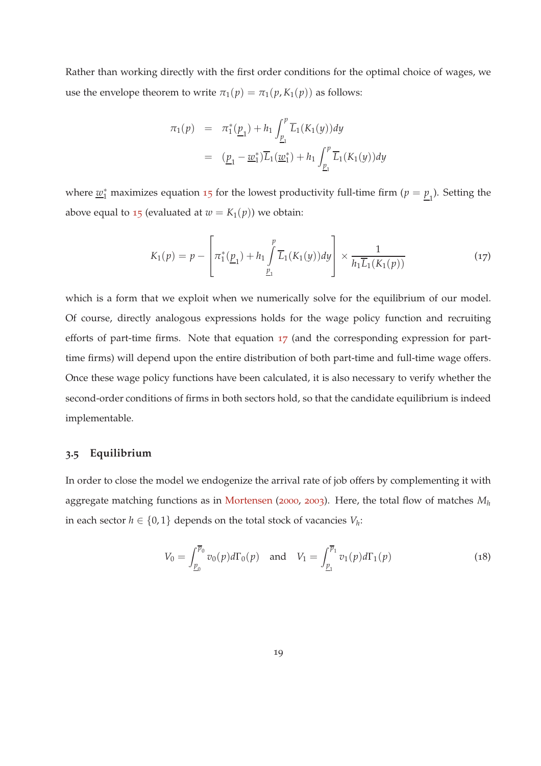<span id="page-18-3"></span>Rather than working directly with the first order conditions for the optimal choice of wages, we use the envelope theorem to write  $\pi_1(p) = \pi_1(p, K_1(p))$  as follows:

$$
\pi_1(p) = \pi_1^*(\underline{p}_1) + h_1 \int_{\underline{p}_1}^p \overline{L}_1(K_1(y)) dy
$$
  
= 
$$
(\underline{p}_1 - \underline{w}_1^*) \overline{L}_1(\underline{w}_1^*) + h_1 \int_{\underline{p}_1}^p \overline{L}_1(K_1(y)) dy
$$

where  $\underline{w}_1^*$  maximizes equation [15](#page-17-0) for the lowest productivity full-time firm ( $p = \underline{p}_1$ ). Setting the above equal to [15](#page-17-0) (evaluated at  $w = K_1(p)$ ) we obtain:

<span id="page-18-1"></span>
$$
K_1(p) = p - \left[ \pi_1^*(\underline{p}_1) + h_1 \int_{\underline{p}_1}^p \overline{L}_1(K_1(y)) dy \right] \times \frac{1}{h_1 \overline{L}_1(K_1(p))}
$$
(17)

which is a form that we exploit when we numerically solve for the equilibrium of our model. Of course, directly analogous expressions holds for the wage policy function and recruiting efforts of part-time firms. Note that equation [17](#page-18-1) (and the corresponding expression for parttime firms) will depend upon the entire distribution of both part-time and full-time wage offers. Once these wage policy functions have been calculated, it is also necessary to verify whether the second-order conditions of firms in both sectors hold, so that the candidate equilibrium is indeed implementable.

#### <span id="page-18-0"></span>**3.5 Equilibrium**

In order to close the model we endogenize the arrival rate of job offers by complementing it with aggregate matching functions as in [Mortensen](#page-60-8) ([2000](#page-60-8), [2003](#page-61-6)). Here, the total flow of matches *M<sup>h</sup>* in each sector  $h \in \{0,1\}$  depends on the total stock of vacancies  $V_h$ :

<span id="page-18-2"></span>
$$
V_0 = \int_{\underline{p}_0}^{\overline{p}_0} v_0(p) d\Gamma_0(p) \quad \text{and} \quad V_1 = \int_{\underline{p}_1}^{\overline{p}_1} v_1(p) d\Gamma_1(p) \tag{18}
$$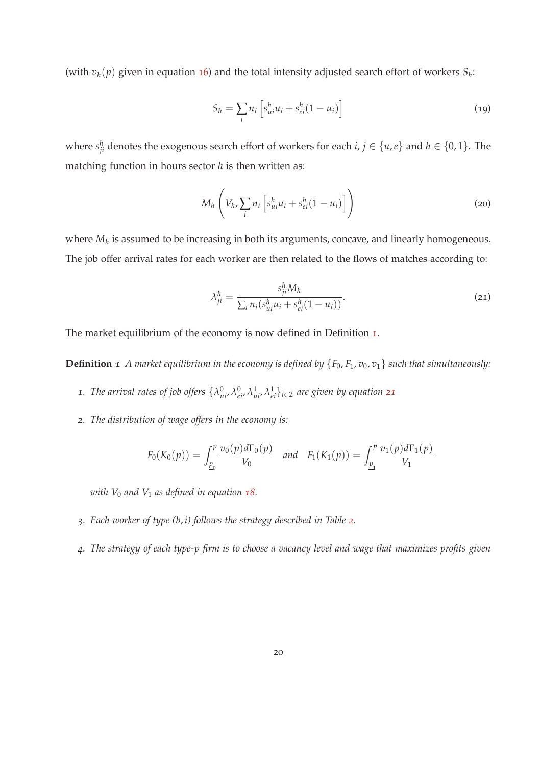(with  $v_h(p)$  given in equation [16](#page-17-1)) and the total intensity adjusted search effort of workers  $S_h$ :

$$
S_h = \sum_i n_i \left[ s_{ui}^h u_i + s_{ei}^h (1 - u_i) \right] \tag{19}
$$

where  $s_{ji}^h$  denotes the exogenous search effort of workers for each  $i, j \in \{u, e\}$  and  $h \in \{0, 1\}$ . The matching function in hours sector *h* is then written as:

<span id="page-19-3"></span>
$$
M_h \left( V_h, \sum_i n_i \left[ s_{ui}^h u_i + s_{ei}^h (1 - u_i) \right] \right) \tag{20}
$$

where *M<sup>h</sup>* is assumed to be increasing in both its arguments, concave, and linearly homogeneous. The job offer arrival rates for each worker are then related to the flows of matches according to:

<span id="page-19-1"></span>
$$
\lambda_{ji}^{h} = \frac{s_{ji}^{h} M_{h}}{\sum_{i} n_{i} (s_{ui}^{h} u_{i} + s_{ei}^{h} (1 - u_{i}))}.
$$
\n(21)

<span id="page-19-0"></span>The market equilibrium of the economy is now defined in Definition [1](#page-19-0).

**Definition 1** *A market equilibrium in the economy is defined by*  ${F_0, F_1, v_0, v_1}$  *such that simultaneously:* 

- <span id="page-19-2"></span>1. The arrival rates of job offers  $\{\lambda^0_{ui}, \lambda^0_{ei}, \lambda^1_{ui}, \lambda^1_{ei}\}_{i \in \mathcal{I}}$  are given by equation [21](#page-19-1)
- *2. The distribution of wage offers in the economy is:*

$$
F_0(K_0(p)) = \int_{\underline{p}_0}^p \frac{v_0(p) d\Gamma_0(p)}{V_0} \quad \text{and} \quad F_1(K_1(p)) = \int_{\underline{p}_1}^p \frac{v_1(p) d\Gamma_1(p)}{V_1}
$$

*with V*<sup>0</sup> *and V*<sup>1</sup> *as defined in equation [18](#page-18-2).*

- *3. Each worker of type (b*, *i) follows the strategy described in Table [2](#page-13-0).*
- *4. The strategy of each type-p firm is to choose a vacancy level and wage that maximizes profits given*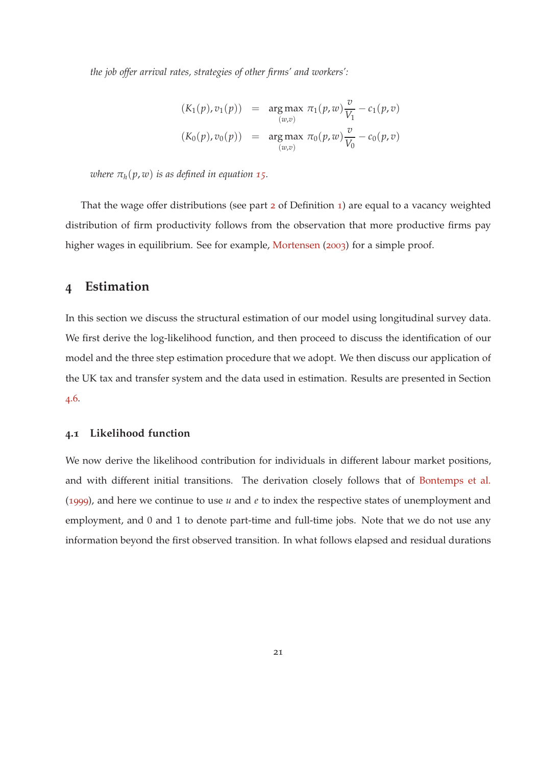<span id="page-20-2"></span>*the job offer arrival rates, strategies of other firms' and workers':*

$$
(K_1(p), v_1(p)) = \arg \max_{(w,v)} \pi_1(p, w) \frac{v}{V_1} - c_1(p, v)
$$
  

$$
(K_0(p), v_0(p)) = \arg \max_{(w,v)} \pi_0(p, w) \frac{v}{V_0} - c_0(p, v)
$$

*where*  $\pi_h(p, w)$  *is as defined in equation* [15](#page-17-0)*.* 

That the wage offer distributions (see part [2](#page-19-2) of Definition [1](#page-19-0)) are equal to a vacancy weighted distribution of firm productivity follows from the observation that more productive firms pay higher wages in equilibrium. See for example, [Mortensen](#page-61-6) ([2003](#page-61-6)) for a simple proof.

## <span id="page-20-0"></span>**4 Estimation**

In this section we discuss the structural estimation of our model using longitudinal survey data. We first derive the log-likelihood function, and then proceed to discuss the identification of our model and the three step estimation procedure that we adopt. We then discuss our application of the UK tax and transfer system and the data used in estimation. Results are presented in Section [4](#page-30-0).6.

#### <span id="page-20-1"></span>**4.1 Likelihood function**

We now derive the likelihood contribution for individuals in different labour market positions, and with different initial transitions. The derivation closely follows that of [Bontemps et al.](#page-58-7) ([1999](#page-58-7)), and here we continue to use *u* and *e* to index the respective states of unemployment and employment, and 0 and 1 to denote part-time and full-time jobs. Note that we do not use any information beyond the first observed transition. In what follows elapsed and residual durations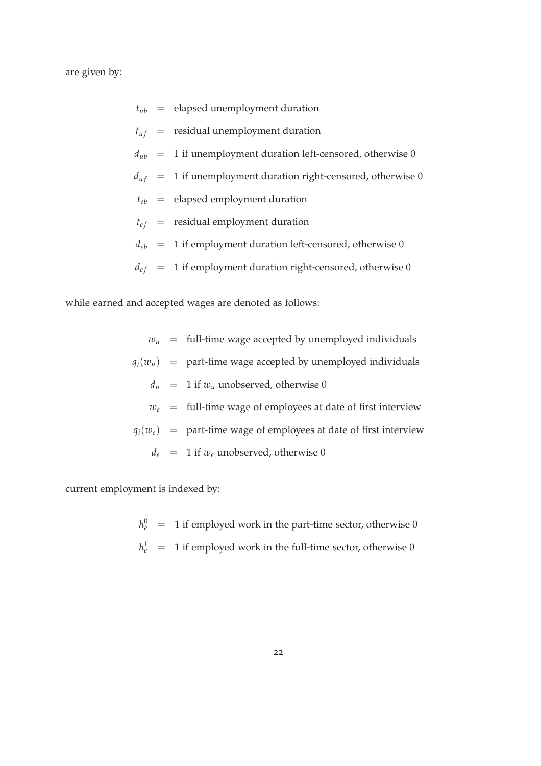are given by:

|  | $t_{ub}$ = elapsed unemployment duration                          |
|--|-------------------------------------------------------------------|
|  | $t_{uf}$ = residual unemployment duration                         |
|  | $d_{ub}$ = 1 if unemployment duration left-censored, otherwise 0  |
|  | $d_{uf}$ = 1 if unemployment duration right-censored, otherwise 0 |
|  | $t_{eb}$ = elapsed employment duration                            |
|  | $t_{ef}$ = residual employment duration                           |
|  | $d_{eb}$ = 1 if employment duration left-censored, otherwise 0    |
|  | $d_{ef}$ = 1 if employment duration right-censored, otherwise 0   |

while earned and accepted wages are denoted as follows:

 $w_u$  = full-time wage accepted by unemployed individuals  $q_i(w_u)$  = part-time wage accepted by unemployed individuals  $d_u$  = 1 if  $w_u$  unobserved, otherwise 0  $w_e$  = full-time wage of employees at date of first interview  $q_i(w_e)$  = part-time wage of employees at date of first interview  $d_e$  = 1 if  $w_e$  unobserved, otherwise 0

current employment is indexed by:

 $h_e^0$  = 1 if employed work in the part-time sector, otherwise 0  $h_e^1$  = 1 if employed work in the full-time sector, otherwise 0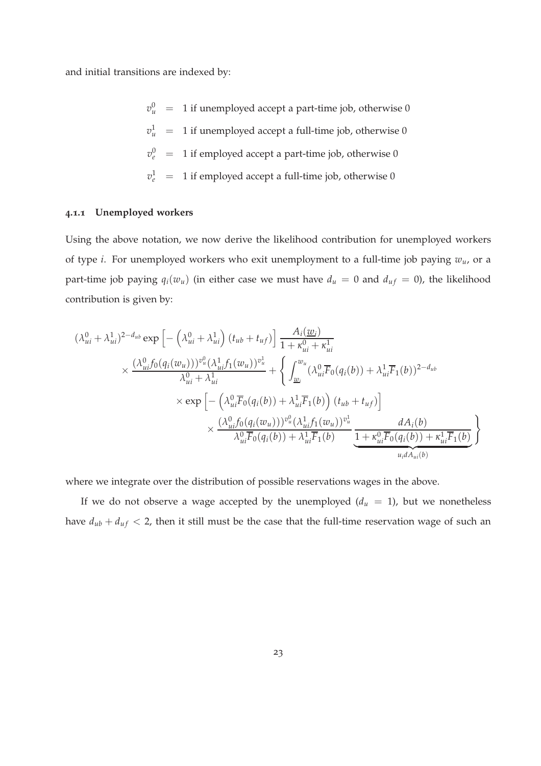and initial transitions are indexed by:

 $v_u^0$  = 1 if unemployed accept a part-time job, otherwise 0  $v^1_u$  = 1 if unemployed accept a full-time job, otherwise 0  $v_e^0$  = 1 if employed accept a part-time job, otherwise 0  $v_e^1$  = 1 if employed accept a full-time job, otherwise 0

#### **4.1.1 Unemployed workers**

Using the above notation, we now derive the likelihood contribution for unemployed workers of type *i*. For unemployed workers who exit unemployment to a full-time job paying *wu*, or a part-time job paying  $q_i(w_u)$  (in either case we must have  $d_u = 0$  and  $d_{uf} = 0$ ), the likelihood contribution is given by:

$$
(\lambda_{ui}^{0} + \lambda_{ui}^{1})^{2-d_{ub}} \exp \left[ -\left(\lambda_{ui}^{0} + \lambda_{ui}^{1}\right) (t_{ub} + t_{uf}) \right] \frac{A_i(\underline{w}_i)}{1 + \kappa_{ui}^{0} + \kappa_{ui}^{1}} \times \frac{(\lambda_{ui}^{0} f_0(q_i(w_u)))^{v_u^0} (\lambda_{ui}^{1} f_1(w_u))^{v_u^1}}{\lambda_{ui}^{0} + \lambda_{ui}^{1}} + \left\{ \int_{\underline{w}_i}^{w_u} (\lambda_{ui}^{0} \overline{F}_0(q_i(b)) + \lambda_{ui}^{1} \overline{F}_1(b))^{2-d_{ub}} \times \exp \left[ -\left(\lambda_{ui}^{0} \overline{F}_0(q_i(b)) + \lambda_{ui}^{1} \overline{F}_1(b)\right) (t_{ub} + t_{uf}) \right] \times \frac{(\lambda_{ui}^{0} f_0(q_i(w_u)))^{v_u^0} (\lambda_{ui}^{1} f_1(w_u))^{v_u^1}}{\lambda_{ui}^{0} \overline{F}_0(q_i(b)) + \lambda_{ui}^{1} \overline{F}_1(b)} \frac{dA_i(b)}{1 + \kappa_{ui}^{0} \overline{F}_0(q_i(b)) + \kappa_{ui}^{1} \overline{F}_1(b)} \right\}
$$

where we integrate over the distribution of possible reservations wages in the above.

If we do not observe a wage accepted by the unemployed  $(d_u = 1)$ , but we nonetheless have  $d_{ub} + d_{uf} < 2$ , then it still must be the case that the full-time reservation wage of such an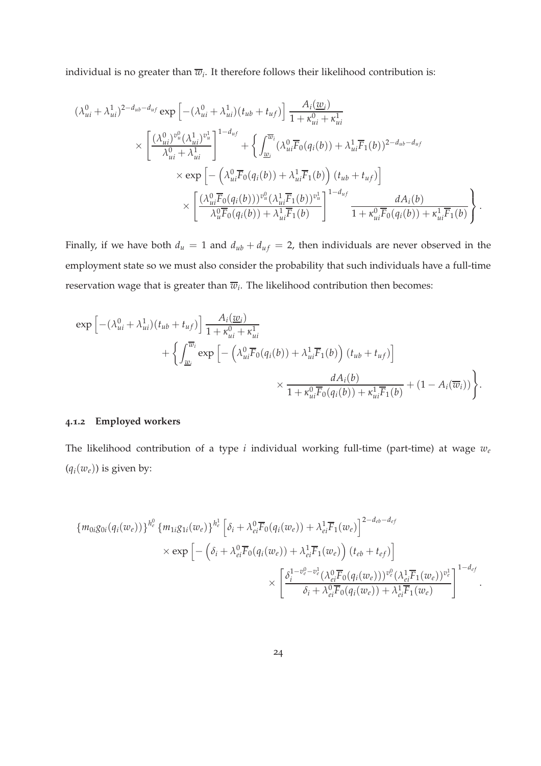individual is no greater than  $\overline{w}_{i}$ . It therefore follows their likelihood contribution is:

$$
(\lambda_{ui}^{0} + \lambda_{ui}^{1})^{2-d_{ub}-d_{uf}} \exp\left[-(\lambda_{ui}^{0} + \lambda_{ui}^{1})(t_{ub} + t_{uf})\right] \frac{A_i(\underline{w}_i)}{1 + \kappa_{ui}^{0} + \kappa_{ui}^{1}} \times \left[\frac{(\lambda_{ui}^{0})^{v_u^{0}}(\lambda_{ui}^{1})^{v_u^{1}}}{\lambda_{ui}^{0} + \lambda_{ui}^{1}}\right]^{1-d_{uf}} + \left\{\int_{\underline{w}_i}^{\overline{w}_i} (\lambda_{ui}^{0} \overline{F}_0(q_i(b)) + \lambda_{ui}^{1} \overline{F}_1(b))^{2-d_{ub}-d_{uf}} \times \exp\left[-(\lambda_{ui}^{0} \overline{F}_0(q_i(b)) + \lambda_{ui}^{1} \overline{F}_1(b)) (t_{ub} + t_{uf})\right] \times \left[\frac{(\lambda_{ui}^{0} \overline{F}_0(q_i(b)))^{v_u^{0}}(\lambda_{ui}^{1} \overline{F}_1(b))^{v_u^{1}}}{\lambda_u^{0} \overline{F}_0(q_i(b)) + \lambda_{ui}^{1} \overline{F}_1(b)}\right]^{1-d_{uf}} \frac{dA_i(b)}{1 + \kappa_{ui}^{0} \overline{F}_0(q_i(b)) + \kappa_{ui}^{1} \overline{F}_1(b)}.
$$

Finally, if we have both  $d_u = 1$  and  $d_{ub} + d_{uf} = 2$ , then individuals are never observed in the employment state so we must also consider the probability that such individuals have a full-time reservation wage that is greater than  $\overline{w}_{i}$ . The likelihood contribution then becomes:

$$
\exp\left[-(\lambda_{ui}^0 + \lambda_{ui}^1)(t_{ub} + t_{uf})\right] \frac{A_i(\underline{w}_i)}{1 + \kappa_{ui}^0 + \kappa_{ui}^1} + \left\{\int_{\underline{w}_i}^{\overline{w}_i} \exp\left[-\left(\lambda_{ui}^0\overline{F}_0(q_i(b)) + \lambda_{ui}^1\overline{F}_1(b)\right)(t_{ub} + t_{uf})\right] \times \frac{dA_i(b)}{1 + \kappa_{ui}^0\overline{F}_0(q_i(b)) + \kappa_{ui}^1\overline{F}_1(b)} + (1 - A_i(\overline{w}_i))\right\}.
$$

#### **4.1.2 Employed workers**

The likelihood contribution of a type *i* individual working full-time (part-time) at wage *w<sup>e</sup>*  $(q_i(w_e))$  is given by:

$$
\{m_{0i}g_{0i}(q_i(w_e))\}^{h_e^0} \{m_{1i}g_{1i}(w_e)\}^{h_e^1} \left[\delta_i + \lambda_{ei}^0 \overline{F}_0(q_i(w_e)) + \lambda_{ei}^1 \overline{F}_1(w_e)\right]^{2-d_{eb}-d_{ef}} \times \exp\left[-\left(\delta_i + \lambda_{ei}^0 \overline{F}_0(q_i(w_e)) + \lambda_{ei}^1 \overline{F}_1(w_e)\right)(t_{eb} + t_{ef})\right] \times \left[\frac{\delta_i^{1-v_e^0-v_e^1}(\lambda_{ei}^0 \overline{F}_0(q_i(w_e)))^{v_e^0}(\lambda_{ei}^1 \overline{F}_1(w_e))^{v_e^1}}{\delta_i + \lambda_{ei}^0 \overline{F}_0(q_i(w_e)) + \lambda_{ei}^1 \overline{F}_1(w_e)}\right]^{1-d_{ef}}.
$$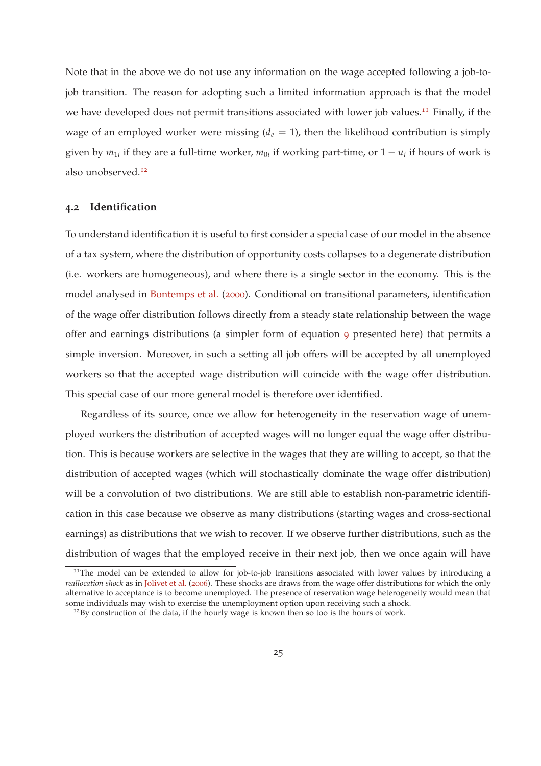<span id="page-24-0"></span>Note that in the above we do not use any information on the wage accepted following a job-tojob transition. The reason for adopting such a limited information approach is that the model we have developed does not permit transitions associated with lower job values.<sup>11</sup> Finally, if the wage of an employed worker were missing  $(d_e = 1)$ , then the likelihood contribution is simply given by  $m_{1i}$  if they are a full-time worker,  $m_{0i}$  if working part-time, or  $1 - u_i$  if hours of work is also unobserved.<sup>12</sup>

#### <span id="page-24-1"></span>**4.2 Identification**

To understand identification it is useful to first consider a special case of our model in the absence of a tax system, where the distribution of opportunity costs collapses to a degenerate distribution (i.e. workers are homogeneous), and where there is a single sector in the economy. This is the model analysed in [Bontemps et al.](#page-58-6) ([2000](#page-58-6)). Conditional on transitional parameters, identification of the wage offer distribution follows directly from a steady state relationship between the wage offer and earnings distributions (a simpler form of equation [9](#page-15-2) presented here) that permits a simple inversion. Moreover, in such a setting all job offers will be accepted by all unemployed workers so that the accepted wage distribution will coincide with the wage offer distribution. This special case of our more general model is therefore over identified.

Regardless of its source, once we allow for heterogeneity in the reservation wage of unemployed workers the distribution of accepted wages will no longer equal the wage offer distribution. This is because workers are selective in the wages that they are willing to accept, so that the distribution of accepted wages (which will stochastically dominate the wage offer distribution) will be a convolution of two distributions. We are still able to establish non-parametric identification in this case because we observe as many distributions (starting wages and cross-sectional earnings) as distributions that we wish to recover. If we observe further distributions, such as the distribution of wages that the employed receive in their next job, then we once again will have

<sup>&</sup>lt;sup>11</sup>The model can be extended to allow for job-to-job transitions associated with lower values by introducing a *reallocation shock* as in [Jolivet et al.](#page-59-9) ([2006](#page-59-9)). These shocks are draws from the wage offer distributions for which the only alternative to acceptance is to become unemployed. The presence of reservation wage heterogeneity would mean that some individuals may wish to exercise the unemployment option upon receiving such a shock.

<sup>&</sup>lt;sup>12</sup>By construction of the data, if the hourly wage is known then so too is the hours of work.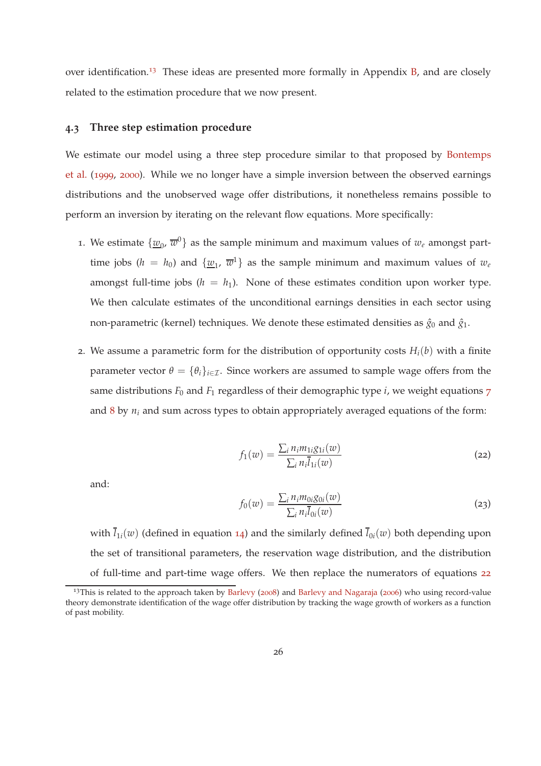<span id="page-25-3"></span><span id="page-25-2"></span>over identification.<sup>13</sup> These ideas are presented more formally in Appendix  $\overline{B}$ , and are closely related to the estimation procedure that we now present.

#### **4.3 Three step estimation procedure**

We [estimate our model using a three step procedure similar to](#page-58-7) that proposed by Bontemps et al. ([1999](#page-58-7), [2000](#page-58-6)). While we no longer have a simple inversion between the observed earnings distributions and the unobserved wage offer distributions, it nonetheless remains possible to perform an inversion by iterating on the relevant flow equations. More specifically:

- 1. We estimate  $\{\underline{w}_0, \overline{w}^0\}$  as the sample minimum and maximum values of  $w_e$  amongst parttime jobs ( $h = h_0$ ) and  $\{\underline{w}_1, \overline{w}^1\}$  as the sample minimum and maximum values of  $w_e$ amongst full-time jobs  $(h = h_1)$ . None of these estimates condition upon worker type. We then calculate estimates of the unconditional earnings densities in each sector using non-parametric (kernel) techniques. We denote these estimated densities as  $\hat{g}_0$  and  $\hat{g}_1$ .
- 2. We assume a parametric form for the distribution of opportunity costs  $H_i(b)$  with a finite parameter vector  $\theta = {\theta_i}_{i \in \mathcal{I}}$ . Since workers are assumed to sample wage offers from the same distributions  $F_0$  and  $F_1$  regardless of their demographic type  $i$ , we weight equations  $7$ and [8](#page-15-1) by *n<sup>i</sup>* and sum across types to obtain appropriately averaged equations of the form:

<span id="page-25-0"></span>
$$
f_1(w) = \frac{\sum_i n_i m_{1i} g_{1i}(w)}{\sum_i n_i \overline{l}_{1i}(w)}
$$
\n(22)

and:

<span id="page-25-1"></span>
$$
f_0(w) = \frac{\sum_i n_i m_{0i} g_{0i}(w)}{\sum_i n_i \overline{l}_{0i}(w)}
$$
\n(23)

with  $\overline{l}_{1i}(w)$  (defined in equation [14](#page-17-2)) and the similarly defined  $\overline{l}_{0i}(w)$  both depending upon the set of transitional parameters, the reservation wage distribution, and the distribution of full-time and part-time wage offers. We then replace the numerators of equations [22](#page-25-0)

<sup>&</sup>lt;sup>13</sup>This is related to the approach taken by [Barlevy](#page-57-8) ([2008](#page-57-8)) and [Barlevy and Nagaraja](#page-57-9) ([2006](#page-57-9)) who using record-value theory demonstrate identification of the wage offer distribution by tracking the wage growth of workers as a function of past mobility.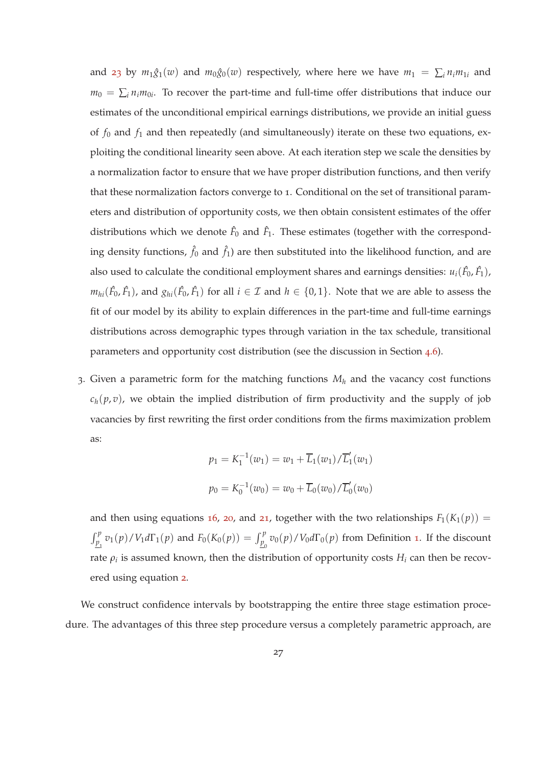and [23](#page-25-1) by  $m_1\hat{g}_1(w)$  and  $m_0\hat{g}_0(w)$  respectively, where here we have  $m_1 = \sum_i n_i m_{1i}$  and  $m_0 = \sum_i n_i m_{0i}$ . To recover the part-time and full-time offer distributions that induce our estimates of the unconditional empirical earnings distributions, we provide an initial guess of *f*<sup>0</sup> and *f*<sup>1</sup> and then repeatedly (and simultaneously) iterate on these two equations, exploiting the conditional linearity seen above. At each iteration step we scale the densities by a normalization factor to ensure that we have proper distribution functions, and then verify that these normalization factors converge to 1. Conditional on the set of transitional parameters and distribution of opportunity costs, we then obtain consistent estimates of the offer distributions which we denote  $\hat{F}_0$  and  $\hat{F}_1$ . These estimates (together with the corresponding density functions,  $\hat{f}_0$  and  $\hat{f}_1$ ) are then substituted into the likelihood function, and are also used to calculate the conditional employment shares and earnings densities:  $u_i(\hat{F}_0, \hat{F}_1)$ ,  $m_{hi}(\hat{F_0},\hat{F_1})$ , and  $g_{hi}(\hat{F_0},\hat{F_1})$  for all  $i\in\mathcal{I}$  and  $h\in\{0,1\}.$  Note that we are able to assess the fit of our model by its ability to explain differences in the part-time and full-time earnings distributions across demographic types through variation in the tax schedule, transitional parameters and opportunity cost distribution (see the discussion in Section [4](#page-30-0).6).

3. Given a parametric form for the matching functions *M<sup>h</sup>* and the vacancy cost functions  $c_h(p,v)$ , we obtain the implied distribution of firm productivity and the supply of job vacancies by first rewriting the first order conditions from the firms maximization problem as:

$$
p_1 = K_1^{-1}(w_1) = w_1 + \overline{L}_1(w_1) / \overline{L}'_1(w_1)
$$
  

$$
p_0 = K_0^{-1}(w_0) = w_0 + \overline{L}_0(w_0) / \overline{L}'_0(w_0)
$$

and then using equations [16](#page-17-1), [20](#page-19-3), and [21](#page-19-1), together with the two relationships  $F_1(K_1(p)) =$  $\int_{\underline{p}_1}^p v_1(p)/V_1 d\Gamma_1(p)$  $\int_{\underline{p}_1}^p v_1(p)/V_1 d\Gamma_1(p)$  $\int_{\underline{p}_1}^p v_1(p)/V_1 d\Gamma_1(p)$  and  $F_0(K_0(p)) = \int_{\underline{p}_0}^p v_0(p)/V_0 d\Gamma_0(p)$  from Definition 1. If the discount rate  $\rho_i$  is assumed known, then the distribution of opportunity costs  $H_i$  can then be recovered using equation [2](#page-12-1).

We construct confidence intervals by bootstrapping the entire three stage estimation procedure. The advantages of this three step procedure versus a completely parametric approach, are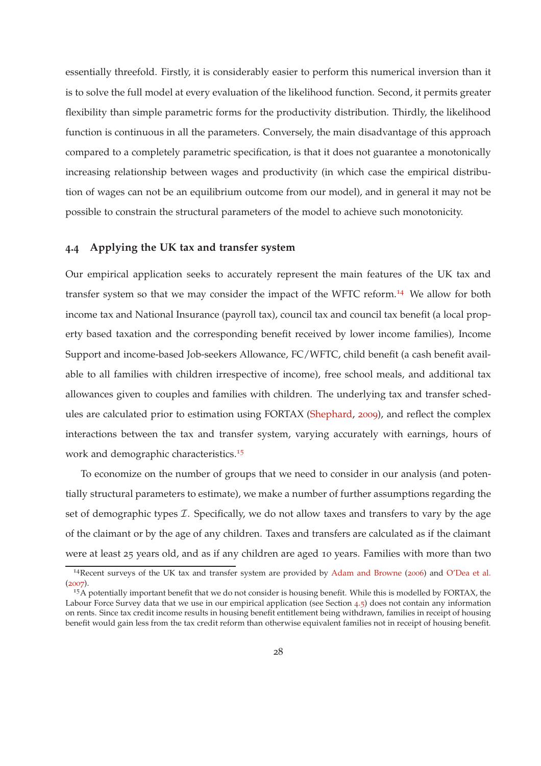<span id="page-27-0"></span>essentially threefold. Firstly, it is considerably easier to perform this numerical inversion than it is to solve the full model at every evaluation of the likelihood function. Second, it permits greater flexibility than simple parametric forms for the productivity distribution. Thirdly, the likelihood function is continuous in all the parameters. Conversely, the main disadvantage of this approach compared to a completely parametric specification, is that it does not guarantee a monotonically increasing relationship between wages and productivity (in which case the empirical distribution of wages can not be an equilibrium outcome from our model), and in general it may not be possible to constrain the structural parameters of the model to achieve such monotonicity.

#### **4.4 Applying the UK tax and transfer system**

Our empirical application seeks to accurately represent the main features of the UK tax and transfer system so that we may consider the impact of the WFTC reform.<sup>14</sup> We allow for both income tax and National Insurance (payroll tax), council tax and council tax benefit (a local property based taxation and the corresponding benefit received by lower income families), Income Support and income-based Job-seekers Allowance, FC/WFTC, child benefit (a cash benefit available to all families with children irrespective of income), free school meals, and additional tax allowances given to couples and families with children. The underlying tax and transfer schedules are calculated prior to estimation using FORTAX [\(Shephard,](#page-61-7) [2009](#page-61-7)), and reflect the complex interactions between the tax and transfer system, varying accurately with earnings, hours of work and demographic characteristics.<sup>15</sup>

To economize on the number of groups that we need to consider in our analysis (and potentially structural parameters to estimate), we make a number of further assumptions regarding the set of demographic types  $I$ . Specifically, we do not allow taxes and transfers to vary by the age of the claimant or by the age of any children. Taxes and transfers are calculated as if the claimant were at least 25 years old, and as if any children are aged 10 years. Families with more than two

<sup>14</sup>Recent surveys of the UK tax and transfer system are provided by [Adam and Browne](#page-57-10) ([2006](#page-57-10)) and [O'Dea et al.](#page-61-8) ([2007](#page-61-8)).

<sup>&</sup>lt;sup>15</sup>A potentially important benefit that we do not consider is housing benefit. While this is modelled by FORTAX, the Labour Force Survey data that we use in our empirical application (see Section [4](#page-29-0).5) does not contain any information on rents. Since tax credit income results in housing benefit entitlement being withdrawn, families in receipt of housing benefit would gain less from the tax credit reform than otherwise equivalent families not in receipt of housing benefit.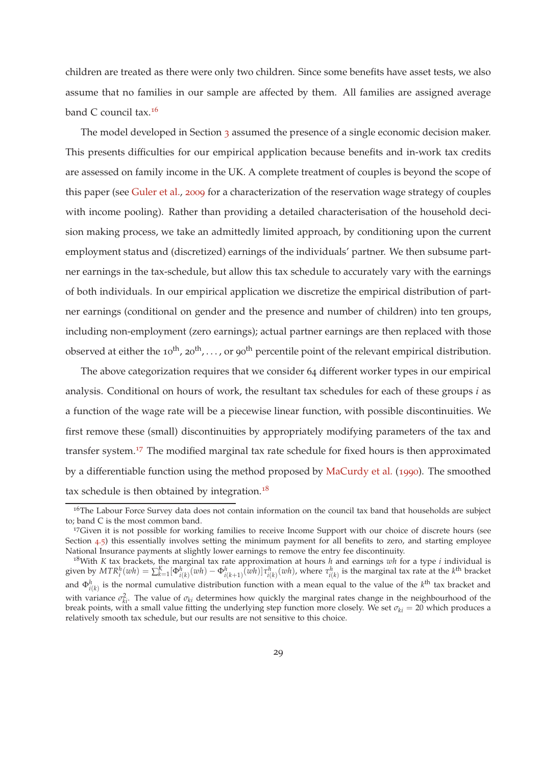<span id="page-28-0"></span>children are treated as there were only two children. Since some benefits have asset tests, we also assume that no families in our sample are affected by them. All families are assigned average band C council tax.<sup>16</sup>

The model developed in Section [3](#page-9-0) assumed the presence of a single economic decision maker. This presents difficulties for our empirical application because benefits and in-work tax credits are assessed on family income in the UK. A complete treatment of couples is beyond the scope of this paper (see [Guler et al.](#page-59-10), [2009](#page-59-10) for a characterization of the reservation wage strategy of couples with income pooling). Rather than providing a detailed characterisation of the household decision making process, we take an admittedly limited approach, by conditioning upon the current employment status and (discretized) earnings of the individuals' partner. We then subsume partner earnings in the tax-schedule, but allow this tax schedule to accurately vary with the earnings of both individuals. In our empirical application we discretize the empirical distribution of partner earnings (conditional on gender and the presence and number of children) into ten groups, including non-employment (zero earnings); actual partner earnings are then replaced with those observed at either the 10<sup>th</sup>, 20<sup>th</sup>,..., or 90<sup>th</sup> percentile point of the relevant empirical distribution.

The above categorization requires that we consider 64 different worker types in our empirical analysis. Conditional on hours of work, the resultant tax schedules for each of these groups *i* as a function of the wage rate will be a piecewise linear function, with possible discontinuities. We first remove these (small) discontinuities by appropriately modifying parameters of the tax and transfer system.<sup>17</sup> The modified marginal tax rate schedule for fixed hours is then approximated by a differentiable function using the method proposed by [MaCurdy et al.](#page-60-10) ([1990](#page-60-10)). The smoothed tax schedule is then obtained by integration.<sup>18</sup>

 $16$ The Labour Force Survey data does not contain information on the council tax band that households are subject to; band C is the most common band.

<sup>&</sup>lt;sup>17</sup>Given it is not possible for working families to receive Income Support with our choice of discrete hours (see Section [4](#page-29-0).5) this essentially involves setting the minimum payment for all benefits to zero, and starting employee National Insurance payments at slightly lower earnings to remove the entry fee discontinuity.

<sup>18</sup>With *K* tax brackets, the marginal tax rate approximation at hours *h* and earnings *wh* for a type *i* individual is given by  $MTR_i^h(wh) = \sum_{k=1}^K [\Phi_{i(k)}^h(wh) - \Phi_{i(k+1)}^h(\overline{wh})]\tau_{i(k)}^h(wh)$ , where  $\tau_{i(k)}^h$  is the marginal tax rate at the  $k^{\text{th}}$  bracket and  $\Phi_{i(k)}^h$  is the normal cumulative distribution function with a mean equal to the value of the  $k^{\text{th}}$  tax bracket and with variance  $\sigma_{ki}^2$ . The value of  $\sigma_{ki}$  determines how quickly the marginal rates change in the neighbourhood of the break points, with a small value fitting the underlying step function more closely. We set  $\sigma_{ki} = 20$  which produces a relatively smooth tax schedule, but our results are not sensitive to this choice.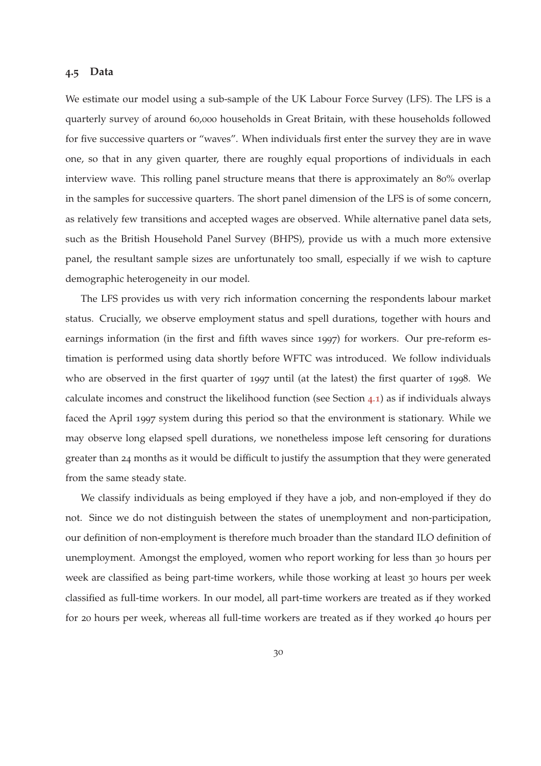## <span id="page-29-0"></span>**4.5 Data**

We estimate our model using a sub-sample of the UK Labour Force Survey (LFS). The LFS is a quarterly survey of around 60,000 households in Great Britain, with these households followed for five successive quarters or "waves". When individuals first enter the survey they are in wave one, so that in any given quarter, there are roughly equal proportions of individuals in each interview wave. This rolling panel structure means that there is approximately an 80% overlap in the samples for successive quarters. The short panel dimension of the LFS is of some concern, as relatively few transitions and accepted wages are observed. While alternative panel data sets, such as the British Household Panel Survey (BHPS), provide us with a much more extensive panel, the resultant sample sizes are unfortunately too small, especially if we wish to capture demographic heterogeneity in our model.

The LFS provides us with very rich information concerning the respondents labour market status. Crucially, we observe employment status and spell durations, together with hours and earnings information (in the first and fifth waves since 1997) for workers. Our pre-reform estimation is performed using data shortly before WFTC was introduced. We follow individuals who are observed in the first quarter of 1997 until (at the latest) the first quarter of 1998. We calculate incomes and construct the likelihood function (see Section [4](#page-20-1).1) as if individuals always faced the April 1997 system during this period so that the environment is stationary. While we may observe long elapsed spell durations, we nonetheless impose left censoring for durations greater than 24 months as it would be difficult to justify the assumption that they were generated from the same steady state.

We classify individuals as being employed if they have a job, and non-employed if they do not. Since we do not distinguish between the states of unemployment and non-participation, our definition of non-employment is therefore much broader than the standard ILO definition of unemployment. Amongst the employed, women who report working for less than 30 hours per week are classified as being part-time workers, while those working at least 30 hours per week classified as full-time workers. In our model, all part-time workers are treated as if they worked for 20 hours per week, whereas all full-time workers are treated as if they worked 40 hours per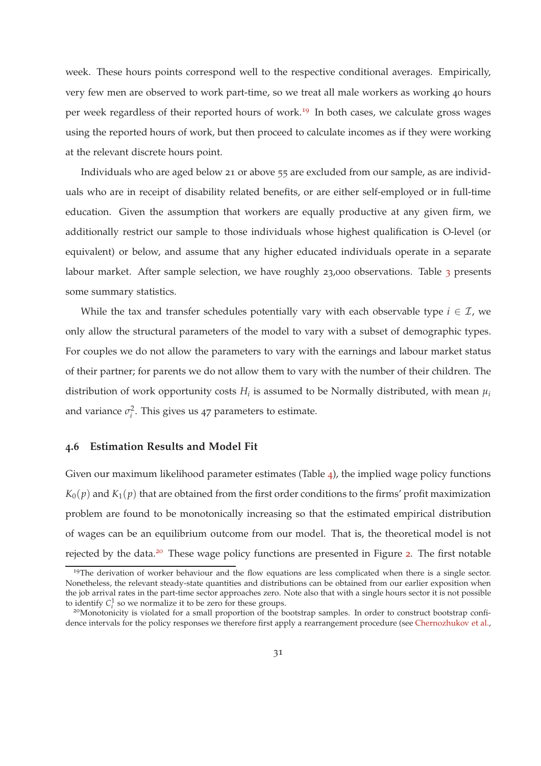<span id="page-30-1"></span>week. These hours points correspond well to the respective conditional averages. Empirically, very few men are observed to work part-time, so we treat all male workers as working 40 hours per week regardless of their reported hours of work.<sup>19</sup> In both cases, we calculate gross wages using the reported hours of work, but then proceed to calculate incomes as if they were working at the relevant discrete hours point.

Individuals who are aged below 21 or above 55 are excluded from our sample, as are individuals who are in receipt of disability related benefits, or are either self-employed or in full-time education. Given the assumption that workers are equally productive at any given firm, we additionally restrict our sample to those individuals whose highest qualification is O-level (or equivalent) or below, and assume that any higher educated individuals operate in a separate labour market. After sample selection, we have roughly 2[3](#page-31-0),000 observations. Table 3 presents some summary statistics.

While the tax and transfer schedules potentially vary with each observable type  $i \in \mathcal{I}$ , we only allow the structural parameters of the model to vary with a subset of demographic types. For couples we do not allow the parameters to vary with the earnings and labour market status of their partner; for parents we do not allow them to vary with the number of their children. The distribution of work opportunity costs  $H_i$  is assumed to be Normally distributed, with mean  $\mu_i$ and variance  $\sigma_i^2$ . This gives us 47 parameters to estimate.

#### <span id="page-30-0"></span>**4.6 Estimation Results and Model Fit**

Given our maximum likelihood parameter estimates (Table  $\varphi$ ), the implied wage policy functions  $K_0(p)$  and  $K_1(p)$  that are obtained from the first order conditions to the firms' profit maximization problem are found to be monotonically increasing so that the estimated empirical distribution of wages can be an equilibrium outcome from our model. That is, the theoretical model is not rejected by the data.<sup>[2](#page-34-0)0</sup> These wage policy functions are presented in Figure 2. The first notable

<sup>&</sup>lt;sup>19</sup>The derivation of worker behaviour and the flow equations are less complicated when there is a single sector. Nonetheless, the relevant steady-state quantities and distributions can be obtained from our earlier exposition when the job arrival rates in the part-time sector approaches zero. Note also that with a single hours sector it is not possible to identify  $C_i^1$  so we normalize it to be zero for these groups.

<sup>&</sup>lt;sup>20</sup>Monotonicity is violated for a small proportion of the bootstrap samples. In order to construct bootstrap confidence intervals for the policy responses we therefore first apply a rearrangement procedure (see [Chernozhukov et al.,](#page-58-9)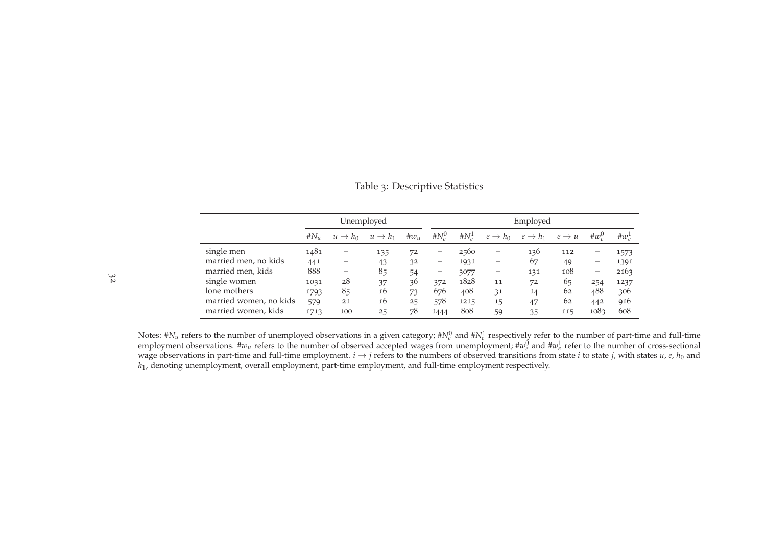<span id="page-31-0"></span>

|                        |        | Unemployed          |                     |              |                | Employed  |                     |                     |                   |                   |           |
|------------------------|--------|---------------------|---------------------|--------------|----------------|-----------|---------------------|---------------------|-------------------|-------------------|-----------|
|                        | $#N_u$ | $u \rightarrow h_0$ | $u \rightarrow h_1$ | $\#\omega_u$ | # $N_{\rho}^0$ | # $N_e^1$ | $e \rightarrow h_0$ | $e \rightarrow h_1$ | $e \rightarrow u$ | # $w_a^0$         | # $w_e^1$ |
| single men             | 1481   | -                   | 135                 | 72           | -              | 2560      | -                   | 136                 | 112               | -                 | 1573      |
| married men, no kids   | 441    |                     | 43                  | 32           | -              | 1931      | -                   | 67                  | 49                | -                 | 1391      |
| married men, kids      | 888    | -                   | 85                  | 54           | —              | 3077      | —                   | 131                 | 108               | $\qquad \qquad -$ | 2163      |
| single women           | 1031   | 28                  | 37                  | 36           | 372            | 1828      | 11                  | 72                  | 65                | 254               | 1237      |
| lone mothers           | 1793   | 85                  | 16                  | 73           | 676            | 408       | 31                  | 14                  | 62                | 488               | 306       |
| married women, no kids | 579    | 21                  | 16                  | 25           | 578            | 1215      | 15                  | 47                  | 62                | 442               | 916       |
| married women, kids    | 1713   | 100                 | 25                  | 78           | 1444           | 808       | 59                  | 35                  | 115               | 1083              | 608       |

Table <sup>3</sup>: Descriptive Statistics

Notes:  $\#N_u$  refers to the number of unemployed observations in a given category;  $\#N_e^0$  and  $\#N_e^1$  respectively refer to the number of part-time and full-time employment observations.  $\#w_u$  refers to the number of observed accepted wages from unemployment;  $\#w_e^0$  and  $\#w_e^1$  refer to the number of cross-sectional wage observations in part-time and full-time employment. *i*  $\rightarrow$  *j* refers to the numbers of observed transitions from state *i* to state *j*, with states *u*, *e*, *h*<sub>0</sub> and  $h$ , denoting unenployment overall employme *<sup>h</sup>*1, denoting unemployment, overall employment, part-time employment, and full-time employment respectively.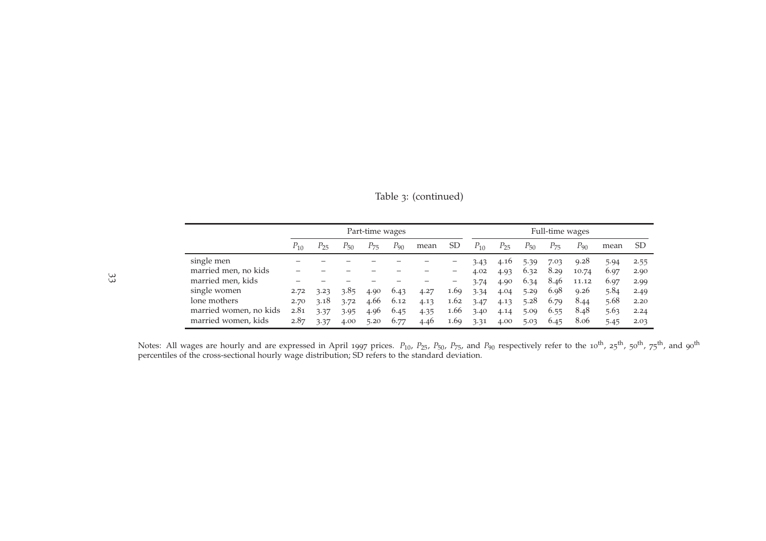|                        |          | Part-time wages |      |          |          | Full-time wages |                   |          |          |          |          |          |      |               |
|------------------------|----------|-----------------|------|----------|----------|-----------------|-------------------|----------|----------|----------|----------|----------|------|---------------|
|                        | $P_{10}$ | P25             | P50  | $P_{75}$ | $P_{90}$ | mean            | SD                | $P_{10}$ | $P_{25}$ | $P_{50}$ | $P_{75}$ | $P_{90}$ | mean | <sub>SD</sub> |
| single men             |          |                 |      |          |          |                 |                   | 3.43     | 4.16     | 5.39     | 7.03     | 9.28     | 5.94 | 2.55          |
| married men, no kids   |          |                 |      |          |          |                 | —                 | 4.02     | 4.93     | 6.32     | 8.29     | 10.74    | 6.97 | 2.90          |
| married men, kids      |          |                 |      |          |          |                 | $\qquad \qquad -$ | 3.74     | 4.90     | 6.34     | 8.46     | 11.12    | 6.97 | 2.99          |
| single women           | 2.72     | 3.23            | 3.85 | 4.90     | 6.43     | 4.27            | 1.69              | 3.34     | 4.04     | 5.29     | 6.98     | 9.26     | 5.84 | 2.49          |
| lone mothers           | 2.70     | 3.18            | 3.72 | 4.66     | 6.12     | 4.13            | 1.62              | 3.47     | 4.13     | 5.28     | 6.79     | 8.44     | 5.68 | 2.20          |
| married women, no kids | 2.81     | 3.37            | 3.95 | 4.96     | 6.45     | 4.35            | 1.66              | 3.40     | 4.14     | 5.09     | 6.55     | 8.48     | 5.63 | 2.24          |
| married women, kids    | 2.87     | 3.37            | 4.00 | 5.20     | 6.77     | 4.46            | 1.69              | 3.31     | 4.00     | 5.03     | 6.45     | 8.06     | 5.45 | 2.03          |

Table <sup>3</sup>: (continued)

Notes: All wages are hourly and are expressed in April 1997 prices.  $P_{10}$ ,  $P_{25}$ ,  $P_{50}$ ,  $P_{75}$ , and  $P_{90}$  respectively refer to the 10<sup>th</sup>, 25<sup>th</sup>, 50<sup>th</sup>, 75<sup>th</sup>, and 90<sup>th</sup> percentiles of the cross-sectional hourly wage distribution; SD refers to the standard deviation.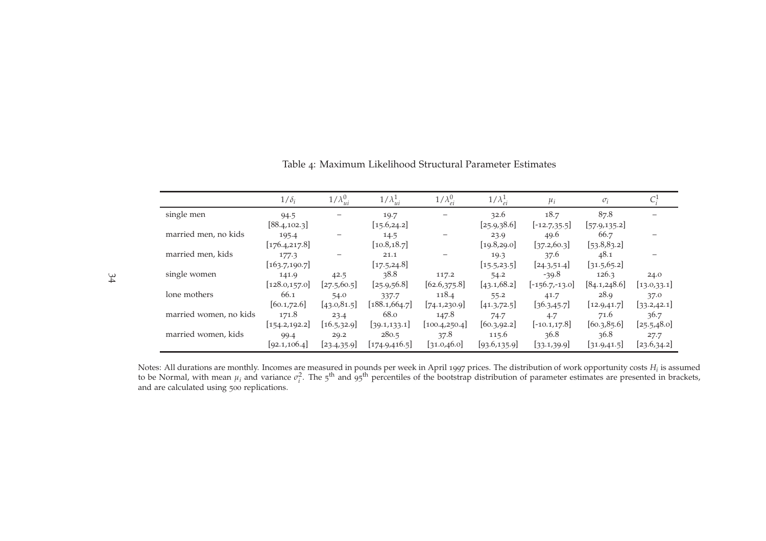<span id="page-33-0"></span>

|                        | $1/\delta_i$   | $1/\lambda_{ui}^0$ | $1/\lambda_{ui}^1$ | $1/\lambda_{ei}^0$ | $1/\lambda_{ei}^1$ | $\mu_i$          | $\sigma_i$    |              |
|------------------------|----------------|--------------------|--------------------|--------------------|--------------------|------------------|---------------|--------------|
| single men             | 94.5           |                    | 19.7               |                    | 32.6               | 18.7             | 87.8          |              |
|                        | [88.4, 102.3]  |                    | [15.6, 24.2]       |                    | [25.9, 38.6]       | $[-12.7, 35.5]$  | [57.9, 135.2] |              |
| married men, no kids   | 195.4          |                    | 14.5               |                    | 23.9               | 49.6             | 66.7          |              |
|                        | [176.4, 217.8] |                    | [10.8, 18.7]       |                    | [19.8, 29.0]       | [37.2, 60.3]     | [53.8,83.2]   |              |
| married men, kids      | 177.3          |                    | 21.1               |                    | 19.3               | 37.6             | 48.1          |              |
|                        | [163.7, 190.7] |                    | [17.5, 24.8]       |                    | [15.5, 23.5]       | [24.3, 51.4]     | [31.5, 65.2]  |              |
| single women           | 141.9          | 42.5               | 38.8               | 117.2              | 54.2               | $-39.8$          | 126.3         | 24.0         |
|                        | [128.0, 157.0] | [27.5, 60.5]       | [25.9, 56.8]       | [62.6, 375.8]      | [43.1, 68.2]       | $[-156.7,-13.0]$ | [84.1, 248.6] | [13.0, 33.1] |
| lone mothers           | 66.1           | 54.0               | 337.7              | 118.4              | 55.2               | 41.7             | 28.9          | 37.0         |
|                        | [60.1, 72.6]   | [43.0, 81.5]       | [188.1, 664.7]     | 74.1,230.9         | [41.3, 72.5]       | [36.3, 45.7]     | [12.9, 41.7]  | [33.2, 42.1] |
| married women, no kids | 171.8          | 23.4               | 68.0               | 147.8              | 74.7               | 4.7              | 71.6          | 36.7         |
|                        | [154.2, 192.2] | [16.5, 32.9]       | [39.1, 133.1]      | [100.4, 250.4]     | [60.3, 92.2]       | $[-10.1, 17.8]$  | [60.3, 85.6]  | [25.5, 48.0] |
| married women, kids    | 99.4           | 29.2               | 280.5              | 37.8               | 115.6              | 36.8             | 36.8          | 27.7         |
|                        | [92.1, 106.4]  | [23.4, 35.9]       | [174.9, 416.5]     | [31.0,46.0]        | [93.6, 135.9]      | [33.1,39.9]      | [31.9, 41.5]  | [23.6,34.2]  |

<span id="page-33-1"></span>Table <sup>4</sup>: Maximum Likelihood Structural Parameter Estimates

Notes: All durations are monthly. Incomes are measured in pounds per week in April 1997 prices. The distribution of work opportunity costs  $H_i$  is assumed to be Normal, with mean  $\mu_i$  and variance  $\sigma_i^2$ . The 5<sup>th</sup> and and are calculated using <sup>500</sup> replications.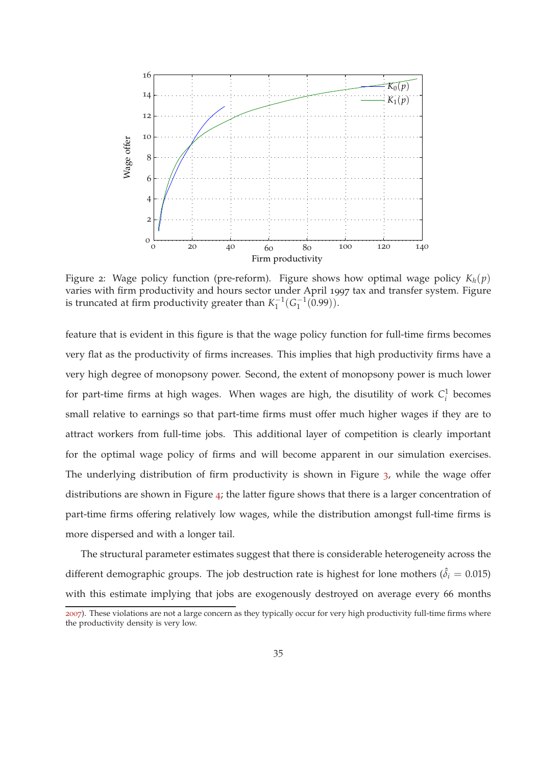<span id="page-34-0"></span>

Figure 2: Wage policy function (pre-reform). Figure shows how optimal wage policy  $K_h(p)$ varies with firm productivity and hours sector under April 1997 tax and transfer system. Figure is truncated at firm productivity greater than  $K_1^{-1}$  $\zeta_1^{-1}(G_1^{-1})$  $\binom{-1}{1}(0.99)$ .

feature that is evident in this figure is that the wage policy function for full-time firms becomes very flat as the productivity of firms increases. This implies that high productivity firms have a very high degree of monopsony power. Second, the extent of monopsony power is much lower for part-time firms at high wages. When wages are high, the disutility of work  $C_i^1$  becomes small relative to earnings so that part-time firms must offer much higher wages if they are to attract workers from full-time jobs. This additional layer of competition is clearly important for the optimal wage policy of firms and will become apparent in our simulation exercises. The underlying distribution of firm productivity is shown in Figure [3](#page-35-0), while the wage offer distributions are shown in Figure [4](#page-35-1); the latter figure shows that there is a larger concentration of part-time firms offering relatively low wages, while the distribution amongst full-time firms is more dispersed and with a longer tail.

The structural parameter estimates suggest that there is considerable heterogeneity across the different demographic groups. The job destruction rate is highest for lone mothers ( $\hat{\delta}_i = 0.015$ ) with this estimate implying that jobs are exogenously destroyed on average every 66 months

[<sup>2007</sup>](#page-58-9)). These violations are not a large concern as they typically occur for very high productivity full-time firms where the productivity density is very low.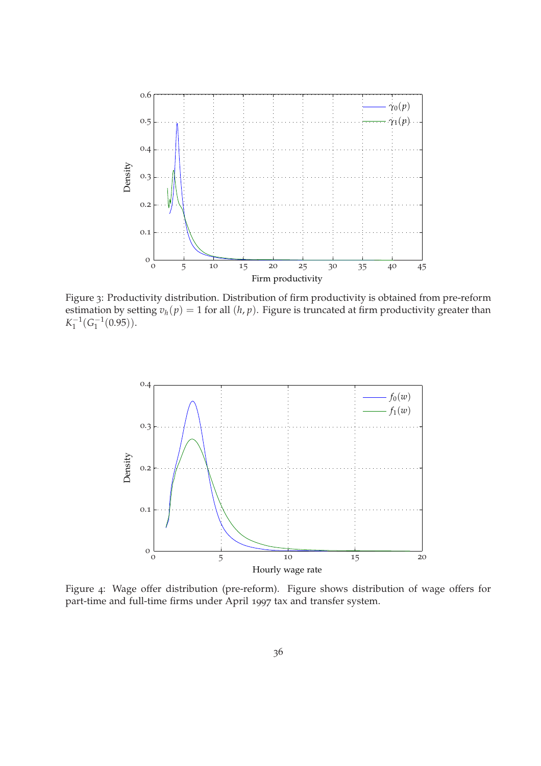<span id="page-35-0"></span>

Figure 3: Productivity distribution. Distribution of firm productivity is obtained from pre-reform estimation by setting  $v_h(p) = 1$  for all  $(h, p)$ . Figure is truncated at firm productivity greater than  $K_1^{-1}$  $\frac{-1}{1}(G_1^{-1})$  $\binom{-1}{1}(0.95)$ .

<span id="page-35-1"></span>

Figure 4: Wage offer distribution (pre-reform). Figure shows distribution of wage offers for part-time and full-time firms under April 1997 tax and transfer system.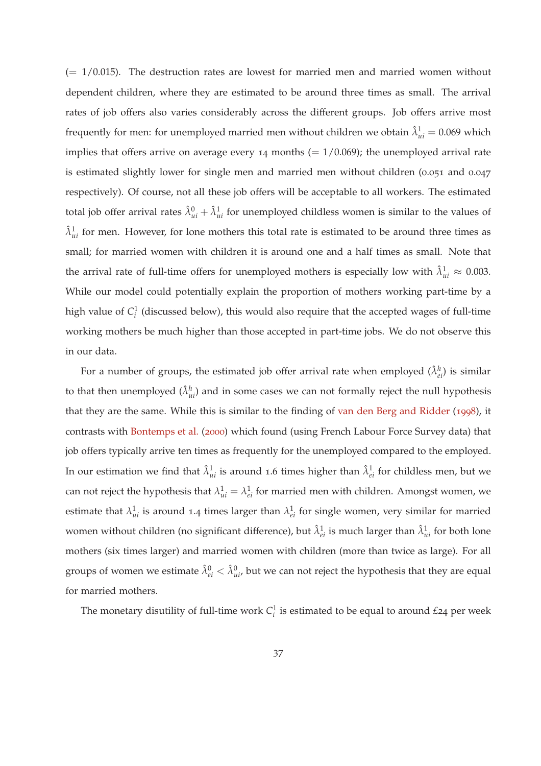<span id="page-36-0"></span> $(= 1/0.015)$ . The destruction rates are lowest for married men and married women without dependent children, where they are estimated to be around three times as small. The arrival rates of job offers also varies considerably across the different groups. Job offers arrive most frequently for men: for unemployed married men without children we obtain  $\hat{\lambda}_{ui}^1 = 0.069$  which implies that offers arrive on average every 14 months  $(= 1/0.069)$ ; the unemployed arrival rate is estimated slightly lower for single men and married men without children (0.051 and 0.047 respectively). Of course, not all these job offers will be acceptable to all workers. The estimated total job offer arrival rates  $\hat{\lambda}_{ui}^0 + \hat{\lambda}_{ui}^1$  for unemployed childless women is similar to the values of  $\hat{\lambda}_{ui}^1$  for men. However, for lone mothers this total rate is estimated to be around three times as small; for married women with children it is around one and a half times as small. Note that the arrival rate of full-time offers for unemployed mothers is especially low with  $\hat{\lambda}^1_{ui} \approx 0.003$ . While our model could potentially explain the proportion of mothers working part-time by a high value of *C* 1 *i* (discussed below), this would also require that the accepted wages of full-time working mothers be much higher than those accepted in part-time jobs. We do not observe this in our data.

For a number of groups, the estimated job offer arrival rate when employed  $(\hat{\lambda}_{ei}^h)$  is similar to that then unemployed  $(\hat{\lambda}_{ui}^h)$  and in some cases we can not formally reject the null hypothesis that they are the same. While this is similar to the finding of [van den Berg and Ridder](#page-61-5) ([1998](#page-61-5)), it contrasts with [Bontemps et al.](#page-58-6) ([2000](#page-58-6)) which found (using French Labour Force Survey data) that job offers typically arrive ten times as frequently for the unemployed compared to the employed. In our estimation we find that  $\hat{\lambda}_{ui}^1$  is around 1.6 times higher than  $\hat{\lambda}_{ei}^1$  for childless men, but we can not reject the hypothesis that  $\lambda_{ui}^1 = \lambda_{ei}^1$  for married men with children. Amongst women, we estimate that  $\lambda_{ui}^1$  is around 1.4 times larger than  $\lambda_{ei}^1$  for single women, very similar for married women without children (no significant difference), but  $\hat{\lambda}^1_{ei}$  is much larger than  $\hat{\lambda}^1_{ui}$  for both lone mothers (six times larger) and married women with children (more than twice as large). For all groups of women we estimate  $\hat{\lambda}_{ei}^0 < \hat{\lambda}_{ui'}^0$  but we can not reject the hypothesis that they are equal for married mothers.

The monetary disutility of full-time work  $C_i^1$  is estimated to be equal to around  $\pounds$ 24 per week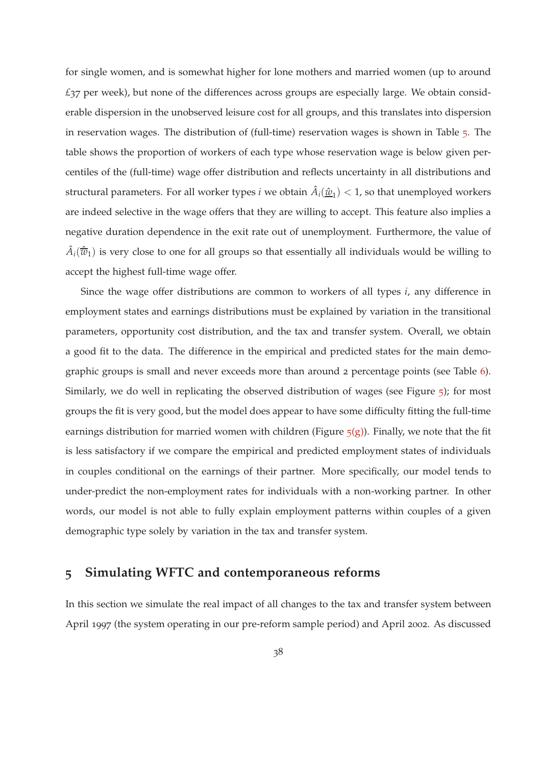for single women, and is somewhat higher for lone mothers and married women (up to around *£*37 per week), but none of the differences across groups are especially large. We obtain considerable dispersion in the unobserved leisure cost for all groups, and this translates into dispersion in reservation wages. The distribution of (full-time) reservation wages is shown in Table [5](#page-38-0). The table shows the proportion of workers of each type whose reservation wage is below given percentiles of the (full-time) wage offer distribution and reflects uncertainty in all distributions and structural parameters. For all worker types *i* we obtain  $\hat{A}_i(\underline{\hat{w}}_1) < 1$ , so that unemployed workers are indeed selective in the wage offers that they are willing to accept. This feature also implies a negative duration dependence in the exit rate out of unemployment. Furthermore, the value of  $\hat{A}_i(\hat{w}_1)$  is very close to one for all groups so that essentially all individuals would be willing to accept the highest full-time wage offer.

Since the wage offer distributions are common to workers of all types *i*, any difference in employment states and earnings distributions must be explained by variation in the transitional parameters, opportunity cost distribution, and the tax and transfer system. Overall, we obtain a good fit to the data. The difference in the empirical and predicted states for the main demographic groups is small and never exceeds more than around 2 percentage points (see Table [6](#page-39-0)). Similarly, we do well in replicating the observed distribution of wages (see Figure [5](#page-40-0)); for most groups the fit is very good, but the model does appear to have some difficulty fitting the full-time earnings distribution for married women with children (Figure  $\frac{1}{5}$  $\frac{1}{5}$  $\frac{1}{5}$ ). Finally, we note that the fit is less satisfactory if we compare the empirical and predicted employment states of individuals in couples conditional on the earnings of their partner. More specifically, our model tends to under-predict the non-employment rates for individuals with a non-working partner. In other words, our model is not able to fully explain employment patterns within couples of a given demographic type solely by variation in the tax and transfer system.

## <span id="page-37-0"></span>**5 Simulating WFTC and contemporaneous reforms**

In this section we simulate the real impact of all changes to the tax and transfer system between April 1997 (the system operating in our pre-reform sample period) and April 2002. As discussed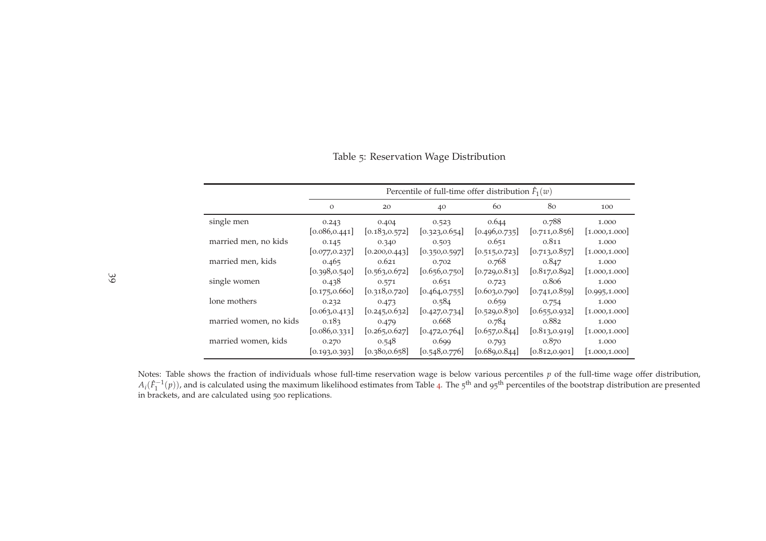Table <sup>5</sup>: Reservation Wage Distribution

<span id="page-38-0"></span>

|                        |                | Percentile of full-time offer distribution $\hat{F}_1(w)$ |                |                |                |                |  |  |
|------------------------|----------------|-----------------------------------------------------------|----------------|----------------|----------------|----------------|--|--|
|                        | $\Omega$       | 20                                                        | 40             | 60             | 80             | 100            |  |  |
| single men             | 0.243          | 0.404                                                     | 0.523          | 0.644          | 0.788          | 1.000          |  |  |
|                        | [0.086, 0.441] | [0.183, 0.572]                                            | [0.323, 0.654] | [0.496, 0.735] | [0.711, 0.856] | [1.000, 1.000] |  |  |
| married men, no kids   | 0.145          | 0.340                                                     | 0.503          | 0.651          | 0.811          | 1.000          |  |  |
|                        | [0.077, 0.237] | [0.200, 0.443]                                            | [0.350, 0.597] | [0.515, 0.723] | [0.713, 0.857] | [1.000, 1.000] |  |  |
| married men, kids      | 0.465          | 0.621                                                     | 0.702          | 0.768          | 0.847          | 1.000          |  |  |
|                        | [0.398, 0.540] | [0.563, 0.672]                                            | [0.656, 0.750] | [0.729, 0.813] | [0.817, 0.892] | 1.000, 1.000   |  |  |
| single women           | 0.438          | 0.571                                                     | 0.651          | 0.723          | 0.806          | 1.000          |  |  |
|                        | [0.175, 0.660] | [0.318, 0.720]                                            | [0.464, 0.755] | [0.603, 0.790] | [0.741, 0.859] | [0.995, 1.000] |  |  |
| lone mothers           | 0.232          | 0.473                                                     | 0.584          | 0.659          | 0.754          | 1.000          |  |  |
|                        | [0.063, 0.413] | [0.245, 0.632]                                            | [0.427, 0.734] | [0.529, 0.830] | [0.655, 0.932] | [1.000, 1.000] |  |  |
| married women, no kids | 0.183          | 0.479                                                     | 0.668          | 0.784          | 0.882          | 1.000          |  |  |
|                        | [0.086, 0.331] | [0.265, 0.627]                                            | [0.472, 0.764] | [0.657, 0.844] | [0.813, 0.919] | [1.000, 1.000] |  |  |
| married women, kids    | 0.270          | 0.548                                                     | 0.699          | 0.793          | 0.870          | 1.000          |  |  |
|                        | [0.193, 0.393] | [0.380, 0.658]                                            | [0.548, 0.776] | [0.689, 0.844] | [0.812, 0.901] | 1.000, 1.000   |  |  |

Notes: Table shows the fraction of individuals whose full-time reservation wage is below various percentiles *<sup>p</sup>* of the full-time wage offer distribution,  $A_i(\hat{F}_1^{-1}(p))$ , and is calculated using the maximum likelihood estimates from Table [4](#page-33-1). The 5<sup>th</sup> and 95<sup>th</sup> percentiles of the bootstrap distribution are presented in brackets, and are calculated using <sup>500</sup> replications.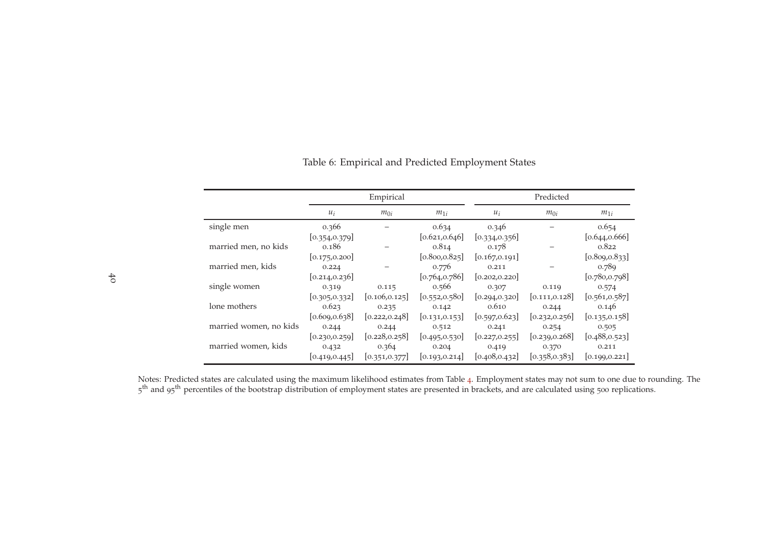<span id="page-39-0"></span>

|                        |                | Empirical      |                |                | Predicted      |                |
|------------------------|----------------|----------------|----------------|----------------|----------------|----------------|
|                        | $u_i$          | $m_{0i}$       | $m_{1i}$       | $u_i$          | $m_{0i}$       | $m_{1i}$       |
| single men             | 0.366          |                | 0.634          | 0.346          |                | 0.654          |
|                        | [0.354, 0.379] |                | [0.621, 0.646] | [0.334, 0.356] |                | [0.644, 0.666] |
| married men, no kids   | 0.186          |                | 0.814          | 0.178          |                | 0.822          |
|                        | [0.175, 0.200] |                | [0.800, 0.825] | [0.167, 0.191] |                | [0.809, 0.833] |
| married men, kids      | 0.224          |                | 0.776          | 0.211          |                | 0.789          |
|                        | [0.214, 0.236] |                | [0.764, 0.786] | [0.202, 0.220] |                | [0.780, 0.798] |
| single women           | 0.319          | 0.115          | 0.566          | 0.307          | 0.119          | 0.574          |
|                        | [0.305, 0.332] | [0.106, 0.125] | [0.552, 0.580] | [0.294, 0.320] | [0.111, 0.128] | [0.561, 0.587] |
| lone mothers           | 0.623          | 0.235          | 0.142          | 0.610          | 0.244          | 0.146          |
|                        | [0.609, 0.638] | [0.222, 0.248] | [0.131, 0.153] | [0.597, 0.623] | [0.232, 0.256] | [0.135, 0.158] |
| married women, no kids | 0.244          | 0.244          | 0.512          | 0.241          | 0.254          | 0.505          |
|                        | [0.230, 0.259] | [0.228, 0.258] | [0.495, 0.530] | [0.227, 0.255] | [0.239, 0.268] | [0.488, 0.523] |
| married women, kids    | 0.432          | 0.364          | 0.204          | 0.419          | 0.370          | 0.211          |
|                        | [0.419, 0.445] | [0.351, 0.377] | [0.193, 0.214] | [0.408, 0.432] | [0.358, 0.383] | [0.199, 0.221] |

Table <sup>6</sup>: Empirical and Predicted Employment States

Notes: Predicted states are calculated using the maximum likelihood estimates from Table [4](#page-33-1). Employment states may not sum to one due to rounding. The 5<sup>th</sup> and 95<sup>th</sup> percentiles of the bootstrap distribution of employment states are presented in brackets, and are calculated using 500 replications.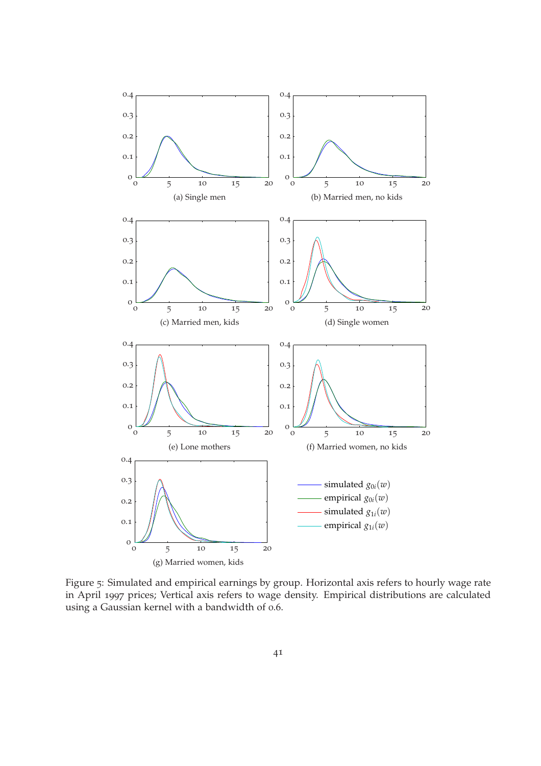<span id="page-40-0"></span>

<span id="page-40-2"></span><span id="page-40-1"></span>Figure 5: Simulated and empirical earnings by group. Horizontal axis refers to hourly wage rate in April 1997 prices; Vertical axis refers to wage density. Empirical distributions are calculated using a Gaussian kernel with a bandwidth of 0.6.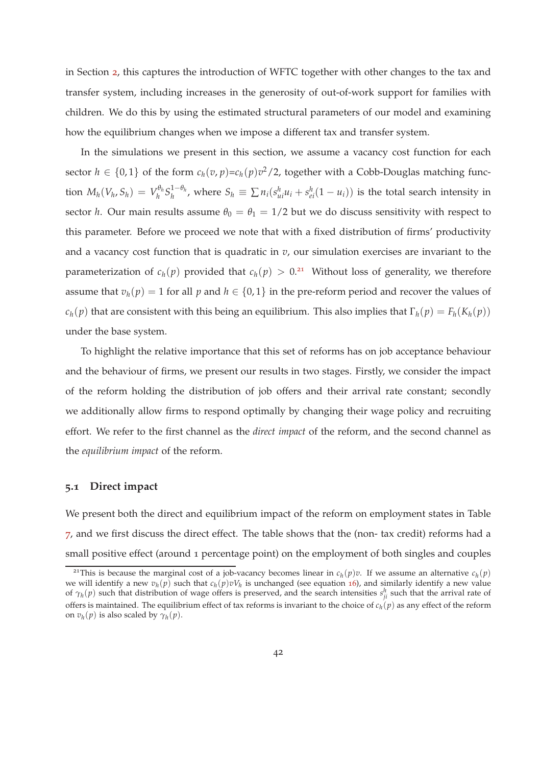in Section [2](#page-6-0), this captures the introduction of WFTC together with other changes to the tax and transfer system, including increases in the generosity of out-of-work support for families with children. We do this by using the estimated structural parameters of our model and examining how the equilibrium changes when we impose a different tax and transfer system.

In the simulations we present in this section, we assume a vacancy cost function for each sector  $h \in \{0,1\}$  of the form  $c_h(v, p) = c_h(p)v^2/2$ , together with a Cobb-Douglas matching func- $\text{tion } M_h(V_h, S_h) = V_h^{\theta_h}$ *h S* 1−*θ<sup>h</sup>*  $\sum_{h}^{1-\theta_h}$ , where  $S_h \equiv \sum_{i} n_i (s_{ui}^h u_i + s_{ei}^h (1 - u_i))$  is the total search intensity in sector *h*. Our main results assume  $\theta_0 = \theta_1 = 1/2$  but we do discuss sensitivity with respect to this parameter. Before we proceed we note that with a fixed distribution of firms' productivity and a vacancy cost function that is quadratic in  $v$ , our simulation exercises are invariant to the parameterization of  $c_h(p)$  provided that  $c_h(p) > 0.21$  Without loss of generality, we therefore assume that  $v_h(p) = 1$  for all *p* and  $h \in \{0, 1\}$  in the pre-reform period and recover the values of *c*<sub>*h*</sub>(*p*) that are consistent with this being an equilibrium. This also implies that  $\Gamma_h(p) = F_h(K_h(p))$ under the base system.

To highlight the relative importance that this set of reforms has on job acceptance behaviour and the behaviour of firms, we present our results in two stages. Firstly, we consider the impact of the reform holding the distribution of job offers and their arrival rate constant; secondly we additionally allow firms to respond optimally by changing their wage policy and recruiting effort. We refer to the first channel as the *direct impact* of the reform, and the second channel as the *equilibrium impact* of the reform.

#### **5.1 Direct impact**

We present both the direct and equilibrium impact of the reform on employment states in Table [7](#page-46-0), and we first discuss the direct effect. The table shows that the (non- tax credit) reforms had a small positive effect (around 1 percentage point) on the employment of both singles and couples

<sup>&</sup>lt;sup>21</sup>This is because the marginal cost of a job-vacancy becomes linear in  $c_h(p)v$ . If we assume an alternative  $c_h(p)$ we will identify a new  $v_h(p)$  such that  $c_h(p)vV_h$  is unchanged (see equation [16](#page-17-1)), and similarly identify a new value of  $\gamma_h(p)$  such that distribution of wage offers is preserved, and the search intensities  $s_{ji}^h$  such that the arrival rate of offers is maintained. The equilibrium effect of tax reforms is invariant to the choice of *c<sup>h</sup>* (*p*) as any effect of the reform on  $v_h(p)$  is also scaled by  $\gamma_h(p)$ .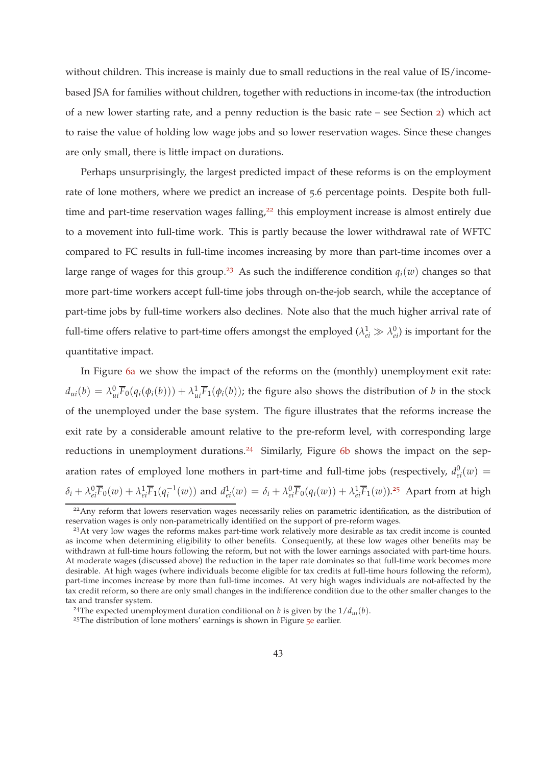without children. This increase is mainly due to small reductions in the real value of IS/incomebased JSA for families without children, together with reductions in income-tax (the introduction of a new lower starting rate, and a penny reduction is the basic rate – see Section [2](#page-6-0)) which act to raise the value of holding low wage jobs and so lower reservation wages. Since these changes are only small, there is little impact on durations.

Perhaps unsurprisingly, the largest predicted impact of these reforms is on the employment rate of lone mothers, where we predict an increase of 5.6 percentage points. Despite both fulltime and part-time reservation wages falling, $2<sup>2</sup>$  this employment increase is almost entirely due to a movement into full-time work. This is partly because the lower withdrawal rate of WFTC compared to FC results in full-time incomes increasing by more than part-time incomes over a large range of wages for this group.<sup>23</sup> As such the indifference condition  $q_i(w)$  changes so that more part-time workers accept full-time jobs through on-the-job search, while the acceptance of part-time jobs by full-time workers also declines. Note also that the much higher arrival rate of full-time offers relative to part-time offers amongst the employed  $(\lambda_{ei}^1 \gg \lambda_{ei}^0)$  is important for the quantitative impact.

In Figure [6](#page-44-0)a we show the impact of the reforms on the (monthly) unemployment exit rate:  $d_{ui}(b) = \lambda_{ui}^0 \overline{F}_0(q_i(\phi_i(b))) + \lambda_{ui}^1 \overline{F}_1(\phi_i(b))$ ; the figure also shows the distribution of  $b$  in the stock of the unemployed under the base system. The figure illustrates that the reforms increase the exit rate by a considerable amount relative to the pre-reform level, with corresponding large reductions in unemployment durations.<sup>24</sup> Similarly, Figure 6[b](#page-44-1) shows the impact on the separation rates of employed lone mothers in part-time and full-time jobs (respectively,  $d_{ei}^0(w)$  =  $\delta_i + \lambda_{ei}^0 \overline{F}_0(w) + \lambda_{ei}^1 \overline{F}_1(q_i^{-1}(w))$  and  $d_{ei}^1(w) = \delta_i + \lambda_{ei}^0 \overline{F}_0(q_i(w)) + \lambda_{ei}^1 \overline{F}_1(w)$ ).<sup>25</sup> Apart from at high

<sup>&</sup>lt;sup>22</sup>Any reform that lowers reservation wages necessarily relies on parametric identification, as the distribution of reservation wages is only non-parametrically identified on the support of pre-reform wages.

<sup>&</sup>lt;sup>23</sup>At very low wages the reforms makes part-time work relatively more desirable as tax credit income is counted as income when determining eligibility to other benefits. Consequently, at these low wages other benefits may be withdrawn at full-time hours following the reform, but not with the lower earnings associated with part-time hours. At moderate wages (discussed above) the reduction in the taper rate dominates so that full-time work becomes more desirable. At high wages (where individuals become eligible for tax credits at full-time hours following the reform), part-time incomes increase by more than full-time incomes. At very high wages individuals are not-affected by the tax credit reform, so there are only small changes in the indifference condition due to the other smaller changes to the tax and transfer system.

<sup>&</sup>lt;sup>24</sup>The expected unemployment duration conditional on *b* is given by the  $1/d_{ui}(b)$ .

<sup>&</sup>lt;sup>2[5](#page-40-2)</sup>The distribution of lone mothers' earnings is shown in Figure  $\frac{1}{2}$  earlier.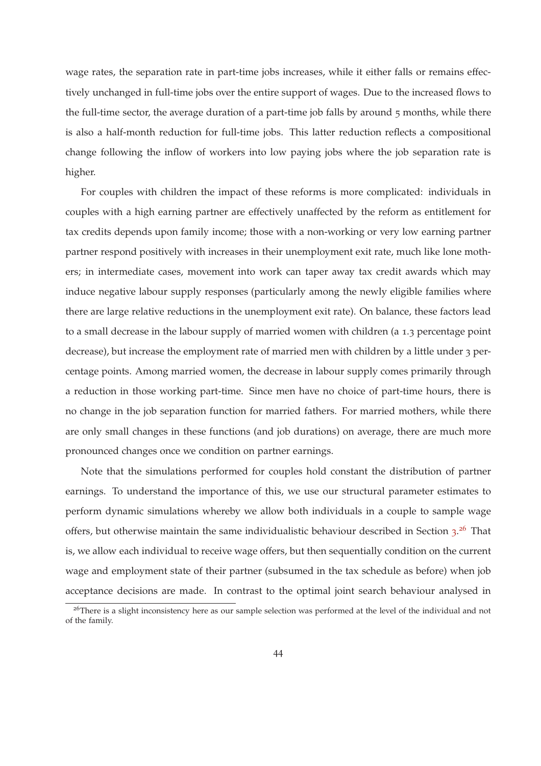wage rates, the separation rate in part-time jobs increases, while it either falls or remains effectively unchanged in full-time jobs over the entire support of wages. Due to the increased flows to the full-time sector, the average duration of a part-time job falls by around 5 months, while there is also a half-month reduction for full-time jobs. This latter reduction reflects a compositional change following the inflow of workers into low paying jobs where the job separation rate is higher.

For couples with children the impact of these reforms is more complicated: individuals in couples with a high earning partner are effectively unaffected by the reform as entitlement for tax credits depends upon family income; those with a non-working or very low earning partner partner respond positively with increases in their unemployment exit rate, much like lone mothers; in intermediate cases, movement into work can taper away tax credit awards which may induce negative labour supply responses (particularly among the newly eligible families where there are large relative reductions in the unemployment exit rate). On balance, these factors lead to a small decrease in the labour supply of married women with children (a 1.3 percentage point decrease), but increase the employment rate of married men with children by a little under 3 percentage points. Among married women, the decrease in labour supply comes primarily through a reduction in those working part-time. Since men have no choice of part-time hours, there is no change in the job separation function for married fathers. For married mothers, while there are only small changes in these functions (and job durations) on average, there are much more pronounced changes once we condition on partner earnings.

Note that the simulations performed for couples hold constant the distribution of partner earnings. To understand the importance of this, we use our structural parameter estimates to perform dynamic simulations whereby we allow both individuals in a couple to sample wage offers, but otherwise maintain the same individualistic behaviour described in Section [3](#page-9-0).<sup>26</sup> That is, we allow each individual to receive wage offers, but then sequentially condition on the current wage and employment state of their partner (subsumed in the tax schedule as before) when job acceptance decisions are made. In contrast to the optimal joint search behaviour analysed in

<sup>&</sup>lt;sup>26</sup>There is a slight inconsistency here as our sample selection was performed at the level of the individual and not of the family.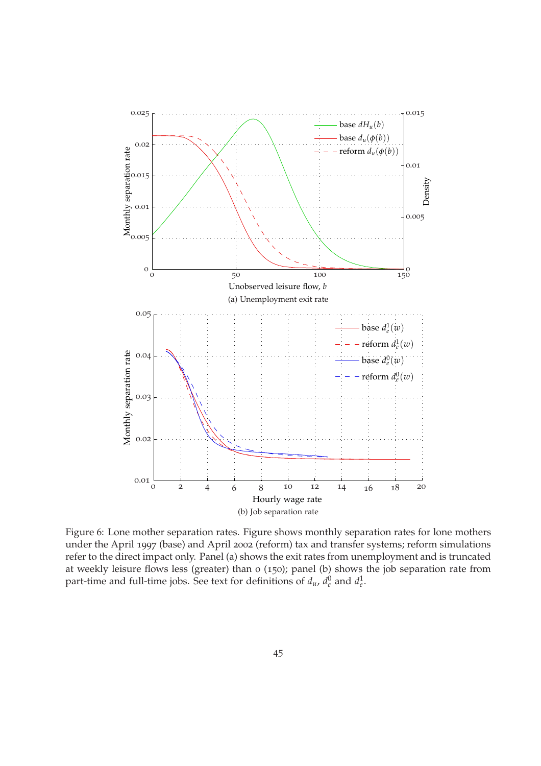<span id="page-44-0"></span>

<span id="page-44-1"></span>Figure 6: Lone mother separation rates. Figure shows monthly separation rates for lone mothers under the April 1997 (base) and April 2002 (reform) tax and transfer systems; reform simulations refer to the direct impact only. Panel (a) shows the exit rates from unemployment and is truncated at weekly leisure flows less (greater) than 0 (150); panel (b) shows the job separation rate from part-time and full-time jobs. See text for definitions of  $d_u$ ,  $d_e^0$  and  $d_e^1$ .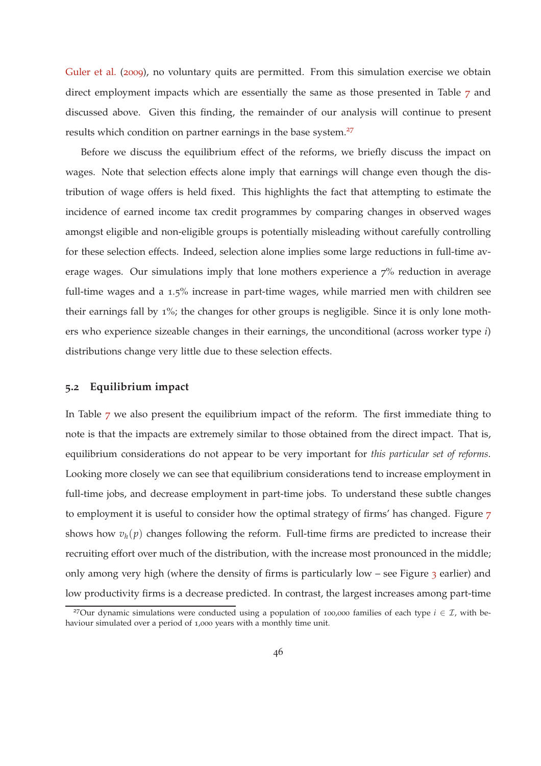<span id="page-45-1"></span>[Guler et al.](#page-59-10) ([2009](#page-59-10)), no voluntary quits are permitted. From this simulation exercise we obtain direct employment impacts which are essentially the same as those presented in Table [7](#page-46-0) and discussed above. Given this finding, the remainder of our analysis will continue to present results which condition on partner earnings in the base system.<sup>27</sup>

Before we discuss the equilibrium effect of the reforms, we briefly discuss the impact on wages. Note that selection effects alone imply that earnings will change even though the distribution of wage offers is held fixed. This highlights the fact that attempting to estimate the incidence of earned income tax credit programmes by comparing changes in observed wages amongst eligible and non-eligible groups is potentially misleading without carefully controlling for these selection effects. Indeed, selection alone implies some large reductions in full-time average wages. Our simulations imply that lone mothers experience a  $7\%$  reduction in average full-time wages and a 1.5% increase in part-time wages, while married men with children see their earnings fall by 1%; the changes for other groups is negligible. Since it is only lone mothers who experience sizeable changes in their earnings, the unconditional (across worker type *i*) distributions change very little due to these selection effects.

#### <span id="page-45-0"></span>**5.2 Equilibrium impact**

In Table [7](#page-46-0) we also present the equilibrium impact of the reform. The first immediate thing to note is that the impacts are extremely similar to those obtained from the direct impact. That is, equilibrium considerations do not appear to be very important for *this particular set of reforms*. Looking more closely we can see that equilibrium considerations tend to increase employment in full-time jobs, and decrease employment in part-time jobs. To understand these subtle changes to employment it is useful to consider how the optimal strategy of firms' has changed. Figure [7](#page-47-0) shows how  $v_h(p)$  changes following the reform. Full-time firms are predicted to increase their recruiting effort over much of the distribution, with the increase most pronounced in the middle; only among very high (where the density of firms is particularly low – see Figure  $\alpha$  earlier) and low productivity firms is a decrease predicted. In contrast, the largest increases among part-time

<sup>&</sup>lt;sup>27</sup>Our dynamic simulations were conducted using a population of 100,000 families of each type  $i \in \mathcal{I}$ , with behaviour simulated over a period of 1,000 years with a monthly time unit.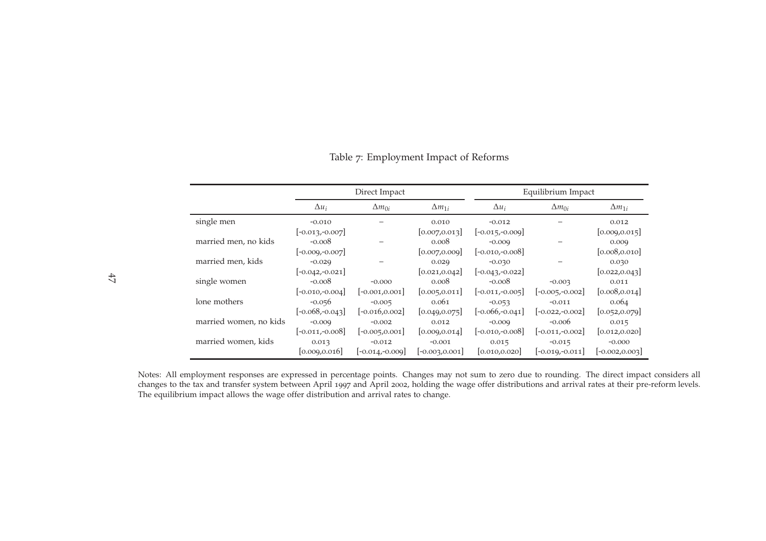<span id="page-46-0"></span>

|                        |                    | Direct Impact     |                   |                   | Equilibrium Impact |                   |
|------------------------|--------------------|-------------------|-------------------|-------------------|--------------------|-------------------|
|                        | $\Delta u_i$       | $\Delta m_{0i}$   | $\Delta m_{1i}$   | $\Delta u_i$      | $\Delta m_{0i}$    | $\Delta m_{1i}$   |
| single men             | $-0.010$           |                   | 0.010             | $-0.012$          |                    | 0.012             |
|                        | $[-0.013,-0.007]$  |                   | [0.007, 0.013]    | $[-0.015,-0.009]$ |                    | [0.009, 0.015]    |
| married men, no kids   | $-0.008$           |                   | 0.008             | $-0.009$          |                    | 0.009             |
|                        | $[-0.009,-0.007]$  |                   | [0.007, 0.009]    | $[-0.010,-0.008]$ |                    | [0.008, 0.010]    |
| married men, kids      | $-0.029$           |                   | 0.029             | $-0.030$          |                    | 0.030             |
|                        | $[-0.042,-0.021]$  |                   | [0.021, 0.042]    | $[-0.043,-0.022]$ |                    | [0.022, 0.043]    |
| single women           | $-0.008$           | $-0.000$          | 0.008             | $-0.008$          | $-0.003$           | 0.011             |
|                        | $[-0.010,-0.004]$  | $[-0.001, 0.001]$ | [0.005, 0.011]    | $[-0.011,-0.005]$ | $[-0.005,-0.002]$  | [0.008, 0.014]    |
| lone mothers           | $-0.056$           | $-0.005$          | 0.061             | $-0.053$          | $-0.011$           | 0.064             |
|                        | $[-0.068, -0.043]$ | $[-0.016, 0.002]$ | [0.049, 0.075]    | $[-0.066,-0.041]$ | $[-0.022,-0.002]$  | [0.052, 0.079]    |
| married women, no kids | $-0.009$           | $-0.002$          | 0.012             | $-0.009$          | $-0.006$           | 0.015             |
|                        | $[-0.011,-0.008]$  | $[-0.005, 0.001]$ | [0.009, 0.014]    | $[-0.010,-0.008]$ | $[-0.011,-0.002]$  | [0.012, 0.020]    |
| married women, kids    | 0.013              | $-0.012$          | $-0.001$          | 0.015             | $-0.015$           | $-0.000$          |
|                        | [0.009, 0.016]     | $[-0.014,-0.009]$ | $[-0.003, 0.001]$ | [0.010, 0.020]    | $[-0.019,-0.011]$  | $[-0.002, 0.003]$ |

Table <sup>7</sup>: Employment Impact of Reforms

Notes: All employment responses are expresse<sup>d</sup> in percentage points. Changes may not sum to zero due to rounding. The direct impact considers all changes to the tax and transfer system between April <sup>1997</sup> and April <sup>2002</sup>, holding the wage offer distributions and arrival rates at their pre-reform levels. The equilibrium impact allows the wage offer distribution and arrival rates to change.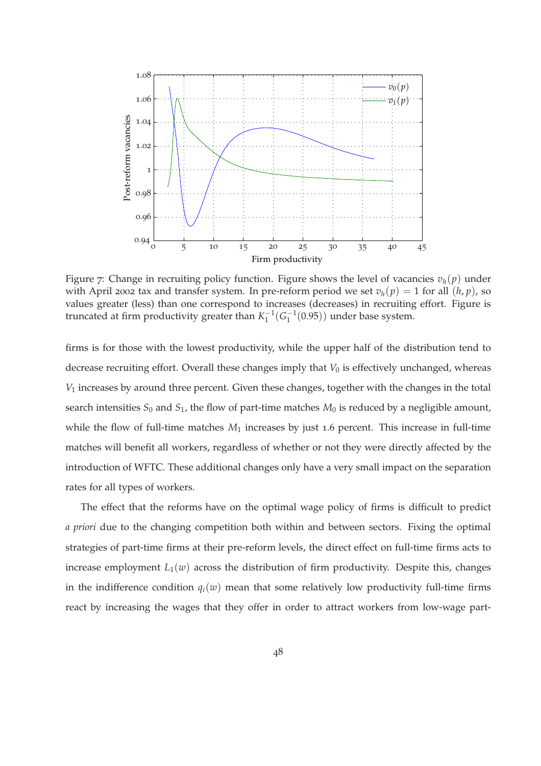<span id="page-47-0"></span>

Figure 7: Change in recruiting policy function. Figure shows the level of vacancies  $v_h(p)$  under with April 2002 tax and transfer system. In pre-reform period we set  $v_h(p) = 1$  for all  $(h, p)$ , so values greater (less) than one correspond to increases (decreases) in recruiting effort. Figure is truncated at firm productivity greater than  $K_1^{-1}(G_1^{-1}(0.95))$  under base system.

firms is for those with the lowest productivity, while the upper half of the distribution tend to decrease recruiting effort. Overall these changes imply that *V*<sub>0</sub> is effectively unchanged, whereas *V*<sup>1</sup> increases by around three percent. Given these changes, together with the changes in the total search intensities  $S_0$  and  $S_1$ , the flow of part-time matches  $M_0$  is reduced by a negligible amount, while the flow of full-time matches  $M_1$  increases by just 1.6 percent. This increase in full-time matches will benefit all workers, regardless of whether or not they were directly affected by the introduction of WFTC. These additional changes only have a very small impact on the separation rates for all types of workers.

The effect that the reforms have on the optimal wage policy of firms is difficult to predict *a priori* due to the changing competition both within and between sectors. Fixing the optimal strategies of part-time firms at their pre-reform levels, the direct effect on full-time firms acts to increase employment  $L_1(w)$  across the distribution of firm productivity. Despite this, changes in the indifference condition  $q_i(w)$  mean that some relatively low productivity full-time firms react by increasing the wages that they offer in order to attract workers from low-wage part-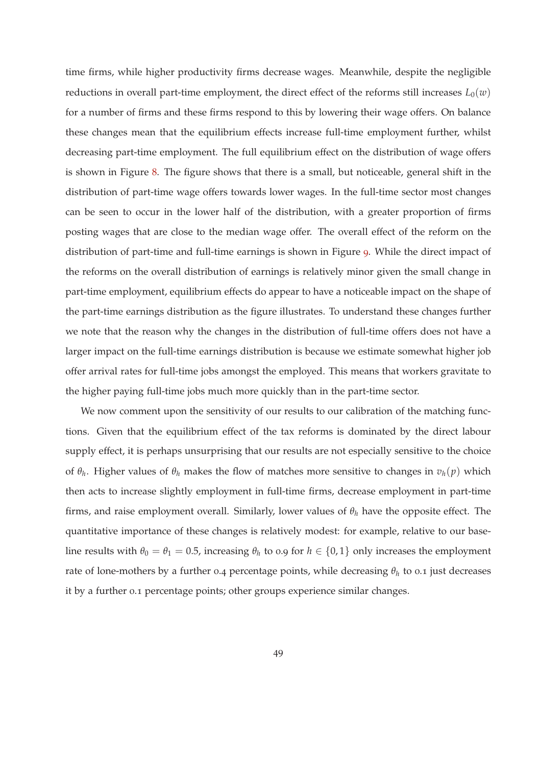time firms, while higher productivity firms decrease wages. Meanwhile, despite the negligible reductions in overall part-time employment, the direct effect of the reforms still increases  $L_0(w)$ for a number of firms and these firms respond to this by lowering their wage offers. On balance these changes mean that the equilibrium effects increase full-time employment further, whilst decreasing part-time employment. The full equilibrium effect on the distribution of wage offers is shown in Figure [8](#page-49-0). The figure shows that there is a small, but noticeable, general shift in the distribution of part-time wage offers towards lower wages. In the full-time sector most changes can be seen to occur in the lower half of the distribution, with a greater proportion of firms posting wages that are close to the median wage offer. The overall effect of the reform on the distribution of part-time and full-time earnings is shown in Figure [9](#page-49-1). While the direct impact of the reforms on the overall distribution of earnings is relatively minor given the small change in part-time employment, equilibrium effects do appear to have a noticeable impact on the shape of the part-time earnings distribution as the figure illustrates. To understand these changes further we note that the reason why the changes in the distribution of full-time offers does not have a larger impact on the full-time earnings distribution is because we estimate somewhat higher job offer arrival rates for full-time jobs amongst the employed. This means that workers gravitate to the higher paying full-time jobs much more quickly than in the part-time sector.

We now comment upon the sensitivity of our results to our calibration of the matching functions. Given that the equilibrium effect of the tax reforms is dominated by the direct labour supply effect, it is perhaps unsurprising that our results are not especially sensitive to the choice of  $\theta_h$ . Higher values of  $\theta_h$  makes the flow of matches more sensitive to changes in  $v_h(p)$  which then acts to increase slightly employment in full-time firms, decrease employment in part-time firms, and raise employment overall. Similarly, lower values of *θ<sup>h</sup>* have the opposite effect. The quantitative importance of these changes is relatively modest: for example, relative to our baseline results with  $\theta_0 = \theta_1 = 0.5$ , increasing  $\theta_h$  to 0.9 for  $h \in \{0,1\}$  only increases the employment rate of lone-mothers by a further 0.4 percentage points, while decreasing *θ<sup>h</sup>* to 0.1 just decreases it by a further 0.1 percentage points; other groups experience similar changes.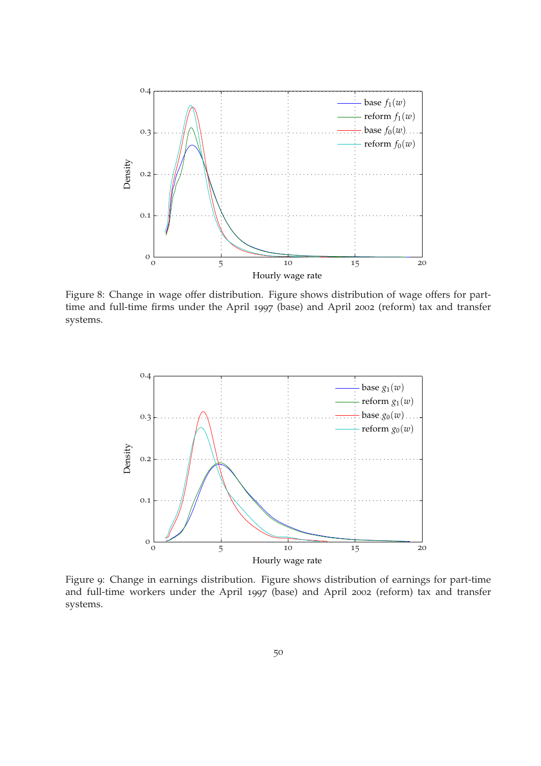<span id="page-49-0"></span>

Figure 8: Change in wage offer distribution. Figure shows distribution of wage offers for parttime and full-time firms under the April 1997 (base) and April 2002 (reform) tax and transfer systems.

<span id="page-49-1"></span>

Figure 9: Change in earnings distribution. Figure shows distribution of earnings for part-time and full-time workers under the April 1997 (base) and April 2002 (reform) tax and transfer systems.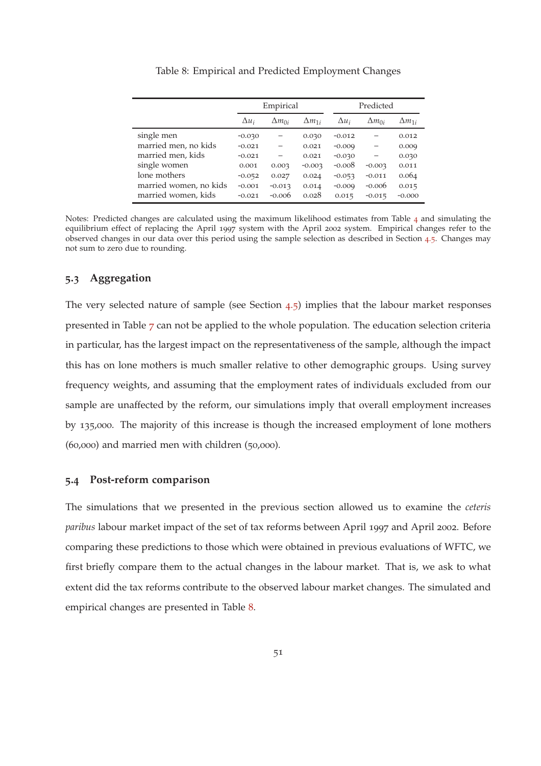<span id="page-50-0"></span>

|                        |              | Empirical       |                 |              | Predicted       |                 |  |  |
|------------------------|--------------|-----------------|-----------------|--------------|-----------------|-----------------|--|--|
|                        | $\Delta u_i$ | $\Delta m_{0i}$ | $\Delta m_{1i}$ | $\Delta u_i$ | $\Delta m_{0i}$ | $\Delta m_{1i}$ |  |  |
| single men             | $-0.030$     |                 | 0.030           | $-0.012$     |                 | 0.012           |  |  |
| married men, no kids   | $-0.021$     |                 | 0.021           | $-0.009$     |                 | 0.009           |  |  |
| married men, kids      | $-0.021$     |                 | 0.021           | $-0.030$     |                 | 0.030           |  |  |
| single women           | 0.001        | 0.003           | $-0.003$        | $-0.008$     | $-0.003$        | 0.011           |  |  |
| lone mothers           | $-0.052$     | 0.027           | 0.024           | $-0.053$     | $-0.011$        | 0.064           |  |  |
| married women, no kids | $-0.001$     | $-0.013$        | 0.014           | $-0.009$     | $-0.006$        | 0.015           |  |  |
| married women, kids    | $-0.021$     | $-0.006$        | 0.028           | 0.015        | $-0.015$        | $-0.000$        |  |  |

Table 8: Empirical and Predicted Employment Changes

Notes: Predicted changes are calculated using the maximum likelihood estimates from Table [4](#page-33-0) and simulating the equilibrium effect of replacing the April 1997 system with the April 2002 system. Empirical changes refer to the observed changes in our data over this period using the sample selection as described in Section [4](#page-29-0).5. Changes may not sum to zero due to rounding.

#### **5.3 Aggregation**

The very selected nature of sample (see Section  $(4.5)$  $(4.5)$  $(4.5)$ ) implies that the labour market responses presented in Table [7](#page-46-0) can not be applied to the whole population. The education selection criteria in particular, has the largest impact on the representativeness of the sample, although the impact this has on lone mothers is much smaller relative to other demographic groups. Using survey frequency weights, and assuming that the employment rates of individuals excluded from our sample are unaffected by the reform, our simulations imply that overall employment increases by 135,000. The majority of this increase is though the increased employment of lone mothers (60,000) and married men with children (50,000).

#### **5.4 Post-reform comparison**

The simulations that we presented in the previous section allowed us to examine the *ceteris paribus* labour market impact of the set of tax reforms between April 1997 and April 2002. Before comparing these predictions to those which were obtained in previous evaluations of WFTC, we first briefly compare them to the actual changes in the labour market. That is, we ask to what extent did the tax reforms contribute to the observed labour market changes. The simulated and empirical changes are presented in Table [8](#page-50-0).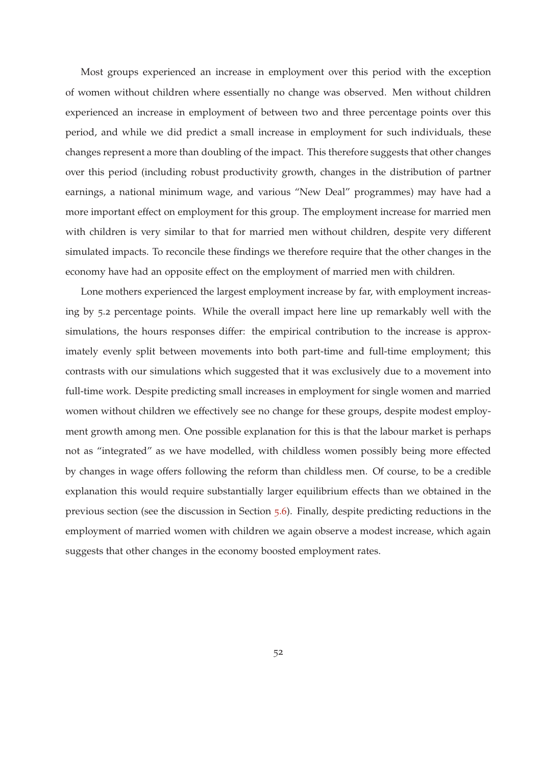Most groups experienced an increase in employment over this period with the exception of women without children where essentially no change was observed. Men without children experienced an increase in employment of between two and three percentage points over this period, and while we did predict a small increase in employment for such individuals, these changes represent a more than doubling of the impact. This therefore suggests that other changes over this period (including robust productivity growth, changes in the distribution of partner earnings, a national minimum wage, and various "New Deal" programmes) may have had a more important effect on employment for this group. The employment increase for married men with children is very similar to that for married men without children, despite very different simulated impacts. To reconcile these findings we therefore require that the other changes in the economy have had an opposite effect on the employment of married men with children.

Lone mothers experienced the largest employment increase by far, with employment increasing by 5.2 percentage points. While the overall impact here line up remarkably well with the simulations, the hours responses differ: the empirical contribution to the increase is approximately evenly split between movements into both part-time and full-time employment; this contrasts with our simulations which suggested that it was exclusively due to a movement into full-time work. Despite predicting small increases in employment for single women and married women without children we effectively see no change for these groups, despite modest employment growth among men. One possible explanation for this is that the labour market is perhaps not as "integrated" as we have modelled, with childless women possibly being more effected by changes in wage offers following the reform than childless men. Of course, to be a credible explanation this would require substantially larger equilibrium effects than we obtained in the previous section (see the discussion in Section [5](#page-54-0).6). Finally, despite predicting reductions in the employment of married women with children we again observe a modest increase, which again suggests that other changes in the economy boosted employment rates.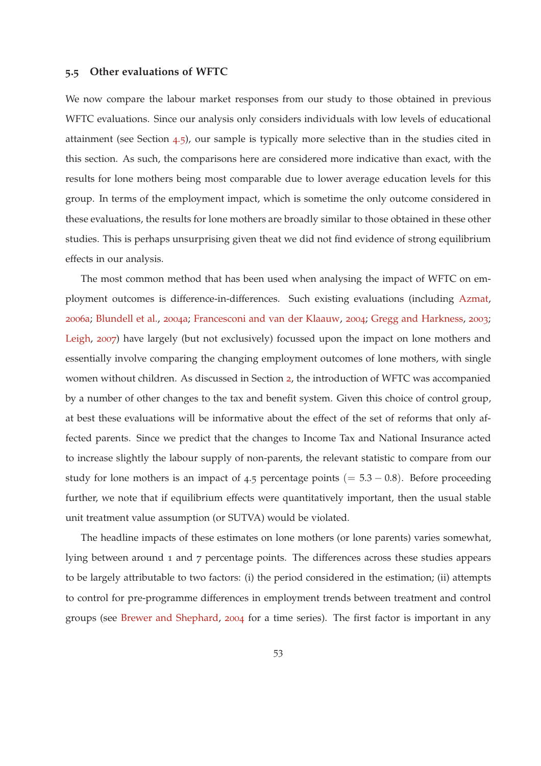#### <span id="page-52-1"></span><span id="page-52-0"></span>**5.5 Other evaluations of WFTC**

We now compare the labour market responses from our study to those obtained in previous WFTC evaluations. Since our analysis only considers individuals with low levels of educational attainment (see Section [4](#page-29-0).5), our sample is typically more selective than in the studies cited in this section. As such, the comparisons here are considered more indicative than exact, with the results for lone mothers being most comparable due to lower average education levels for this group. In terms of the employment impact, which is sometime the only outcome considered in these evaluations, the results for lone mothers are broadly similar to those obtained in these other studies. This is perhaps unsurprising given theat we did not find evidence of strong equilibrium effects in our analysis.

The most common method that has been used when analysing the impact of WFTC on employment outcomes is difference-in-differences. Such existing evaluations (including [Azmat](#page-57-2), [2006](#page-57-2)a; [Blundell et al.](#page-57-3), [2004](#page-57-3)a; [Francesconi and van der Klaauw,](#page-59-2) [2004](#page-59-2); [Gregg and Harkness,](#page-59-3) [2003](#page-59-3); [Leigh,](#page-59-4) [2007](#page-59-4)) have largely (but not exclusively) focussed upon the impact on lone mothers and essentially involve comparing the changing employment outcomes of lone mothers, with single women without children. As discussed in Section [2](#page-6-0), the introduction of WFTC was accompanied by a number of other changes to the tax and benefit system. Given this choice of control group, at best these evaluations will be informative about the effect of the set of reforms that only affected parents. Since we predict that the changes to Income Tax and National Insurance acted to increase slightly the labour supply of non-parents, the relevant statistic to compare from our study for lone mothers is an impact of 4.5 percentage points (=  $5.3 - 0.8$ ). Before proceeding further, we note that if equilibrium effects were quantitatively important, then the usual stable unit treatment value assumption (or SUTVA) would be violated.

The headline impacts of these estimates on lone mothers (or lone parents) varies somewhat, lying between around 1 and 7 percentage points. The differences across these studies appears to be largely attributable to two factors: (i) the period considered in the estimation; (ii) attempts to control for pre-programme differences in employment trends between treatment and control groups (see [Brewer and Shephard](#page-58-10), [2004](#page-58-10) for a time series). The first factor is important in any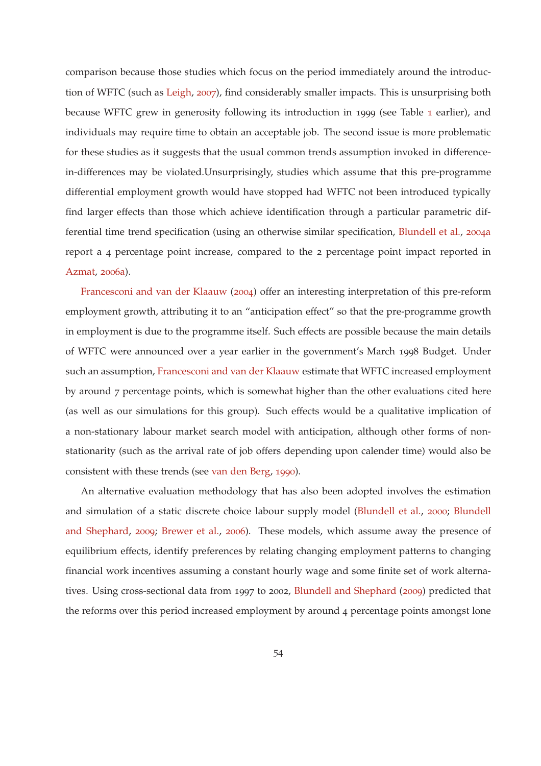<span id="page-53-0"></span>comparison because those studies which focus on the period immediately around the introduction of WFTC (such as [Leigh,](#page-59-4) [2007](#page-59-4)), find considerably smaller impacts. This is unsurprising both because WFTC grew in generosity following its introduction in 1999 (see Table [1](#page-8-0) earlier), and individuals may require time to obtain an acceptable job. The second issue is more problematic for these studies as it suggests that the usual common trends assumption invoked in differencein-differences may be violated.Unsurprisingly, studies which assume that this pre-programme differential employment growth would have stopped had WFTC not been introduced typically find larger effects than those which achieve identification through a particular parametric differential time trend specification (using an otherwise similar specification, [Blundell et al.](#page-57-3), [2004](#page-57-3)a report a 4 percentage point increase, compared to the 2 percentage point impact reported in [Azmat,](#page-57-2) [2006](#page-57-2)a).

Francesconi and van der Klaauw ([2004](#page-59-2)) offer an interesting interpretation of this pre-reform employment growth, attributing it to an "anticipation effect" so that the pre-programme growth in employment is due to the programme itself. Such effects are possible because the main details of WFTC were announced over a year earlier in the government's March 1998 Budget. Under such an assumption, [Francesconi and van der Klaauw](#page-59-2) estimate that WFTC increased employment by around 7 percentage points, which is somewhat higher than the other evaluations cited here (as well as our simulations for this group). Such effects would be a qualitative implication of a non-stationary labour market search model with anticipation, although other forms of nonstationarity (such as the arrival rate of job offers depending upon calender time) would also be consistent with these trends (see [van den Berg](#page-61-9), [1990](#page-61-9)).

An alternative evaluation methodology that has also been adopted involves the estimation and simulatio[n of a static discrete choice labour supply model](#page-58-1) [\(Blundell et al.](#page-57-0)[,](#page-58-1) [2000](#page-57-0); Blundell and Shephard, [2009](#page-58-1); [Brewer et al.,](#page-58-2) [2006](#page-58-2)). These models, which assume away the presence of equilibrium effects, identify preferences by relating changing employment patterns to changing financial work incentives assuming a constant hourly wage and some finite set of work alternatives. Using cross-sectional data from 1997 to 2002, [Blundell and Shephard](#page-58-1) ([2009](#page-58-1)) predicted that the reforms over this period increased employment by around 4 percentage points amongst lone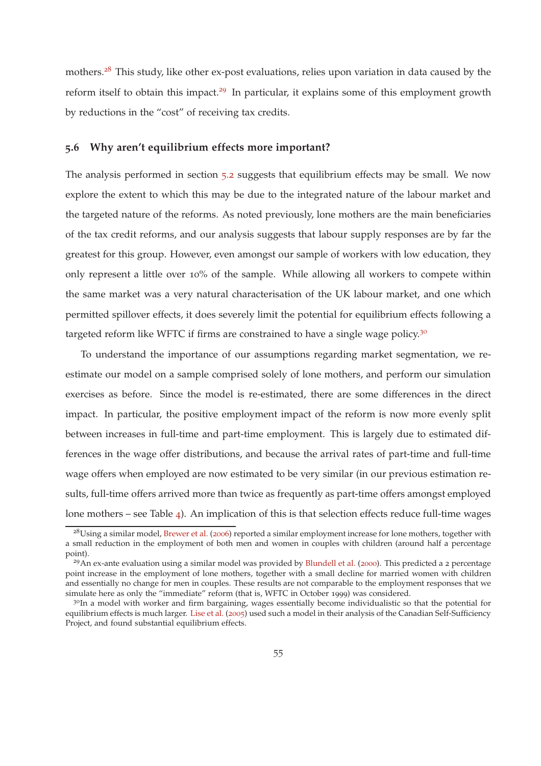<span id="page-54-1"></span>mothers.<sup>28</sup> This study, like other ex-post evaluations, relies upon variation in data caused by the reform itself to obtain this impact.<sup>29</sup> In particular, it explains some of this employment growth by reductions in the "cost" of receiving tax credits.

#### <span id="page-54-0"></span>**5.6 Why aren't equilibrium effects more important?**

The analysis performed in section 5.[2](#page-45-0) suggests that equilibrium effects may be small. We now explore the extent to which this may be due to the integrated nature of the labour market and the targeted nature of the reforms. As noted previously, lone mothers are the main beneficiaries of the tax credit reforms, and our analysis suggests that labour supply responses are by far the greatest for this group. However, even amongst our sample of workers with low education, they only represent a little over 10% of the sample. While allowing all workers to compete within the same market was a very natural characterisation of the UK labour market, and one which permitted spillover effects, it does severely limit the potential for equilibrium effects following a targeted reform like WFTC if firms are constrained to have a single wage policy.<sup>30</sup>

To understand the importance of our assumptions regarding market segmentation, we reestimate our model on a sample comprised solely of lone mothers, and perform our simulation exercises as before. Since the model is re-estimated, there are some differences in the direct impact. In particular, the positive employment impact of the reform is now more evenly split between increases in full-time and part-time employment. This is largely due to estimated differences in the wage offer distributions, and because the arrival rates of part-time and full-time wage offers when employed are now estimated to be very similar (in our previous estimation results, full-time offers arrived more than twice as frequently as part-time offers amongst employed lone mothers – see Table [4](#page-33-0)). An implication of this is that selection effects reduce full-time wages

<sup>&</sup>lt;sup>28</sup>Using a similar model, [Brewer et al.](#page-58-2) ([2006](#page-58-2)) reported a similar employment increase for lone mothers, together with a small reduction in the employment of both men and women in couples with children (around half a percentage point).

 $^{29}$ An ex-ante evaluation using a similar model was provided by [Blundell et al.](#page-57-0) ([2000](#page-57-0)). This predicted a 2 percentage point increase in the employment of lone mothers, together with a small decline for married women with children and essentially no change for men in couples. These results are not comparable to the employment responses that we simulate here as only the "immediate" reform (that is, WFTC in October 1999) was considered.

<sup>&</sup>lt;sup>30</sup>In a model with worker and firm bargaining, wages essentially become individualistic so that the potential for equilibrium effects is much larger. [Lise et al.](#page-60-2) ([2005](#page-60-2)) used such a model in their analysis of the Canadian Self-Sufficiency Project, and found substantial equilibrium effects.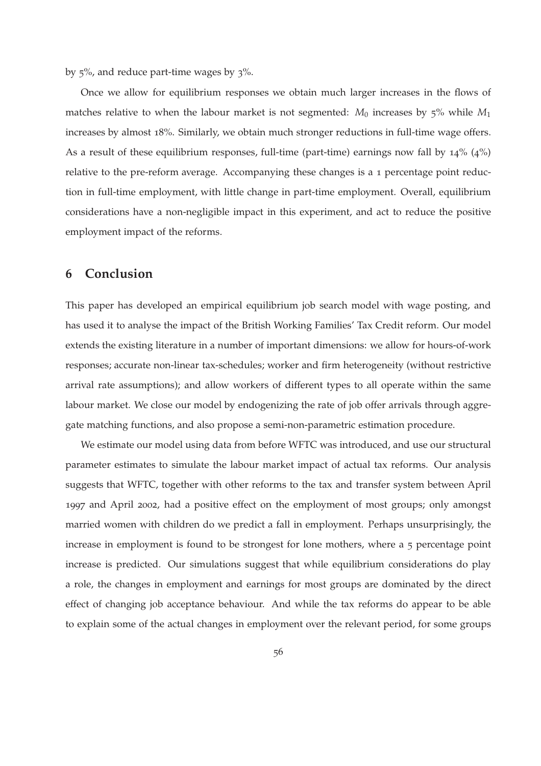by 5%, and reduce part-time wages by 3%.

Once we allow for equilibrium responses we obtain much larger increases in the flows of matches relative to when the labour market is not segmented: *M*<sup>0</sup> increases by 5% while *M*<sup>1</sup> increases by almost 18%. Similarly, we obtain much stronger reductions in full-time wage offers. As a result of these equilibrium responses, full-time (part-time) earnings now fall by  $14\%$  ( $4\%$ ) relative to the pre-reform average. Accompanying these changes is a 1 percentage point reduction in full-time employment, with little change in part-time employment. Overall, equilibrium considerations have a non-negligible impact in this experiment, and act to reduce the positive employment impact of the reforms.

## <span id="page-55-0"></span>**6 Conclusion**

This paper has developed an empirical equilibrium job search model with wage posting, and has used it to analyse the impact of the British Working Families' Tax Credit reform. Our model extends the existing literature in a number of important dimensions: we allow for hours-of-work responses; accurate non-linear tax-schedules; worker and firm heterogeneity (without restrictive arrival rate assumptions); and allow workers of different types to all operate within the same labour market. We close our model by endogenizing the rate of job offer arrivals through aggregate matching functions, and also propose a semi-non-parametric estimation procedure.

We estimate our model using data from before WFTC was introduced, and use our structural parameter estimates to simulate the labour market impact of actual tax reforms. Our analysis suggests that WFTC, together with other reforms to the tax and transfer system between April 1997 and April 2002, had a positive effect on the employment of most groups; only amongst married women with children do we predict a fall in employment. Perhaps unsurprisingly, the increase in employment is found to be strongest for lone mothers, where a 5 percentage point increase is predicted. Our simulations suggest that while equilibrium considerations do play a role, the changes in employment and earnings for most groups are dominated by the direct effect of changing job acceptance behaviour. And while the tax reforms do appear to be able to explain some of the actual changes in employment over the relevant period, for some groups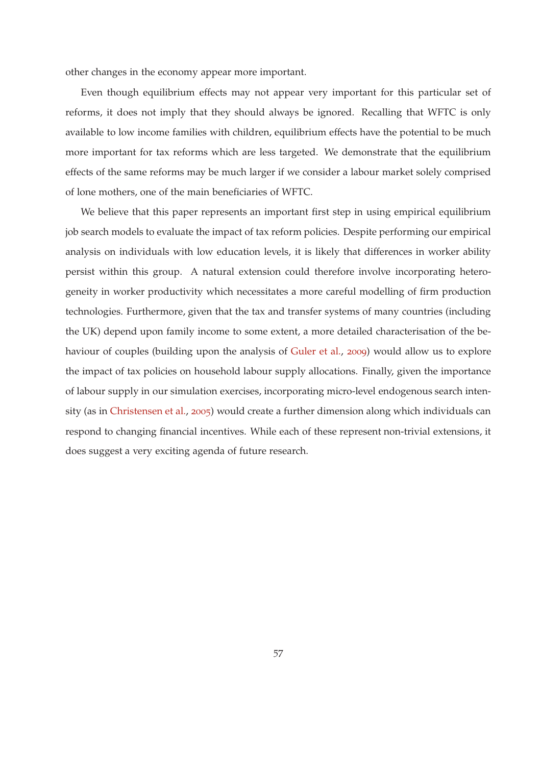<span id="page-56-0"></span>other changes in the economy appear more important.

Even though equilibrium effects may not appear very important for this particular set of reforms, it does not imply that they should always be ignored. Recalling that WFTC is only available to low income families with children, equilibrium effects have the potential to be much more important for tax reforms which are less targeted. We demonstrate that the equilibrium effects of the same reforms may be much larger if we consider a labour market solely comprised of lone mothers, one of the main beneficiaries of WFTC.

We believe that this paper represents an important first step in using empirical equilibrium job search models to evaluate the impact of tax reform policies. Despite performing our empirical analysis on individuals with low education levels, it is likely that differences in worker ability persist within this group. A natural extension could therefore involve incorporating heterogeneity in worker productivity which necessitates a more careful modelling of firm production technologies. Furthermore, given that the tax and transfer systems of many countries (including the UK) depend upon family income to some extent, a more detailed characterisation of the behaviour of couples (building upon the analysis of [Guler et al.](#page-59-10), [2009](#page-59-10)) would allow us to explore the impact of tax policies on household labour supply allocations. Finally, given the importance of labour supply in our simulation exercises, incorporating micro-level endogenous search intensity (as in [Christensen et al.](#page-58-8), [2005](#page-58-8)) would create a further dimension along which individuals can respond to changing financial incentives. While each of these represent non-trivial extensions, it does suggest a very exciting agenda of future research.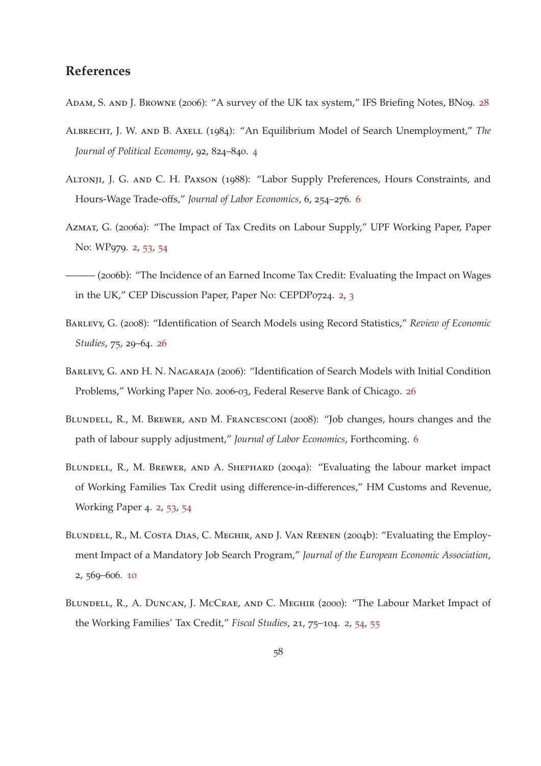## **References**

- <span id="page-57-10"></span>ADAM, S. AND J. BROWNE (2006): "A survey of the UK tax system," IFS Briefing Notes, BN09. [28](#page-27-0)
- <span id="page-57-4"></span>Albrecht, J. W. and B. Axell (1984): "An Equilibrium Model of Search Unemployment," *The Journal of Political Economy*, 92, 824–840. [4](#page-3-0)
- <span id="page-57-5"></span>Altonji, J. G. and C. H. Paxson (1988): "Labor Supply Preferences, Hours Constraints, and Hours-Wage Trade-offs," *Journal of Labor Economics*, 6, 254–276. [6](#page-5-0)
- <span id="page-57-2"></span>Azmat, G. (2006a): "The Impact of Tax Credits on Labour Supply," UPF Working Paper, Paper No: WP979. [2](#page-1-0), [53](#page-52-1), [54](#page-53-0)
- <span id="page-57-1"></span>——— (2006b): "The Incidence of an Earned Income Tax Credit: Evaluating the Impact on Wages in the UK," CEP Discussion Paper, Paper No: CEPDP0724. [2](#page-1-0), [3](#page-2-0)
- <span id="page-57-8"></span>Barlevy, G. (2008): "Identification of Search Models using Record Statistics," *Review of Economic Studies*, 75, 29–64. [26](#page-25-2)
- <span id="page-57-9"></span>BARLEVY, G. AND H. N. NAGARAJA (2006): "Identification of Search Models with Initial Condition Problems," Working Paper No. 2006-03, Federal Reserve Bank of Chicago. [26](#page-25-2)
- <span id="page-57-6"></span>Blundell, R., M. Brewer, and M. Francesconi (2008): "Job changes, hours changes and the path of labour supply adjustment," *Journal of Labor Economics*, Forthcoming. [6](#page-5-0)
- <span id="page-57-3"></span>BLUNDELL, R., M. BREWER, AND A. SHEPHARD (2004a): "Evaluating the labour market impact of Working Families Tax Credit using difference-in-differences," HM Customs and Revenue, Working Paper 4. [2](#page-1-0), [53](#page-52-1), [54](#page-53-0)
- <span id="page-57-7"></span>Blundell, R., M. Costa Dias, C. Meghir, and J. Van Reenen (2004b): "Evaluating the Employment Impact of a Mandatory Job Search Program," *Journal of the European Economic Association*, 2, 569–606. [10](#page-9-1)
- <span id="page-57-0"></span>Blundell, R., A. Duncan, J. McCrae, and C. Meghir (2000): "The Labour Market Impact of the Working Families' Tax Credit," *Fiscal Studies*, 21, 75–104. [2](#page-1-0), [54](#page-53-0), [55](#page-54-1)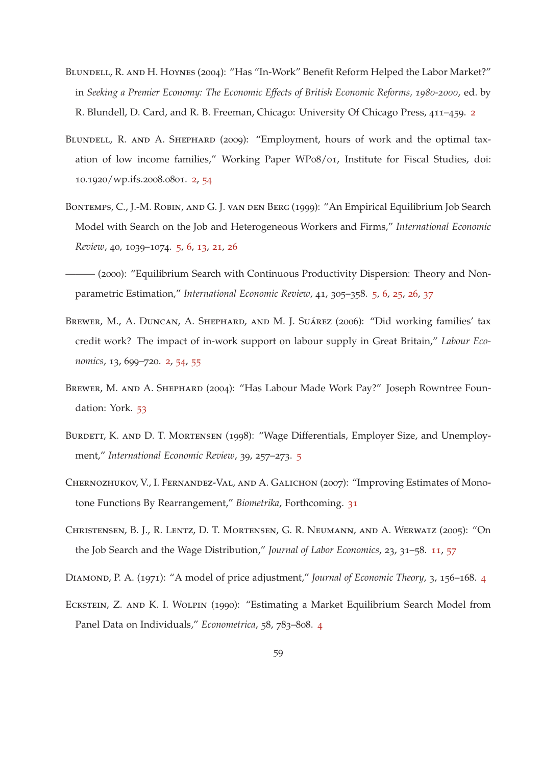- <span id="page-58-0"></span>BLUNDELL, R. AND H. HOYNES (2004): "Has "In-Work" Benefit Reform Helped the Labor Market?" in *Seeking a Premier Economy: The Economic Effects of British Economic Reforms, 1980-2000*, ed. by R. Blundell, D. Card, and R. B. Freeman, Chicago: University Of Chicago Press, 411–459. [2](#page-1-0)
- <span id="page-58-1"></span>BLUNDELL, R. AND A. SHEPHARD (2009): "Employment, hours of work and the optimal taxation of low income families," Working Paper WP08/01, Institute for Fiscal Studies, doi: 10.1920/wp.ifs.2008.0801. [2](#page-1-0), [54](#page-53-0)
- <span id="page-58-7"></span>BONTEMPS, C., J.-M. ROBIN, AND G. J. VAN DEN BERG (1999): "An Empirical Equilibrium Job Search Model with Search on the Job and Heterogeneous Workers and Firms," *International Economic Review*, 40, 1039–1074. [5](#page-4-0), [6](#page-5-0), [13](#page-12-2), [21](#page-20-2), [26](#page-25-2)
- <span id="page-58-6"></span>——— (2000): "Equilibrium Search with Continuous Productivity Dispersion: Theory and Nonparametric Estimation," *International Economic Review*, 41, 305–358. [5](#page-4-0), [6](#page-5-0), [25](#page-24-0), [26](#page-25-2), [37](#page-36-0)
- <span id="page-58-2"></span>BREWER, M., A. DUNCAN, A. SHEPHARD, AND M. J. SUÁREZ (2006): "Did working families' tax credit work? The impact of in-work support on labour supply in Great Britain," *Labour Economics*, 13, 699–720. [2](#page-1-0), [54](#page-53-0), [55](#page-54-1)
- <span id="page-58-10"></span>BREWER, M. AND A. SHEPHARD (2004): "Has Labour Made Work Pay?" Joseph Rowntree Foundation: York. [53](#page-52-1)
- <span id="page-58-5"></span>BURDETT, K. AND D. T. MORTENSEN (1998): "Wage Differentials, Employer Size, and Unemployment," *International Economic Review*, 39, 257–273. [5](#page-4-0)
- <span id="page-58-9"></span>CHERNOZHUKOV, V., I. FERNANDEZ-VAL, AND A. GALICHON (2007): "Improving Estimates of Monotone Functions By Rearrangement," *Biometrika*, Forthcoming. [31](#page-30-1)
- <span id="page-58-8"></span>Christensen, B. J., R. Lentz, D. T. Mortensen, G. R. Neumann, and A. Werwatz (2005): "On the Job Search and the Wage Distribution," *Journal of Labor Economics*, 23, 31–58. [11](#page-10-0), [57](#page-56-0)
- <span id="page-58-3"></span>Diamond, P. A. (1971): "A model of price adjustment," *Journal of Economic Theory*, 3, 156–168. [4](#page-3-0)
- <span id="page-58-4"></span>Eckstein, Z. and K. I. Wolpin (1990): "Estimating a Market Equilibrium Search Model from Panel Data on Individuals," *Econometrica*, 58, 783–808. [4](#page-3-0)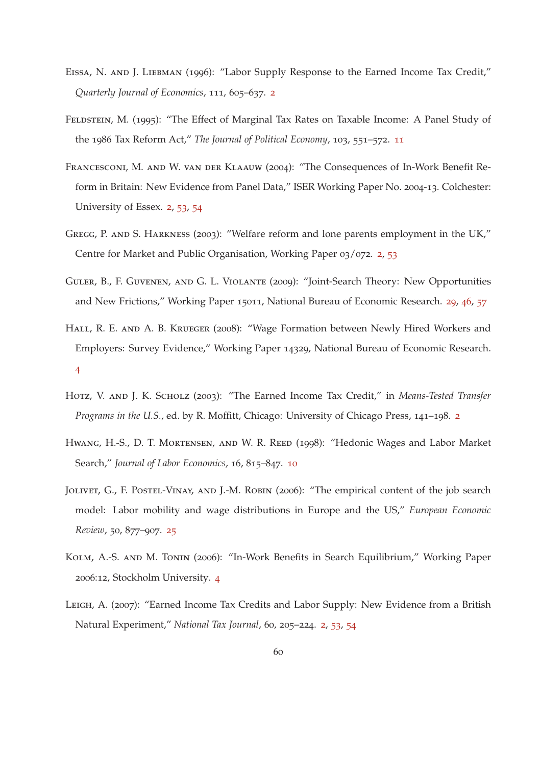- <span id="page-59-0"></span>Eissa, N. and J. Liebman (1996): "Labor Supply Response to the Earned Income Tax Credit," *Quarterly Journal of Economics*, 111, 605–637. [2](#page-1-0)
- <span id="page-59-8"></span>FELDSTEIN, M. (1995): "The Effect of Marginal Tax Rates on Taxable Income: A Panel Study of the 1986 Tax Reform Act," *The Journal of Political Economy*, 103, 551–572. [11](#page-10-0)
- <span id="page-59-2"></span>Francesconi, M. and W. van der Klaauw (2004): "The Consequences of In-Work Benefit Reform in Britain: New Evidence from Panel Data," ISER Working Paper No. 2004-13. Colchester: University of Essex. [2](#page-1-0), [53](#page-52-1), [54](#page-53-0)
- <span id="page-59-3"></span>GREGG, P. AND S. HARKNESS (2003): "Welfare reform and lone parents employment in the UK," Centre for Market and Public Organisation, Working Paper 03/072. [2](#page-1-0), [53](#page-52-1)
- <span id="page-59-10"></span>Guler, B., F. Guvenen, and G. L. Violante (2009): "Joint-Search Theory: New Opportunities and New Frictions," Working Paper 15011, National Bureau of Economic Research. [29](#page-28-0), [46](#page-45-1), [57](#page-56-0)
- <span id="page-59-5"></span>HALL, R. E. AND A. B. KRUEGER (2008): "Wage Formation between Newly Hired Workers and Employers: Survey Evidence," Working Paper 14329, National Bureau of Economic Research. [4](#page-3-0)
- <span id="page-59-1"></span>Hotz, V. and J. K. Scholz (2003): "The Earned Income Tax Credit," in *Means-Tested Transfer Programs in the U.S.*, ed. by R. Moffitt, Chicago: University of Chicago Press, 141–198. [2](#page-1-0)
- <span id="page-59-7"></span>HWANG, H.-S., D. T. MORTENSEN, AND W. R. REED (1998): "Hedonic Wages and Labor Market Search," *Journal of Labor Economics*, 16, 815–847. [10](#page-9-1)
- <span id="page-59-9"></span>JOLIVET, G., F. POSTEL-VINAY, AND J.-M. ROBIN (2006): "The empirical content of the job search model: Labor mobility and wage distributions in Europe and the US," *European Economic Review*, 50, 877–907. [25](#page-24-0)
- <span id="page-59-6"></span>Kolm, A.-S. and M. Tonin (2006): "In-Work Benefits in Search Equilibrium," Working Paper 2006:12, Stockholm University. [4](#page-3-0)
- <span id="page-59-4"></span>Leigh, A. (2007): "Earned Income Tax Credits and Labor Supply: New Evidence from a British Natural Experiment," *National Tax Journal*, 60, 205–224. [2](#page-1-0), [53](#page-52-1), [54](#page-53-0)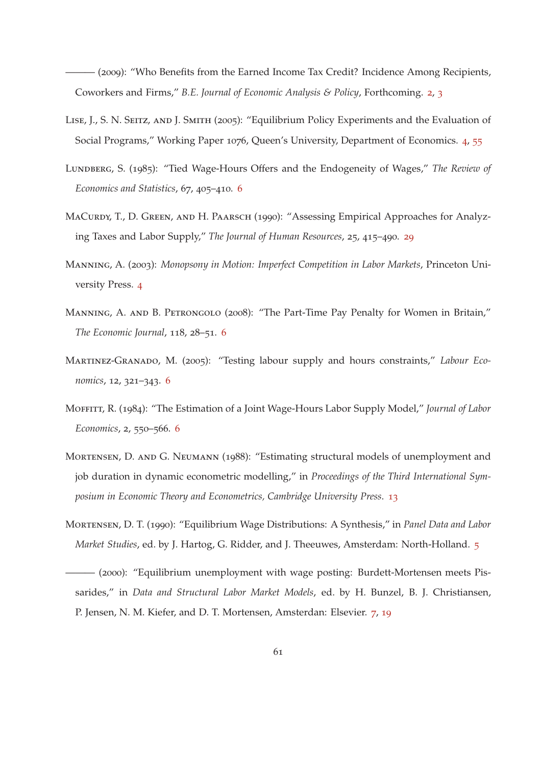<span id="page-60-0"></span> $-(2009)$ : "Who Benefits from the Earned Income Tax Credit? Incidence Among Recipients, Coworkers and Firms," *B.E. Journal of Economic Analysis & Policy*, Forthcoming. [2](#page-1-0), [3](#page-2-0)

- <span id="page-60-2"></span>Lise, J., S. N. Seitz, and J. Smith (2005): "Equilibrium Policy Experiments and the Evaluation of Social Programs," Working Paper 1076, Queen's University, Department of Economics. [4](#page-3-0), [55](#page-54-1)
- <span id="page-60-4"></span>Lundberg, S. (1985): "Tied Wage-Hours Offers and the Endogeneity of Wages," *The Review of Economics and Statistics*, 67, 405–410. [6](#page-5-0)
- <span id="page-60-10"></span>MACURDY, T., D. GREEN, AND H. PAARSCH (1990): "Assessing Empirical Approaches for Analyzing Taxes and Labor Supply," *The Journal of Human Resources*, 25, 415–490. [29](#page-28-0)
- <span id="page-60-1"></span>Manning, A. (2003): *Monopsony in Motion: Imperfect Competition in Labor Markets*, Princeton University Press. [4](#page-3-0)
- <span id="page-60-7"></span>MANNING, A. AND B. PETRONGOLO (2008): "The Part-Time Pay Penalty for Women in Britain," *The Economic Journal*, 118, 28–51. [6](#page-5-0)
- <span id="page-60-5"></span>Martinez-Granado, M. (2005): "Testing labour supply and hours constraints," *Labour Economics*, 12, 321–343. [6](#page-5-0)
- <span id="page-60-6"></span>Moffitt, R. (1984): "The Estimation of a Joint Wage-Hours Labor Supply Model," *Journal of Labor Economics*, 2, 550–566. [6](#page-5-0)
- <span id="page-60-9"></span>Mortensen, D. and G. Neumann (1988): "Estimating structural models of unemployment and job duration in dynamic econometric modelling," in *Proceedings of the Third International Symposium in Economic Theory and Econometrics, Cambridge University Press*. [13](#page-12-2)
- <span id="page-60-3"></span>Mortensen, D. T. (1990): "Equilibrium Wage Distributions: A Synthesis," in *Panel Data and Labor Market Studies*, ed. by J. Hartog, G. Ridder, and J. Theeuwes, Amsterdam: North-Holland. [5](#page-4-0)
- <span id="page-60-8"></span>——— (2000): "Equilibrium unemployment with wage posting: Burdett-Mortensen meets Pissarides," in *Data and Structural Labor Market Models*, ed. by H. Bunzel, B. J. Christiansen, P. Jensen, N. M. Kiefer, and D. T. Mortensen, Amsterdan: Elsevier. [7](#page-6-1), [19](#page-18-3)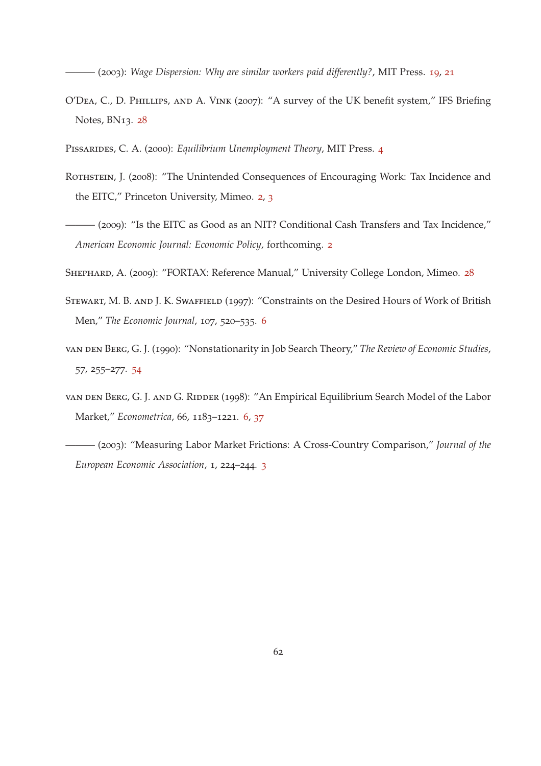<span id="page-61-6"></span>——— (2003): *Wage Dispersion: Why are similar workers paid differently?*, MIT Press. [19](#page-18-3), [21](#page-20-2)

- <span id="page-61-8"></span>O'Dea, C., D. Phillips, and A. Vink (2007): "A survey of the UK benefit system," IFS Briefing Notes, BN13. [28](#page-27-0)
- <span id="page-61-3"></span>Pissarides, C. A. (2000): *Equilibrium Unemployment Theory*, MIT Press. [4](#page-3-0)
- <span id="page-61-0"></span>ROTHSTEIN, J. (2008): "The Unintended Consequences of Encouraging Work: Tax Incidence and the EITC," Princeton University, Mimeo. [2](#page-1-0), [3](#page-2-0)
- <span id="page-61-1"></span>——— (2009): "Is the EITC as Good as an NIT? Conditional Cash Transfers and Tax Incidence," *American Economic Journal: Economic Policy*, forthcoming. [2](#page-1-0)
- <span id="page-61-7"></span>SHEPHARD, A. (2009): "FORTAX: Reference Manual," University College London, Mimeo. [28](#page-27-0)
- <span id="page-61-4"></span>Stewart, M. B. and J. K. Swaffield (1997): "Constraints on the Desired Hours of Work of British Men," *The Economic Journal*, 107, 520–535. [6](#page-5-0)
- <span id="page-61-9"></span>van den Berg, G. J. (1990): "Nonstationarity in Job Search Theory," *The Review of Economic Studies*, 57, 255–277. [54](#page-53-0)
- <span id="page-61-5"></span>van DEN BERG, G. J. AND G. RIDDER (1998): "An Empirical Equilibrium Search Model of the Labor Market," *Econometrica*, 66, 1183–1221. [6](#page-5-0), [37](#page-36-0)
- <span id="page-61-2"></span>——— (2003): "Measuring Labor Market Frictions: A Cross-Country Comparison," *Journal of the European Economic Association*, 1, 224–244. [3](#page-2-0)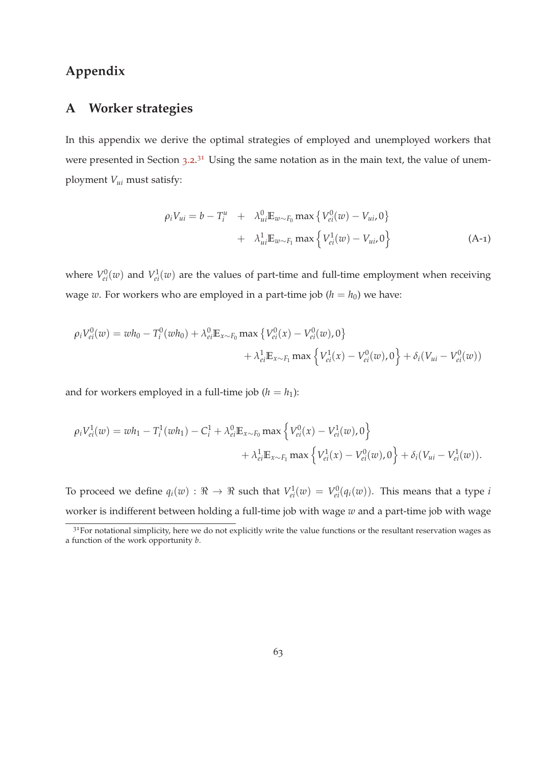## <span id="page-62-0"></span>**Appendix**

## **A Worker strategies**

In this appendix we derive the optimal strategies of employed and unemployed workers that were presented in Section [3](#page-11-0).2.<sup>31</sup> Using the same notation as in the main text, the value of unemployment *Vui* must satisfy:

<span id="page-62-1"></span>
$$
\rho_i V_{ui} = b - T_i^u + \lambda_{ui}^0 E_{w \sim F_0} \max \{ V_{ei}^0(w) - V_{ui}, 0 \}
$$
  
+  $\lambda_{ui}^1 E_{w \sim F_1} \max \{ V_{ei}^1(w) - V_{ui}, 0 \}$  (A-1)

where  $V_{ei}^{0}(w)$  and  $V_{ei}^{1}(w)$  are the values of part-time and full-time employment when receiving wage *w*. For workers who are employed in a part-time job ( $h = h_0$ ) we have:

$$
\rho_i V_{ei}^0(w) = wh_0 - T_i^0(wh_0) + \lambda_{ei}^0 \mathbb{E}_{x \sim F_0} \max \{ V_{ei}^0(x) - V_{ei}^0(w), 0 \} + \lambda_{ei}^1 \mathbb{E}_{x \sim F_1} \max \{ V_{ei}^1(x) - V_{ei}^0(w), 0 \} + \delta_i (V_{ui} - V_{ei}^0(w))
$$

and for workers employed in a full-time job  $(h = h_1)$ :

$$
\rho_i V_{ei}^1(w) = wh_1 - T_i^1(wh_1) - C_i^1 + \lambda_{ei}^0 \mathbb{E}_{x \sim F_0} \max \left\{ V_{ei}^0(x) - V_{ei}^1(w), 0 \right\} + \lambda_{ei}^1 \mathbb{E}_{x \sim F_1} \max \left\{ V_{ei}^1(x) - V_{ei}^0(w), 0 \right\} + \delta_i (V_{ui} - V_{ei}^1(w)).
$$

To proceed we define  $q_i(w): \Re \to \Re$  such that  $V^1_{ei}(w) = V^0_{ei}(q_i(w))$ . This means that a type *i* worker is indifferent between holding a full-time job with wage *w* and a part-time job with wage

<sup>&</sup>lt;sup>31</sup>For notational simplicity, here we do not explicitly write the value functions or the resultant reservation wages as a function of the work opportunity *b*.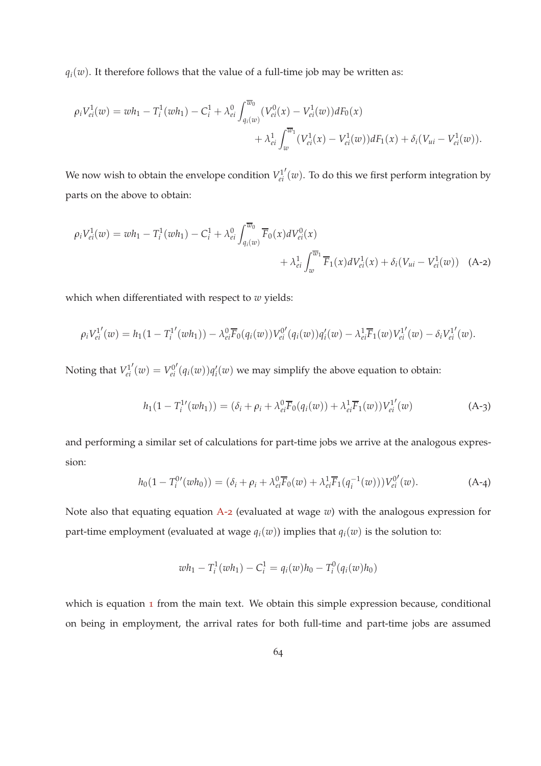$q_i(w)$ . It therefore follows that the value of a full-time job may be written as:

$$
\rho_i V_{ei}^1(w) = wh_1 - T_i^1(wh_1) - C_i^1 + \lambda_{ei}^0 \int_{q_i(w)}^{\overline{w}_0} (V_{ei}^0(x) - V_{ei}^1(w)) dF_0(x) + \lambda_{ei}^1 \int_w^{\overline{w}_1} (V_{ei}^1(x) - V_{ei}^1(w)) dF_1(x) + \delta_i (V_{ui} - V_{ei}^1(w)).
$$

We now wish to obtain the envelope condition  $V_{ei}^1$  $\sigma'(w)$ . To do this we first perform integration by parts on the above to obtain:

$$
\rho_i V_{ei}^1(w) = wh_1 - T_i^1(wh_1) - C_i^1 + \lambda_{ei}^0 \int_{q_i(w)}^{\overline{w}_0} \overline{F}_0(x) dV_{ei}^0(x) + \lambda_{ei}^1 \int_w^{\overline{w}_1} \overline{F}_1(x) dV_{ei}^1(x) + \delta_i (V_{ui} - V_{ei}^1(w)) \quad (A-2)
$$

which when differentiated with respect to *w* yields:

$$
\rho_i V_{ei}^{1'}(w) = h_1(1 - T_i^{1'}(wh_1)) - \lambda_{ei}^{0} \overline{F}_0(q_i(w)) V_{ei}^{0'}(q_i(w)) q_i'(w) - \lambda_{ei}^{1} \overline{F}_1(w) V_{ei}^{1'}(w) - \delta_i V_{ei}^{1'}(w).
$$

Noting that *V* 1 *ei*  $'(\omega) = V_{ei}^{0}$  $\int' (q_i(w)) q'_i(w)$  we may simplify the above equation to obtain:

<span id="page-63-2"></span><span id="page-63-0"></span>
$$
h_1(1 - T_i^{1'}(wh_1)) = (\delta_i + \rho_i + \lambda_{ei}^0 \overline{F}_0(q_i(w)) + \lambda_{ei}^1 \overline{F}_1(w)) V_{ei}^{1'}(w)
$$
 (A-3)

and performing a similar set of calculations for part-time jobs we arrive at the analogous expression:

<span id="page-63-1"></span>
$$
h_0(1 - T_i^{0\prime}(wh_0)) = (\delta_i + \rho_i + \lambda_{ei}^0 \overline{F}_0(w) + \lambda_{ei}^1 \overline{F}_1(q_i^{-1}(w))) V_{ei}^{0\prime}(w).
$$
 (A-4)

Note also that equating equation [A-](#page-63-0)2 (evaluated at wage *w*) with the analogous expression for part-time employment (evaluated at wage  $q_i(w)$ ) implies that  $q_i(w)$  is the solution to:

$$
wh_1 - T_i^1(wh_1) - C_i^1 = q_i(w)h_0 - T_i^0(q_i(w)h_0)
$$

which is equation [1](#page-12-0) from the main text. We obtain this simple expression because, conditional on being in employment, the arrival rates for both full-time and part-time jobs are assumed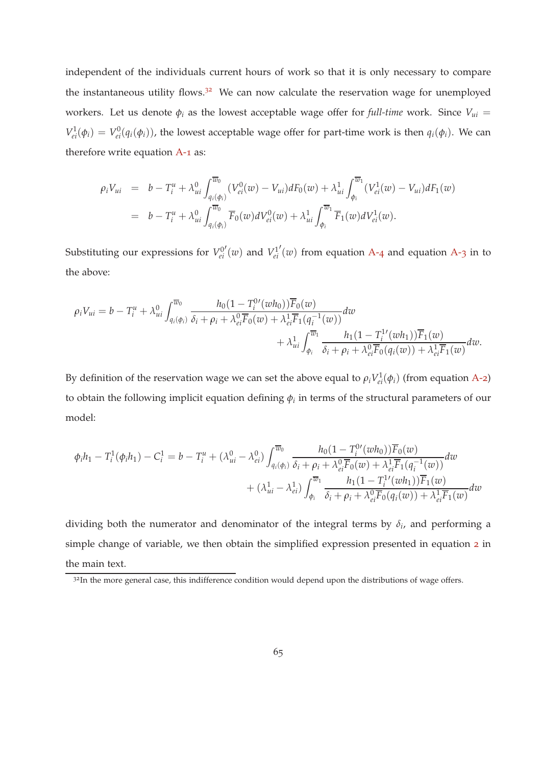independent of the individuals current hours of work so that it is only necessary to compare the instantaneous utility flows.<sup>32</sup> We can now calculate the reservation wage for unemployed workers. Let us denote  $\phi_i$  as the lowest acceptable wage offer for *full-time* work. Since  $V_{ui}$  =  $V_{ei}^1(\phi_i) = V_{ei}^0(q_i(\phi_i))$ , the lowest acceptable wage offer for part-time work is then  $q_i(\phi_i)$ . We can therefore write equation [A-](#page-62-1)1 as:

$$
\rho_i V_{ui} = b - T_i^u + \lambda_{ui}^0 \int_{q_i(\phi_i)}^{\overline{w}_0} (V_{ei}^0(w) - V_{ui}) dF_0(w) + \lambda_{ui}^1 \int_{\phi_i}^{\overline{w}_1} (V_{ei}^1(w) - V_{ui}) dF_1(w)
$$
  
=  $b - T_i^u + \lambda_{ui}^0 \int_{q_i(\phi_i)}^{\overline{w}_0} \overline{F}_0(w) dV_{ei}^0(w) + \lambda_{ui}^1 \int_{\phi_i}^{\overline{w}_1} \overline{F}_1(w) dV_{ei}^1(w).$ 

Substituting our expressions for  $V_{ei}^0$  $v'(w)$  and  $V_{ei}^1$  $\prime(w)$  from equation [A-](#page-63-2)4 and equation A-3 in to the above:

$$
\rho_i V_{ui} = b - T_i^u + \lambda_{ui}^0 \int_{q_i(\phi_i)}^{\overline{w}_0} \frac{h_0 (1 - T_i^0'(w h_0)) \overline{F}_0(w)}{\delta_i + \rho_i + \lambda_{ei}^0 \overline{F}_0(w) + \lambda_{ei}^1 \overline{F}_1(q_i^{-1}(w))} dw + \lambda_{ui}^1 \int_{\phi_i}^{\overline{w}_1} \frac{h_1 (1 - T_i^1'(w h_1)) \overline{F}_1(w)}{\delta_i + \rho_i + \lambda_{ei}^0 \overline{F}_0(q_i(w)) + \lambda_{ei}^1 \overline{F}_1(w)} dw.
$$

By definition of the reservation wage we can set the above equal to  $\rho_i V_{ei}^1(\phi_i)$  (from equation [A-](#page-63-0)2) to obtain the following implicit equation defining  $\phi_i$  in terms of the structural parameters of our model:

$$
\phi_i h_1 - T_i^1(\phi_i h_1) - C_i^1 = b - T_i^u + (\lambda_{ui}^0 - \lambda_{ei}^0) \int_{q_i(\phi_i)}^{\overline{w}_0} \frac{h_0 (1 - T_i^0'(wh_0)) \overline{F}_0(w)}{\delta_i + \rho_i + \lambda_{ei}^0 \overline{F}_0(w) + \lambda_{ei}^1 \overline{F}_1(q_i^{-1}(w))} dw + (\lambda_{ui}^1 - \lambda_{ei}^1) \int_{\phi_i}^{\overline{w}_1} \frac{h_1 (1 - T_i^1'(wh_1)) \overline{F}_1(w)}{\delta_i + \rho_i + \lambda_{ei}^0 \overline{F}_0(q_i(w)) + \lambda_{ei}^1 \overline{F}_1(w)} dw
$$

dividing both the numerator and denominator of the integral terms by  $\delta_i$ , and performing a simple change of variable, we then obtain the simplified expression presented in equation [2](#page-12-1) in the main text.

<sup>&</sup>lt;sup>32</sup>In the more general case, this indifference condition would depend upon the distributions of wage offers.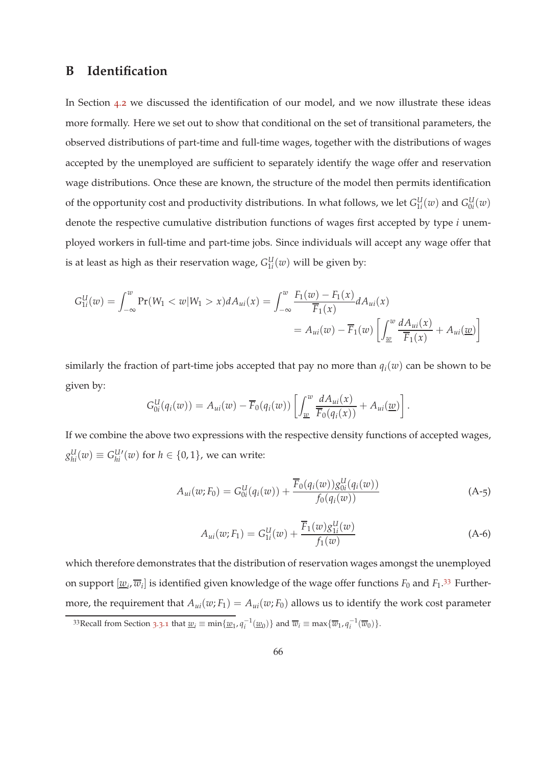## <span id="page-65-0"></span>**B Identification**

In Section [4](#page-24-1).2 we discussed the identification of our model, and we now illustrate these ideas more formally. Here we set out to show that conditional on the set of transitional parameters, the observed distributions of part-time and full-time wages, together with the distributions of wages accepted by the unemployed are sufficient to separately identify the wage offer and reservation wage distributions. Once these are known, the structure of the model then permits identification of the opportunity cost and productivity distributions. In what follows, we let  $G_{1i}^U(w)$  and  $G_{0i}^U(w)$ denote the respective cumulative distribution functions of wages first accepted by type *i* unemployed workers in full-time and part-time jobs. Since individuals will accept any wage offer that is at least as high as their reservation wage,  $G_{1i}^{U}(w)$  will be given by:

$$
G_{1i}^U(w) = \int_{-\infty}^w \Pr(W_1 < w | W_1 > x) dA_{ui}(x) = \int_{-\infty}^w \frac{F_1(w) - F_1(x)}{\overline{F}_1(x)} dA_{ui}(x)
$$
\n
$$
= A_{ui}(w) - \overline{F}_1(w) \left[ \int_{\underline{w}}^w \frac{dA_{ui}(x)}{\overline{F}_1(x)} + A_{ui}(\underline{w}) \right]
$$

similarly the fraction of part-time jobs accepted that pay no more than  $q_i(w)$  can be shown to be given by:

$$
G_{0i}^U(q_i(w)) = A_{ui}(w) - \overline{F}_0(q_i(w)) \left[ \int_{\underline{w}}^w \frac{dA_{ui}(x)}{\overline{F}_0(q_i(x))} + A_{ui}(\underline{w}) \right].
$$

If we combine the above two expressions with the respective density functions of accepted wages,  $g_{hi}^{\text{U}}(w) \equiv G_{hi}^{\text{U}\prime}(w)$  for  $h \in \{0,1\}$ , we can write:

<span id="page-65-1"></span>
$$
A_{ui}(w; F_0) = G_{0i}^U(q_i(w)) + \frac{\overline{F}_0(q_i(w))g_{0i}^U(q_i(w))}{f_0(q_i(w))}
$$
(A-5)

<span id="page-65-2"></span>
$$
A_{ui}(w; F_1) = G_{1i}^U(w) + \frac{\overline{F}_1(w)g_{1i}^U(w)}{f_1(w)}
$$
(A-6)

which therefore demonstrates that the distribution of reservation wages amongst the unemployed on support  $[\underline{w}_i, \overline{w}_i]$  is identified given knowledge of the wage offer functions  $F_0$  and  $F_1$ .<sup>33</sup> Furthermore, the requirement that  $A_{ui}(w; F_1) = A_{ui}(w; F_0)$  allows us to identify the work cost parameter

[<sup>3</sup>](#page-13-2)3Recall from Section 3.3.1 that  $\underline{w}_i \equiv \min\{\underline{w}_1, \overline{q}_i^{-1}(\underline{w}_0)\}$  and  $\overline{w}_i \equiv \max\{\overline{w}_1, \overline{q}_i^{-1}(\overline{w}_0)\}.$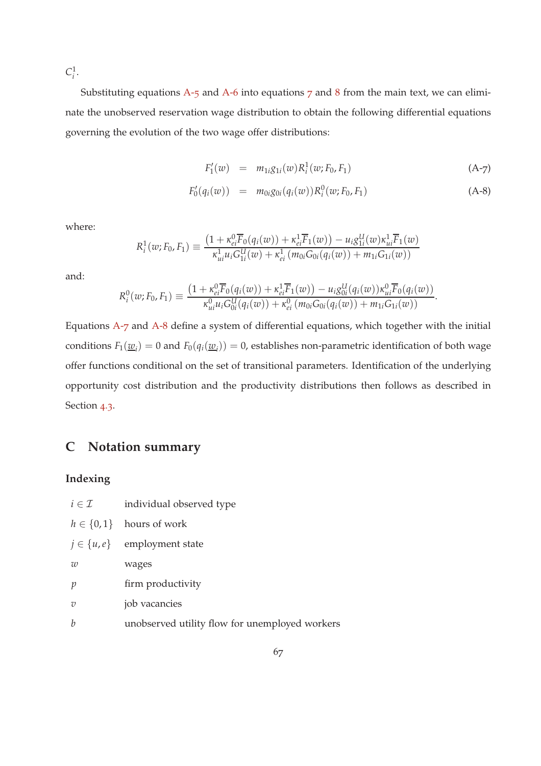$C_i^1$ .

Substituting equations  $A$ -5 and  $A$ -6 into equations  $7$  and  $8$  from the main text, we can eliminate the unobserved reservation wage distribution to obtain the following differential equations governing the evolution of the two wage offer distributions:

<span id="page-66-1"></span>
$$
F_1'(w) = m_{1i}g_{1i}(w)R_i^1(w; F_0, F_1)
$$
\n(A-7)

$$
F'_{0}(q_i(w)) = m_{0i}g_{0i}(q_i(w))R_i^0(w;F_0,F_1)
$$
\n(A-8)

where:

$$
R_i^1(w; F_0, F_1) \equiv \frac{\left(1 + \kappa_{ei}^0 \overline{F}_0(q_i(w)) + \kappa_{ei}^1 \overline{F}_1(w)\right) - u_i g_{1i}^U(w) \kappa_{ui}^1 \overline{F}_1(w)}{\kappa_{ui}^1 u_i G_{1i}^U(w) + \kappa_{ei}^1 (m_{0i} G_{0i}(q_i(w)) + m_{1i} G_{1i}(w))}
$$

and:

$$
R_i^0(w; F_0, F_1) \equiv \frac{\left(1 + \kappa_{ei}^0 \overline{F}_0(q_i(w)) + \kappa_{ei}^1 \overline{F}_1(w)\right) - u_i g_{0i}^U(q_i(w)) \kappa_{ui}^0 \overline{F}_0(q_i(w))}{\kappa_{ui}^0 u_i G_{0i}^U(q_i(w)) + \kappa_{ei}^0 (m_{0i} G_{0i}(q_i(w)) + m_{1i} G_{1i}(w))}.
$$

Equations [A-](#page-66-1)7 and [A-](#page-66-1)8 define a system of differential equations, which together with the initial conditions  $F_1(\underline{w}_i) = 0$  and  $F_0(q_i(\underline{w}_i)) = 0$ , establishes non-parametric identification of both wage offer functions conditional on the set of transitional parameters. Identification of the underlying opportunity cost distribution and the productivity distributions then follows as described in Section [4](#page-25-3).3.

## <span id="page-66-0"></span>**C Notation summary**

### **Indexing**

| $i \in \mathcal{I}$ | individual observed type                       |
|---------------------|------------------------------------------------|
|                     | $h \in \{0, 1\}$ hours of work                 |
|                     | $j \in \{u, e\}$ employment state              |
| w                   | wages                                          |
| $\mathcal{V}$       | firm productivity                              |
| $\overline{v}$      | job vacancies                                  |
| b                   | unobserved utility flow for unemployed workers |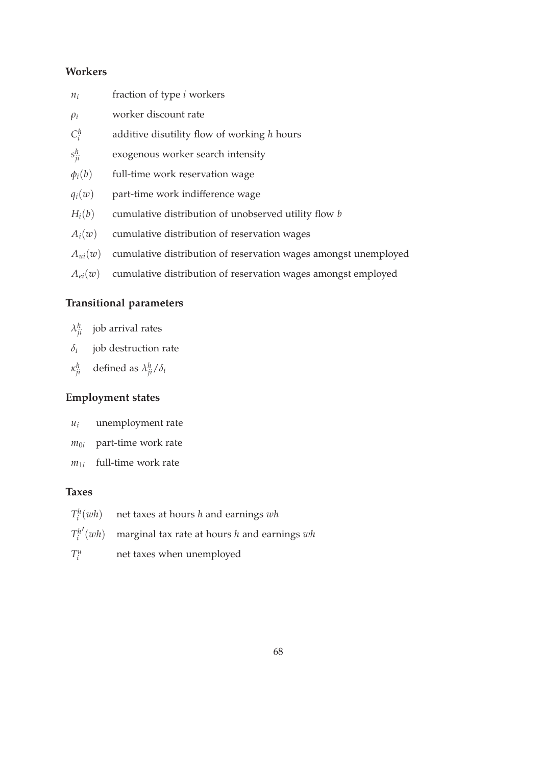## **Workers**

| $n_i$       | fraction of type <i>i</i> workers                               |
|-------------|-----------------------------------------------------------------|
| $\rho_i$    | worker discount rate                                            |
| $C_i^h$     | additive disutility flow of working $h$ hours                   |
| $s_{ii}^h$  | exogenous worker search intensity                               |
| $\phi_i(b)$ | full-time work reservation wage                                 |
| $q_i(w)$    | part-time work indifference wage                                |
| $H_i(b)$    | cumulative distribution of unobserved utility flow b            |
| $A_i(w)$    | cumulative distribution of reservation wages                    |
| $A_{ui}(w)$ | cumulative distribution of reservation wages amongst unemployed |
| $A_{ei}(w)$ | cumulative distribution of reservation wages amongst employed   |

## **Transitional parameters**

- $\lambda_{ji}^h$  job arrival rates
- *δi* job destruction rate
- *κ h ji* defined as *λ h ji*/*δ<sup>i</sup>*

# **Employment states**

- *u<sup>i</sup>* unemployment rate
- $m_{0i}$  part-time work rate
- $m_{1i}$ full-time work rate

### **Taxes**

| $T_i^h(wh)$ net taxes at hours h and earnings wh            |
|-------------------------------------------------------------|
| $T_i^{h'}(wh)$ marginal tax rate at hours h and earnings wh |

 $T_i^u$ net taxes when unemployed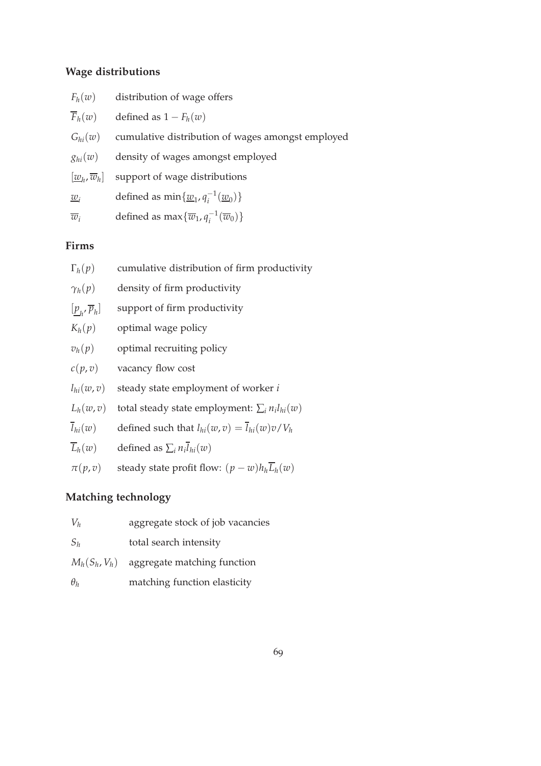### **Wage distributions**

| $\overline{F}_h(w)$ | defined as $1 - F_h(w)$ |  |
|---------------------|-------------------------|--|
|---------------------|-------------------------|--|

| $G_{hi}(w)$ cumulative distribution of wages amongst employed |  |  |  |  |  |  |
|---------------------------------------------------------------|--|--|--|--|--|--|
|---------------------------------------------------------------|--|--|--|--|--|--|

| $g_{hi}(w)$ |  |  |  | density of wages amongst employed |
|-------------|--|--|--|-----------------------------------|
|-------------|--|--|--|-----------------------------------|

 $[\underline{w}_h, \overline{w}_h]$ support of wage distributions

*w*<sub>*i*</sub> defined as  $\min\{\underline{w}_1, q_i^{-1}\}$  $\frac{1}{i}$ <sup>(</sup>*w*<sub>0</sub>)</sub>}

 $\overline{w}_i$  defined as max $\{\overline{w}_1, q_i^{-1}(\overline{w}_0)\}$ 

## **Firms**

| $\Gamma_h(p)$<br>cumulative distribution of firm productivity |  |
|---------------------------------------------------------------|--|
|---------------------------------------------------------------|--|

| $\gamma_h(p)$ |  |  | density of firm productivity |
|---------------|--|--|------------------------------|
|---------------|--|--|------------------------------|

| $[\underline{p}_h, \overline{p}_h]$ |  | support of firm productivity |
|-------------------------------------|--|------------------------------|
|-------------------------------------|--|------------------------------|

- $K_h(p)$  optimal wage policy
- $v_h(p)$  optimal recruiting policy
- $c(p, v)$  vacancy flow cost
- $l_{hi}(w, v)$  steady state employment of worker *i*
- $L_h(w, v)$  total steady state employment:  $\sum_i n_i l_{hi}(w)$
- $\overline{l}_{hi}(w)$  defined such that  $l_{hi}(w, v) = \overline{l}_{hi}(w)v/V_h$
- $L_h(w)$  defined as  $\sum_i n_i l_{hi}(w)$
- *π*(*p*, *v*) steady state profit flow:  $(p w)h_h\overline{L}_h(w)$

## **Matching technology**

| $V_h$      | aggregate stock of job vacancies            |
|------------|---------------------------------------------|
| $S_h$      | total search intensity                      |
|            | $M_h(S_h, V_h)$ aggregate matching function |
| $\theta_h$ | matching function elasticity                |